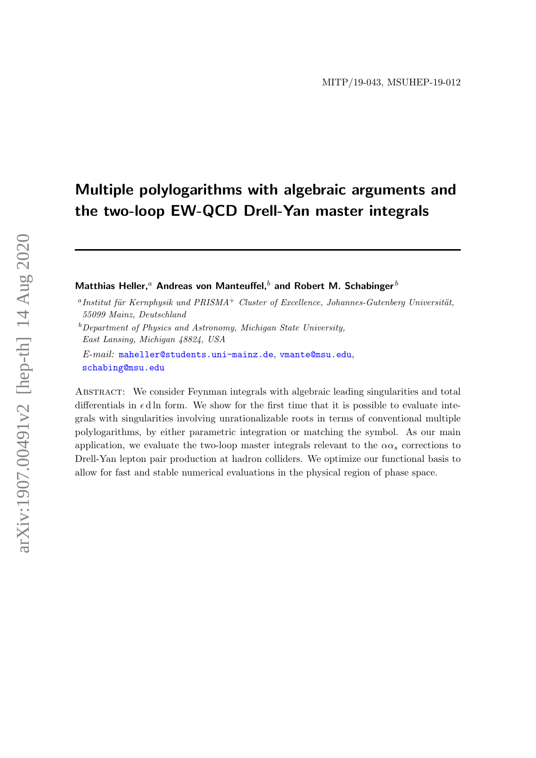# Multiple polylogarithms with algebraic arguments and the two-loop EW-QCD Drell-Yan master integrals

Matthias Heller,<sup>a</sup> Andreas von Manteuffel,<sup>b</sup> and Robert M. Schabinger<sup>b</sup>

E-mail: [maheller@students.uni-mainz.de](mailto:maheller@students.uni-mainz.de), [vmante@msu.edu](mailto:vmante@msu.edu), [schabing@msu.edu](mailto:schabing@msu.edu)

Abstract: We consider Feynman integrals with algebraic leading singularities and total differentials in  $\epsilon$  d ln form. We show for the first time that it is possible to evaluate integrals with singularities involving unrationalizable roots in terms of conventional multiple polylogarithms, by either parametric integration or matching the symbol. As our main application, we evaluate the two-loop master integrals relevant to the  $\alpha \alpha_s$  corrections to Drell-Yan lepton pair production at hadron colliders. We optimize our functional basis to allow for fast and stable numerical evaluations in the physical region of phase space.

 $^a$ Institut für Kernphysik und PRISMA<sup>+</sup> Cluster of Excellence, Johannes-Gutenberg Universität, 55099 Mainz, Deutschland

 $b$ Department of Physics and Astronomy, Michigan State University, East Lansing, Michigan 48824, USA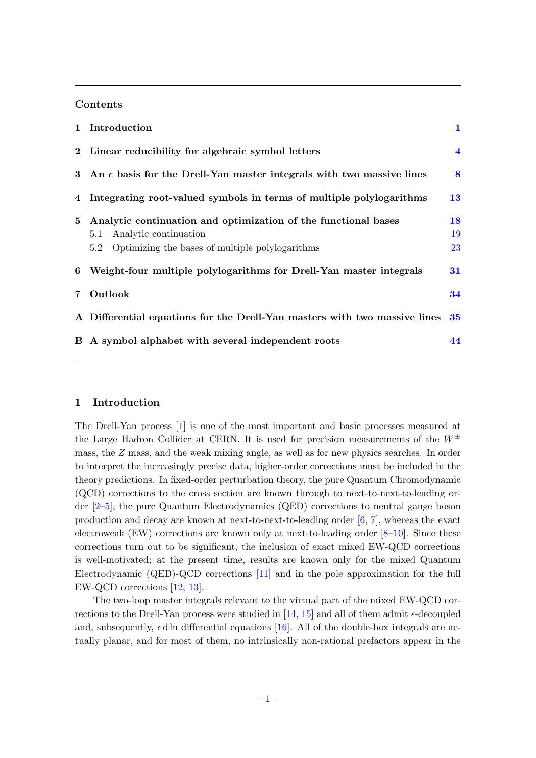## Contents

|                | 1 Introduction                                                                                                                                        | $\mathbf{1}$   |  |
|----------------|-------------------------------------------------------------------------------------------------------------------------------------------------------|----------------|--|
|                | 2 Linear reducibility for algebraic symbol letters                                                                                                    |                |  |
| 3              | An $\epsilon$ basis for the Drell-Yan master integrals with two massive lines                                                                         |                |  |
|                | 4 Integrating root-valued symbols in terms of multiple polylogarithms<br>13                                                                           |                |  |
| 5              | Analytic continuation and optimization of the functional bases<br>5.1 Analytic continuation<br>Optimizing the bases of multiple polylogarithms<br>5.2 | 18<br>19<br>23 |  |
|                | 6 Weight-four multiple polylogarithms for Drell-Yan master integrals<br>31                                                                            |                |  |
| $\overline{7}$ | Outlook<br>34                                                                                                                                         |                |  |
|                | A Differential equations for the Drell-Yan masters with two massive lines<br>35                                                                       |                |  |
|                | B A symbol alphabet with several independent roots<br>44                                                                                              |                |  |

#### <span id="page-1-0"></span>1 Introduction

The Drell-Yan process [\[1\]](#page-47-0) is one of the most important and basic processes measured at the Large Hadron Collider at CERN. It is used for precision measurements of the  $W^{\pm}$ mass, the Z mass, and the weak mixing angle, as well as for new physics searches. In order to interpret the increasingly precise data, higher-order corrections must be included in the theory predictions. In fixed-order perturbation theory, the pure Quantum Chromodynamic (QCD) corrections to the cross section are known through to next-to-next-to-leading order [\[2](#page-47-1)[–5\]](#page-48-0), the pure Quantum Electrodynamics (QED) corrections to neutral gauge boson production and decay are known at next-to-next-to-leading order [\[6,](#page-48-1) [7\]](#page-48-2), whereas the exact electroweak (EW) corrections are known only at next-to-leading order  $[8-10]$  $[8-10]$ . Since these corrections turn out to be significant, the inclusion of exact mixed EW-QCD corrections is well-motivated; at the present time, results are known only for the mixed Quantum Electrodynamic (QED)-QCD corrections [\[11\]](#page-48-5) and in the pole approximation for the full EW-QCD corrections [\[12,](#page-48-6) [13\]](#page-48-7).

The two-loop master integrals relevant to the virtual part of the mixed EW-QCD corrections to the Drell-Yan process were studied in  $[14, 15]$  $[14, 15]$  and all of them admit  $\epsilon$ -decoupled and, subsequently,  $\epsilon$  d ln differential equations [\[16\]](#page-48-10). All of the double-box integrals are actually planar, and for most of them, no intrinsically non-rational prefactors appear in the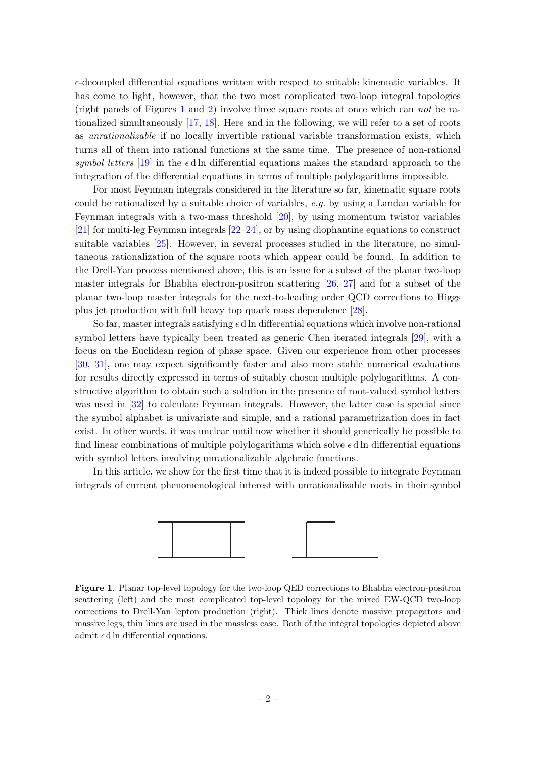$\epsilon$ -decoupled differential equations written with respect to suitable kinematic variables. It has come to light, however, that the two most complicated two-loop integral topologies (right panels of Figures [1](#page-2-0) and [2\)](#page-3-0) involve three square roots at once which can not be rationalized simultaneously [\[17,](#page-48-11) [18\]](#page-48-12). Here and in the following, we will refer to a set of roots as unrationalizable if no locally invertible rational variable transformation exists, which turns all of them into rational functions at the same time. The presence of non-rational symbol letters [\[19\]](#page-48-13) in the  $\epsilon$  d ln differential equations makes the standard approach to the integration of the differential equations in terms of multiple polylogarithms impossible.

For most Feynman integrals considered in the literature so far, kinematic square roots could be rationalized by a suitable choice of variables, e.g. by using a Landau variable for Feynman integrals with a two-mass threshold [\[20\]](#page-48-14), by using momentum twistor variables [\[21\]](#page-48-15) for multi-leg Feynman integrals [\[22–](#page-49-0)[24\]](#page-49-1), or by using diophantine equations to construct suitable variables [\[25\]](#page-49-2). However, in several processes studied in the literature, no simultaneous rationalization of the square roots which appear could be found. In addition to the Drell-Yan process mentioned above, this is an issue for a subset of the planar two-loop master integrals for Bhabha electron-positron scattering [\[26,](#page-49-3) [27\]](#page-49-4) and for a subset of the planar two-loop master integrals for the next-to-leading order QCD corrections to Higgs plus jet production with full heavy top quark mass dependence [\[28\]](#page-49-5).

So far, master integrals satisfying  $\epsilon$  d ln differential equations which involve non-rational symbol letters have typically been treated as generic Chen iterated integrals [\[29\]](#page-49-6), with a focus on the Euclidean region of phase space. Given our experience from other processes [\[30,](#page-49-7) [31\]](#page-49-8), one may expect significantly faster and also more stable numerical evaluations for results directly expressed in terms of suitably chosen multiple polylogarithms. A constructive algorithm to obtain such a solution in the presence of root-valued symbol letters was used in [\[32\]](#page-49-9) to calculate Feynman integrals. However, the latter case is special since the symbol alphabet is univariate and simple, and a rational parametrization does in fact exist. In other words, it was unclear until now whether it should generically be possible to find linear combinations of multiple polylogarithms which solve  $\epsilon$  d ln differential equations with symbol letters involving unrationalizable algebraic functions.

In this article, we show for the first time that it is indeed possible to integrate Feynman integrals of current phenomenological interest with unrationalizable roots in their symbol



<span id="page-2-0"></span>Figure 1. Planar top-level topology for the two-loop QED corrections to Bhabha electron-positron scattering (left) and the most complicated top-level topology for the mixed EW-QCD two-loop corrections to Drell-Yan lepton production (right). Thick lines denote massive propagators and massive legs, thin lines are used in the massless case. Both of the integral topologies depicted above admit  $\epsilon$  d ln differential equations.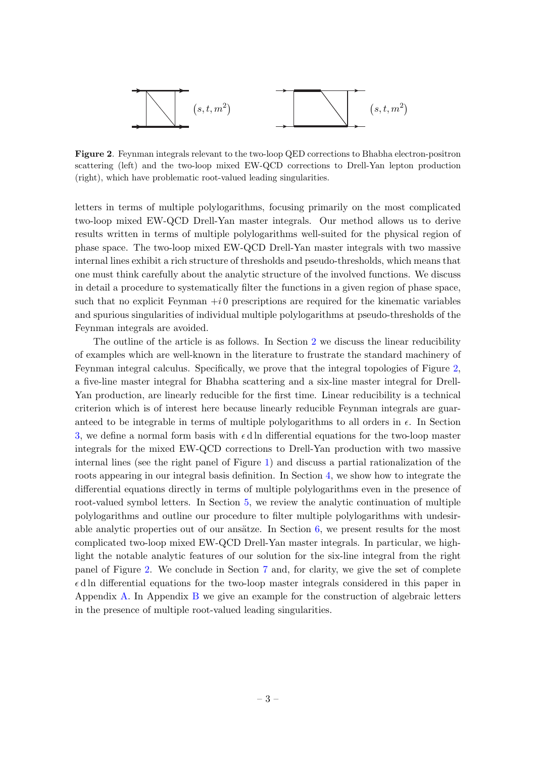

<span id="page-3-0"></span>Figure 2. Feynman integrals relevant to the two-loop QED corrections to Bhabha electron-positron scattering (left) and the two-loop mixed EW-QCD corrections to Drell-Yan lepton production (right), which have problematic root-valued leading singularities.

letters in terms of multiple polylogarithms, focusing primarily on the most complicated two-loop mixed EW-QCD Drell-Yan master integrals. Our method allows us to derive results written in terms of multiple polylogarithms well-suited for the physical region of phase space. The two-loop mixed EW-QCD Drell-Yan master integrals with two massive internal lines exhibit a rich structure of thresholds and pseudo-thresholds, which means that one must think carefully about the analytic structure of the involved functions. We discuss in detail a procedure to systematically filter the functions in a given region of phase space, such that no explicit Feynman  $+i0$  prescriptions are required for the kinematic variables and spurious singularities of individual multiple polylogarithms at pseudo-thresholds of the Feynman integrals are avoided.

The outline of the article is as follows. In Section [2](#page-4-0) we discuss the linear reducibility of examples which are well-known in the literature to frustrate the standard machinery of Feynman integral calculus. Specifically, we prove that the integral topologies of Figure [2,](#page-3-0) a five-line master integral for Bhabha scattering and a six-line master integral for Drell-Yan production, are linearly reducible for the first time. Linear reducibility is a technical criterion which is of interest here because linearly reducible Feynman integrals are guaranteed to be integrable in terms of multiple polylogarithms to all orders in  $\epsilon$ . In Section [3,](#page-8-0) we define a normal form basis with  $\epsilon$  d ln differential equations for the two-loop master integrals for the mixed EW-QCD corrections to Drell-Yan production with two massive internal lines (see the right panel of Figure [1\)](#page-2-0) and discuss a partial rationalization of the roots appearing in our integral basis definition. In Section [4,](#page-13-0) we show how to integrate the differential equations directly in terms of multiple polylogarithms even in the presence of root-valued symbol letters. In Section [5,](#page-18-0) we review the analytic continuation of multiple polylogarithms and outline our procedure to filter multiple polylogarithms with undesirable analytic properties out of our ansätze. In Section  $6$ , we present results for the most complicated two-loop mixed EW-QCD Drell-Yan master integrals. In particular, we highlight the notable analytic features of our solution for the six-line integral from the right panel of Figure [2.](#page-3-0) We conclude in Section [7](#page-34-0) and, for clarity, we give the set of complete  $\epsilon$ d ln differential equations for the two-loop master integrals considered in this paper in Appendix [A.](#page-35-0) In Appendix [B](#page-44-0) we give an example for the construction of algebraic letters in the presence of multiple root-valued leading singularities.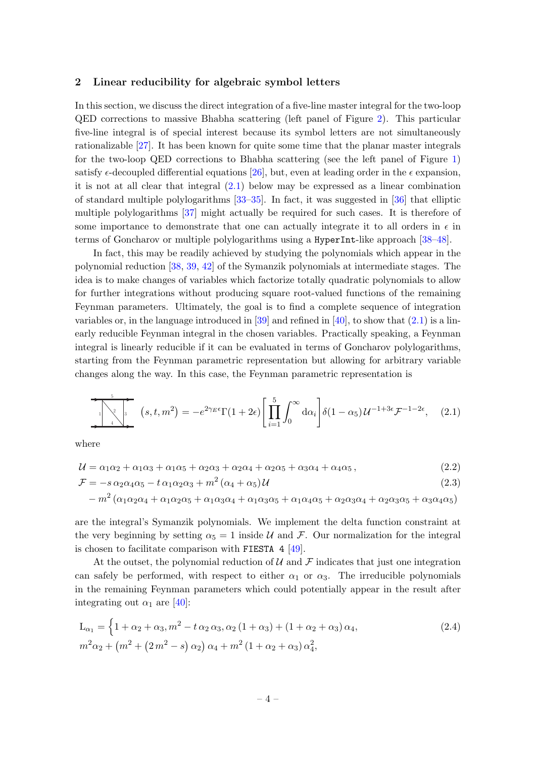#### <span id="page-4-0"></span>2 Linear reducibility for algebraic symbol letters

In this section, we discuss the direct integration of a five-line master integral for the two-loop QED corrections to massive Bhabha scattering (left panel of Figure [2\)](#page-3-0). This particular five-line integral is of special interest because its symbol letters are not simultaneously rationalizable [\[27\]](#page-49-4). It has been known for quite some time that the planar master integrals for the two-loop QED corrections to Bhabha scattering (see the left panel of Figure [1\)](#page-2-0) satisfy  $\epsilon$ -decoupled differential equations [\[26\]](#page-49-3), but, even at leading order in the  $\epsilon$  expansion, it is not at all clear that integral [\(2.1\)](#page-4-1) below may be expressed as a linear combination of standard multiple polylogarithms [\[33–](#page-49-10)[35\]](#page-49-11). In fact, it was suggested in [\[36\]](#page-49-12) that elliptic multiple polylogarithms [\[37\]](#page-49-13) might actually be required for such cases. It is therefore of some importance to demonstrate that one can actually integrate it to all orders in  $\epsilon$  in terms of Goncharov or multiple polylogarithms using a HyperInt-like approach [\[38](#page-49-14)[–48\]](#page-50-0).

In fact, this may be readily achieved by studying the polynomials which appear in the polynomial reduction [\[38,](#page-49-14) [39,](#page-49-15) [42\]](#page-50-1) of the Symanzik polynomials at intermediate stages. The idea is to make changes of variables which factorize totally quadratic polynomials to allow for further integrations without producing square root-valued functions of the remaining Feynman parameters. Ultimately, the goal is to find a complete sequence of integration variables or, in the language introduced in  $[39]$  and refined in  $[40]$ , to show that  $(2.1)$  is a linearly reducible Feynman integral in the chosen variables. Practically speaking, a Feynman integral is linearly reducible if it can be evaluated in terms of Goncharov polylogarithms, starting from the Feynman parametric representation but allowing for arbitrary variable changes along the way. In this case, the Feynman parametric representation is

<span id="page-4-1"></span>
$$
\sum_{i=1}^{5} \left(s, t, m^{2}\right) = -e^{2\gamma_{E}\epsilon} \Gamma(1+2\epsilon) \left[\prod_{i=1}^{5} \int_{0}^{\infty} d\alpha_{i}\right] \delta(1-\alpha_{5}) \mathcal{U}^{-1+3\epsilon} \mathcal{F}^{-1-2\epsilon}, \quad (2.1)
$$

where

$$
\mathcal{U} = \alpha_1 \alpha_2 + \alpha_1 \alpha_3 + \alpha_1 \alpha_5 + \alpha_2 \alpha_3 + \alpha_2 \alpha_4 + \alpha_2 \alpha_5 + \alpha_3 \alpha_4 + \alpha_4 \alpha_5, \tag{2.2}
$$

$$
\mathcal{F} = -s \alpha_2 \alpha_4 \alpha_5 - t \alpha_1 \alpha_2 \alpha_3 + m^2 (\alpha_4 + \alpha_5) \mathcal{U}
$$
\n(2.3)

$$
-m^2(\alpha_1\alpha_2\alpha_4+\alpha_1\alpha_2\alpha_5+\alpha_1\alpha_3\alpha_4+\alpha_1\alpha_3\alpha_5+\alpha_1\alpha_4\alpha_5+\alpha_2\alpha_3\alpha_4+\alpha_2\alpha_3\alpha_5+\alpha_3\alpha_4\alpha_5)
$$

are the integral's Symanzik polynomials. We implement the delta function constraint at the very beginning by setting  $\alpha_5 = 1$  inside U and F. Our normalization for the integral is chosen to facilitate comparison with FIESTA 4 [\[49\]](#page-50-2).

At the outset, the polynomial reduction of  $\mathcal U$  and  $\mathcal F$  indicates that just one integration can safely be performed, with respect to either  $\alpha_1$  or  $\alpha_3$ . The irreducible polynomials in the remaining Feynman parameters which could potentially appear in the result after integrating out  $\alpha_1$  are [\[40\]](#page-49-16):

$$
L_{\alpha_1} = \left\{ 1 + \alpha_2 + \alpha_3, m^2 - t \alpha_2 \alpha_3, \alpha_2 (1 + \alpha_3) + (1 + \alpha_2 + \alpha_3) \alpha_4, \right. m^2 \alpha_2 + \left( m^2 + (2m^2 - s) \alpha_2 \right) \alpha_4 + m^2 (1 + \alpha_2 + \alpha_3) \alpha_4^2, \right\}
$$
 (2.4)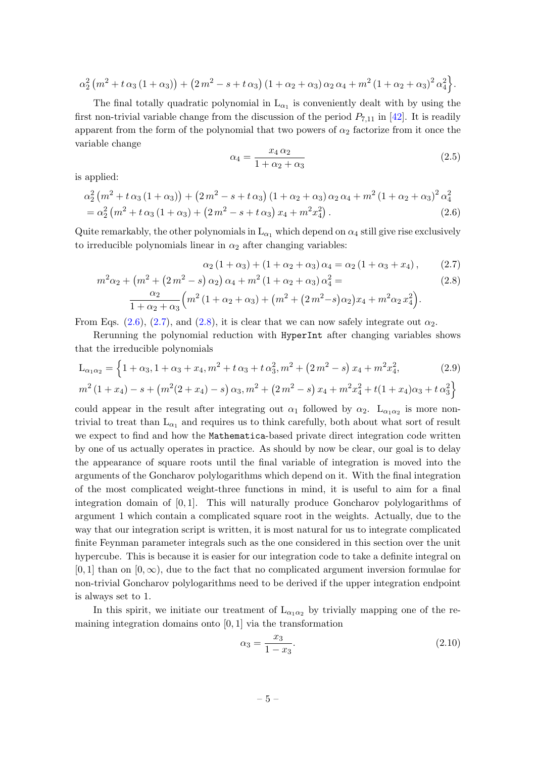$$
\alpha_2^2 (m^2 + t \alpha_3 (1 + \alpha_3)) + (2 m^2 - s + t \alpha_3) (1 + \alpha_2 + \alpha_3) \alpha_2 \alpha_4 + m^2 (1 + \alpha_2 + \alpha_3)^2 \alpha_4^2.
$$

The final totally quadratic polynomial in  $L_{\alpha_1}$  is conveniently dealt with by using the first non-trivial variable change from the discussion of the period  $P_{7,11}$  in [\[42\]](#page-50-1). It is readily apparent from the form of the polynomial that two powers of  $\alpha_2$  factorize from it once the variable change

<span id="page-5-2"></span><span id="page-5-1"></span><span id="page-5-0"></span>
$$
\alpha_4 = \frac{x_4 \alpha_2}{1 + \alpha_2 + \alpha_3} \tag{2.5}
$$

is applied:

$$
\alpha_2^2 (m^2 + t \alpha_3 (1 + \alpha_3)) + (2 m^2 - s + t \alpha_3) (1 + \alpha_2 + \alpha_3) \alpha_2 \alpha_4 + m^2 (1 + \alpha_2 + \alpha_3)^2 \alpha_4^2
$$
  
=  $\alpha_2^2 (m^2 + t \alpha_3 (1 + \alpha_3) + (2 m^2 - s + t \alpha_3) x_4 + m^2 x_4^2).$  (2.6)

Quite remarkably, the other polynomials in  $L_{\alpha_1}$  which depend on  $\alpha_4$  still give rise exclusively to irreducible polynomials linear in  $\alpha_2$  after changing variables:

<span id="page-5-3"></span>
$$
\alpha_2 (1 + \alpha_3) + (1 + \alpha_2 + \alpha_3) \alpha_4 = \alpha_2 (1 + \alpha_3 + x_4), \qquad (2.7)
$$

$$
m^{2}\alpha_{2} + (m^{2} + (2m^{2} - s) \alpha_{2}) \alpha_{4} + m^{2} (1 + \alpha_{2} + \alpha_{3}) \alpha_{4}^{2} =
$$
  
\n
$$
\frac{\alpha_{2}}{1 + \alpha_{2} + \alpha_{3}} \left( m^{2} (1 + \alpha_{2} + \alpha_{3}) + (m^{2} + (2m^{2} - s) \alpha_{2}) x_{4} + m^{2} \alpha_{2} x_{4}^{2} \right).
$$
\n(2.8)

From Eqs.  $(2.6), (2.7),$  $(2.6), (2.7),$  $(2.6), (2.7),$  and  $(2.8),$  it is clear that we can now safely integrate out  $\alpha_2$ .

Rerunning the polynomial reduction with HyperInt after changing variables shows that the irreducible polynomials

$$
L_{\alpha_1 \alpha_2} = \left\{ 1 + \alpha_3, 1 + \alpha_3 + x_4, m^2 + t \alpha_3 + t \alpha_3^2, m^2 + (2 m^2 - s) x_4 + m^2 x_4^2, \right\}
$$
\n
$$
m^2 (1 + x_4) - s + \left( m^2 (2 + x_4) - s \right) \alpha_3, m^2 + \left( 2 m^2 - s \right) x_4 + m^2 x_4^2 + t (1 + x_4) \alpha_3 + t \alpha_3^2 \right\}
$$
\n
$$
(2.9)
$$

could appear in the result after integrating out  $\alpha_1$  followed by  $\alpha_2$ .  $L_{\alpha_1 \alpha_2}$  is more nontrivial to treat than  $L_{\alpha_1}$  and requires us to think carefully, both about what sort of result we expect to find and how the Mathematica-based private direct integration code written by one of us actually operates in practice. As should by now be clear, our goal is to delay the appearance of square roots until the final variable of integration is moved into the arguments of the Goncharov polylogarithms which depend on it. With the final integration of the most complicated weight-three functions in mind, it is useful to aim for a final integration domain of [0, 1]. This will naturally produce Goncharov polylogarithms of argument 1 which contain a complicated square root in the weights. Actually, due to the way that our integration script is written, it is most natural for us to integrate complicated finite Feynman parameter integrals such as the one considered in this section over the unit hypercube. This is because it is easier for our integration code to take a definite integral on  $[0, 1]$  than on  $[0, \infty)$ , due to the fact that no complicated argument inversion formulae for non-trivial Goncharov polylogarithms need to be derived if the upper integration endpoint is always set to 1.

In this spirit, we initiate our treatment of  $L_{\alpha_1 \alpha_2}$  by trivially mapping one of the remaining integration domains onto [0, 1] via the transformation

$$
\alpha_3 = \frac{x_3}{1 - x_3}.\tag{2.10}
$$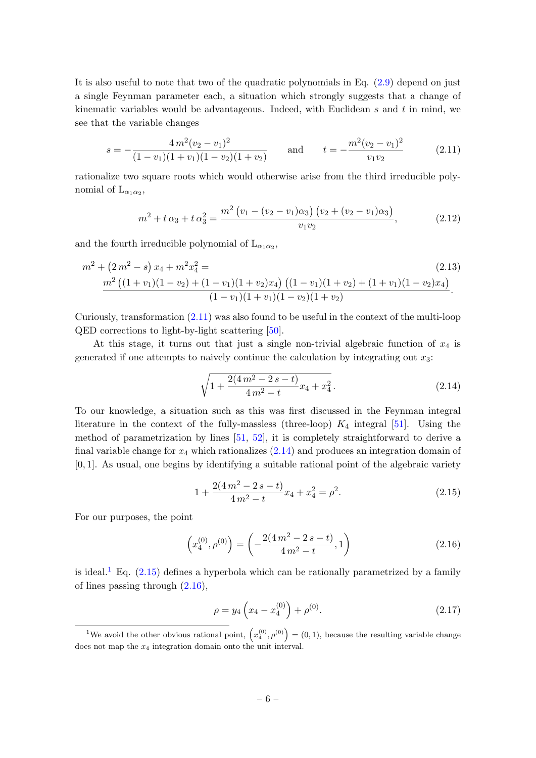It is also useful to note that two of the quadratic polynomials in Eq. [\(2.9\)](#page-5-3) depend on just a single Feynman parameter each, a situation which strongly suggests that a change of kinematic variables would be advantageous. Indeed, with Euclidean s and t in mind, we see that the variable changes

<span id="page-6-0"></span>
$$
s = -\frac{4m^2(v_2 - v_1)^2}{(1 - v_1)(1 + v_1)(1 - v_2)(1 + v_2)} \quad \text{and} \quad t = -\frac{m^2(v_2 - v_1)^2}{v_1 v_2} \tag{2.11}
$$

rationalize two square roots which would otherwise arise from the third irreducible polynomial of  $\mathcal{L}_{\alpha_1\alpha_2}$ ,

$$
m^{2} + t \alpha_{3} + t \alpha_{3}^{2} = \frac{m^{2} (v_{1} - (v_{2} - v_{1}) \alpha_{3}) (v_{2} + (v_{2} - v_{1}) \alpha_{3})}{v_{1} v_{2}}, \qquad (2.12)
$$

and the fourth irreducible polynomial of  $\mathcal{L}_{\alpha_1\alpha_2}$ ,

$$
m^{2} + (2m^{2} - s)x_{4} + m^{2}x_{4}^{2} = \qquad (2.13)
$$
  

$$
\frac{m^{2} ((1 + v_{1})(1 - v_{2}) + (1 - v_{1})(1 + v_{2})x_{4}) ((1 - v_{1})(1 + v_{2}) + (1 + v_{1})(1 - v_{2})x_{4})}{(1 - v_{1})(1 + v_{1})(1 - v_{2})(1 + v_{2})}.
$$

Curiously, transformation  $(2.11)$  was also found to be useful in the context of the multi-loop QED corrections to light-by-light scattering [\[50\]](#page-50-3).

At this stage, it turns out that just a single non-trivial algebraic function of  $x_4$  is generated if one attempts to naively continue the calculation by integrating out  $x_3$ :

<span id="page-6-1"></span>
$$
\sqrt{1 + \frac{2(4m^2 - 2s - t)}{4m^2 - t}x_4 + x_4^2}.
$$
\n(2.14)

To our knowledge, a situation such as this was first discussed in the Feynman integral literature in the context of the fully-massless (three-loop)  $K_4$  integral [\[51\]](#page-50-4). Using the method of parametrization by lines [\[51,](#page-50-4) [52\]](#page-50-5), it is completely straightforward to derive a final variable change for  $x_4$  which rationalizes  $(2.14)$  and produces an integration domain of [0, 1]. As usual, one begins by identifying a suitable rational point of the algebraic variety

<span id="page-6-3"></span>
$$
1 + \frac{2(4m^2 - 2s - t)}{4m^2 - t}x_4 + x_4^2 = \rho^2.
$$
 (2.15)

For our purposes, the point

<span id="page-6-4"></span>
$$
\left(x_4^{(0)}, \rho^{(0)}\right) = \left(-\frac{2(4\,m^2 - 2\,s - t)}{4\,m^2 - t}, 1\right) \tag{2.16}
$$

is ideal.<sup>[1](#page-6-2)</sup> Eq.  $(2.15)$  defines a hyperbola which can be rationally parametrized by a family of lines passing through [\(2.16\)](#page-6-4),

<span id="page-6-5"></span>
$$
\rho = y_4 \left( x_4 - x_4^{(0)} \right) + \rho^{(0)}.\tag{2.17}
$$

<span id="page-6-2"></span><sup>&</sup>lt;sup>1</sup>We avoid the other obvious rational point,  $(x_4^{(0)}, \rho^{(0)}) = (0, 1)$ , because the resulting variable change does not map the  $x_4$  integration domain onto the unit interval.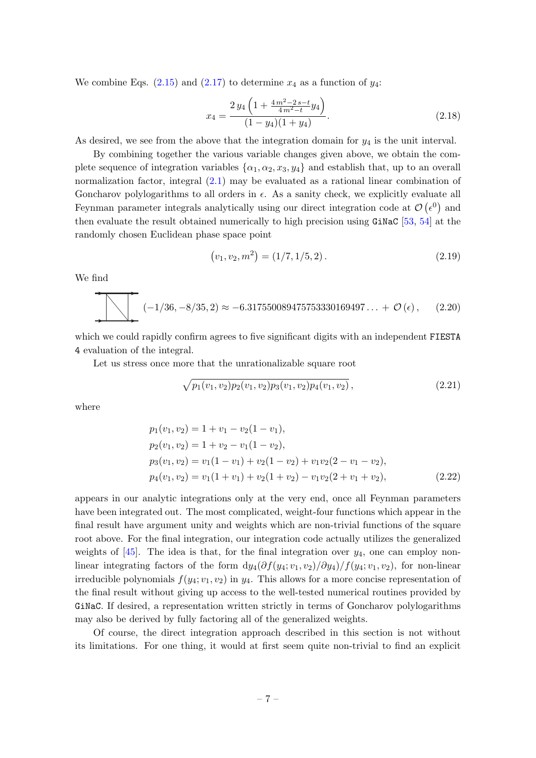We combine Eqs.  $(2.15)$  and  $(2.17)$  to determine  $x_4$  as a function of  $y_4$ :

$$
x_4 = \frac{2 y_4 \left(1 + \frac{4 m^2 - 2 s - t}{4 m^2 - t} y_4\right)}{(1 - y_4)(1 + y_4)}.
$$
\n(2.18)

As desired, we see from the above that the integration domain for  $y_4$  is the unit interval.

By combining together the various variable changes given above, we obtain the complete sequence of integration variables  $\{\alpha_1, \alpha_2, x_3, y_4\}$  and establish that, up to an overall normalization factor, integral [\(2.1\)](#page-4-1) may be evaluated as a rational linear combination of Goncharov polylogarithms to all orders in  $\epsilon$ . As a sanity check, we explicitly evaluate all Feynman parameter integrals analytically using our direct integration code at  $\mathcal{O}(\epsilon^0)$  and then evaluate the result obtained numerically to high precision using  $GiNaC$  [\[53,](#page-50-6) [54\]](#page-50-7) at the randomly chosen Euclidean phase space point

$$
(v_1, v_2, m^2) = (1/7, 1/5, 2). \tag{2.19}
$$

We find

$$
(-1/36, -8/35, 2) \approx -6.317550089475753330169497... + \mathcal{O}(\epsilon), \quad (2.20)
$$

which we could rapidly confirm agrees to five significant digits with an independent FIESTA 4 evaluation of the integral.

Let us stress once more that the unrationalizable square root

$$
\sqrt{p_1(v_1, v_2)p_2(v_1, v_2)p_3(v_1, v_2)p_4(v_1, v_2)}, \qquad (2.21)
$$

where

$$
p_1(v_1, v_2) = 1 + v_1 - v_2(1 - v_1),
$$
  
\n
$$
p_2(v_1, v_2) = 1 + v_2 - v_1(1 - v_2),
$$
  
\n
$$
p_3(v_1, v_2) = v_1(1 - v_1) + v_2(1 - v_2) + v_1v_2(2 - v_1 - v_2),
$$
  
\n
$$
p_4(v_1, v_2) = v_1(1 + v_1) + v_2(1 + v_2) - v_1v_2(2 + v_1 + v_2),
$$
\n(2.22)

appears in our analytic integrations only at the very end, once all Feynman parameters have been integrated out. The most complicated, weight-four functions which appear in the final result have argument unity and weights which are non-trivial functions of the square root above. For the final integration, our integration code actually utilizes the generalized weights of  $[45]$ . The idea is that, for the final integration over  $y_4$ , one can employ nonlinear integrating factors of the form  $dy_4(\partial f(y_4; v_1, v_2)/\partial y_4)/f(y_4; v_1, v_2)$ , for non-linear irreducible polynomials  $f(y_4; v_1, v_2)$  in  $y_4$ . This allows for a more concise representation of the final result without giving up access to the well-tested numerical routines provided by GiNaC. If desired, a representation written strictly in terms of Goncharov polylogarithms may also be derived by fully factoring all of the generalized weights.

Of course, the direct integration approach described in this section is not without its limitations. For one thing, it would at first seem quite non-trivial to find an explicit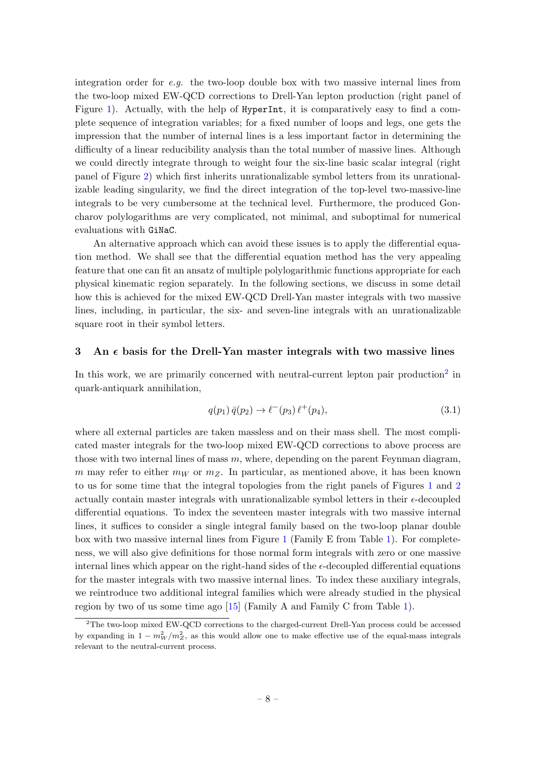integration order for  $e.g.$  the two-loop double box with two massive internal lines from the two-loop mixed EW-QCD corrections to Drell-Yan lepton production (right panel of Figure [1\)](#page-2-0). Actually, with the help of HyperInt, it is comparatively easy to find a complete sequence of integration variables; for a fixed number of loops and legs, one gets the impression that the number of internal lines is a less important factor in determining the difficulty of a linear reducibility analysis than the total number of massive lines. Although we could directly integrate through to weight four the six-line basic scalar integral (right panel of Figure [2\)](#page-3-0) which first inherits unrationalizable symbol letters from its unrationalizable leading singularity, we find the direct integration of the top-level two-massive-line integrals to be very cumbersome at the technical level. Furthermore, the produced Goncharov polylogarithms are very complicated, not minimal, and suboptimal for numerical evaluations with GiNaC.

An alternative approach which can avoid these issues is to apply the differential equation method. We shall see that the differential equation method has the very appealing feature that one can fit an ansatz of multiple polylogarithmic functions appropriate for each physical kinematic region separately. In the following sections, we discuss in some detail how this is achieved for the mixed EW-QCD Drell-Yan master integrals with two massive lines, including, in particular, the six- and seven-line integrals with an unrationalizable square root in their symbol letters.

#### <span id="page-8-0"></span>3 An  $\epsilon$  basis for the Drell-Yan master integrals with two massive lines

In this work, we are primarily concerned with neutral-current lepton pair production<sup>[2](#page-8-1)</sup> in quark-antiquark annihilation,

$$
q(p_1)\,\bar{q}(p_2)\to\ell^-(p_3)\,\ell^+(p_4),\tag{3.1}
$$

where all external particles are taken massless and on their mass shell. The most complicated master integrals for the two-loop mixed EW-QCD corrections to above process are those with two internal lines of mass  $m$ , where, depending on the parent Feynman diagram, m may refer to either  $m_W$  or  $m_Z$ . In particular, as mentioned above, it has been known to us for some time that the integral topologies from the right panels of Figures [1](#page-2-0) and [2](#page-3-0) actually contain master integrals with unrationalizable symbol letters in their  $\epsilon$ -decoupled differential equations. To index the seventeen master integrals with two massive internal lines, it suffices to consider a single integral family based on the two-loop planar double box with two massive internal lines from Figure [1](#page-2-0) (Family E from Table [1\)](#page-9-0). For completeness, we will also give definitions for those normal form integrals with zero or one massive internal lines which appear on the right-hand sides of the  $\epsilon$ -decoupled differential equations for the master integrals with two massive internal lines. To index these auxiliary integrals, we reintroduce two additional integral families which were already studied in the physical region by two of us some time ago [\[15\]](#page-48-9) (Family A and Family C from Table [1\)](#page-9-0).

<span id="page-8-1"></span><sup>&</sup>lt;sup>2</sup>The two-loop mixed EW-QCD corrections to the charged-current Drell-Yan process could be accessed by expanding in  $1 - m_W^2/m_Z^2$ , as this would allow one to make effective use of the equal-mass integrals relevant to the neutral-current process.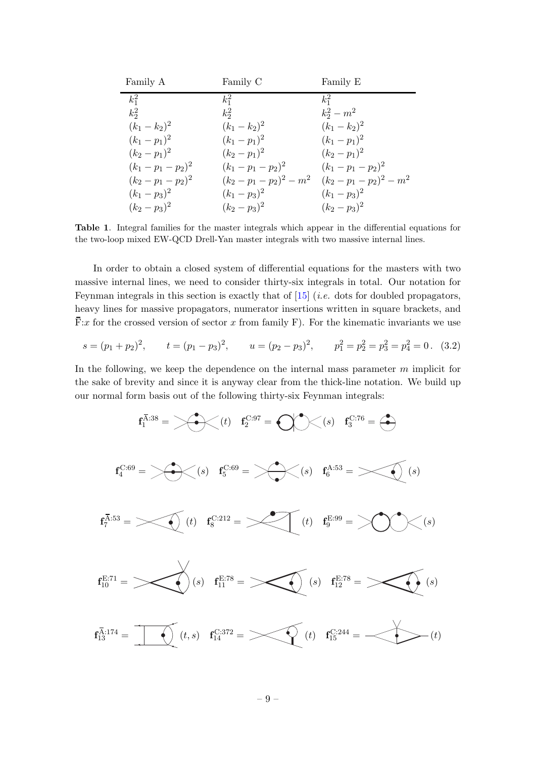| Family A          | Family C              | Family E              |
|-------------------|-----------------------|-----------------------|
| $k_1^2$           | $k_1^2$               | $k_1^2$               |
| $k_2^2$           | $k_2^2$               | $k_2^2 - m^2$         |
| $(k_1 - k_2)^2$   | $(k_1 - k_2)^2$       | $(k_1 - k_2)^2$       |
| $(k_1-p_1)^2$     | $(k_1-p_1)^2$         | $(k_1-p_1)^2$         |
| $(k_2-p_1)^2$     | $(k_2-p_1)^2$         | $(k_2-p_1)^2$         |
| $(k_1-p_1-p_2)^2$ | $(k_1-p_1-p_2)^2$     | $(k_1-p_1-p_2)^2$     |
| $(k_2-p_1-p_2)^2$ | $(k_2-p_1-p_2)^2-m^2$ | $(k_2-p_1-p_2)^2-m^2$ |
| $(k_1-p_3)^2$     | $(k_1-p_3)^2$         | $(k_1-p_3)^2$         |
| $(k_2-p_3)^2$     | $(k_2-p_3)^2$         | $(k_2-p_3)^2$         |

<span id="page-9-0"></span>Table 1. Integral families for the master integrals which appear in the differential equations for the two-loop mixed EW-QCD Drell-Yan master integrals with two massive internal lines.

In order to obtain a closed system of differential equations for the masters with two massive internal lines, we need to consider thirty-six integrals in total. Our notation for Feynman integrals in this section is exactly that of  $[15]$  (*i.e.* dots for doubled propagators, heavy lines for massive propagators, numerator insertions written in square brackets, and  $\overline{F}$ :x for the crossed version of sector x from family F). For the kinematic invariants we use

$$
s = (p_1 + p_2)^2
$$
,  $t = (p_1 - p_3)^2$ ,  $u = (p_2 - p_3)^2$ ,  $p_1^2 = p_2^2 = p_3^2 = p_4^2 = 0$ . (3.2)

In the following, we keep the dependence on the internal mass parameter  $m$  implicit for the sake of brevity and since it is anyway clear from the thick-line notation. We build up our normal form basis out of the following thirty-six Feynman integrals:

$$
\mathbf{f}_{1}^{\overline{A}:38} = \left\langle \bigotimes \left( t \right) \quad \mathbf{f}_{2}^{\text{C}:97} = \bigotimes \left( \bigotimes \left( s \right) \quad \mathbf{f}_{3}^{\text{C}:76} = \bigotimes \right) \right\rangle
$$
\n
$$
\mathbf{f}_{4}^{\overline{A}:53} = \left\langle \bigotimes \left( s \right) \quad \mathbf{f}_{5}^{\text{C}:69} = \left\langle \bigotimes \left( s \right) \quad \mathbf{f}_{6}^{\text{A}:53} = \bigotimes \left( s \right) \right. \right)
$$
\n
$$
\mathbf{f}_{7}^{\overline{A}:53} = \left\langle \bigotimes \left( t \right) \quad \mathbf{f}_{8}^{\text{C}:212} = \left\langle \bigotimes \left( t \right) \quad \mathbf{f}_{9}^{\text{E}:99} = \left\langle \bigotimes \left( s \right) \right\rangle
$$
\n
$$
\mathbf{f}_{12}^{\overline{A}:74} = \left\langle \bigotimes \left( t, s \right) \quad \mathbf{f}_{14}^{\text{E}:78} = \left\langle \bigotimes \left( t \right) \quad \mathbf{f}_{15}^{\text{C}:24} = \left\langle \bigotimes \left( t \right) \right] \right. \right)
$$
\n
$$
\mathbf{f}_{13}^{\overline{A}:174} = \left\langle \bigotimes \left( t, s \right) \quad \mathbf{f}_{14}^{\text{C}:372} = \left\langle \bigotimes \left( t \right) \quad \mathbf{f}_{15}^{\text{C}:244} = \left\langle \bigotimes \left( t \right) \right. \right)
$$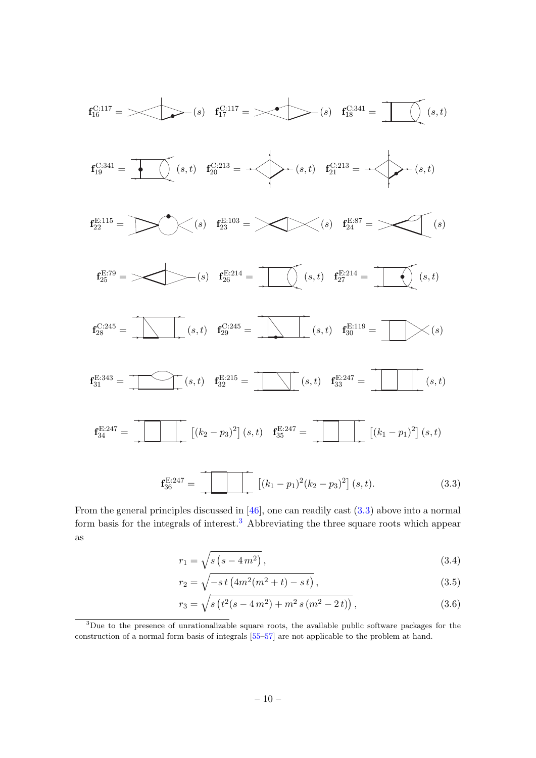

From the general principles discussed in [\[46\]](#page-50-9), one can readily cast [\(3.3\)](#page-10-0) above into a normal form basis for the integrals of interest.<sup>[3](#page-10-1)</sup> Abbreviating the three square roots which appear as

<span id="page-10-0"></span>
$$
r_1 = \sqrt{s (s - 4m^2)},
$$
\n(3.4)

$$
r_2 = \sqrt{-s\,t\left(4m^2(m^2+t) - s\,t\right)},\tag{3.5}
$$

$$
r_3 = \sqrt{s \left( t^2 (s - 4m^2) + m^2 s \left( m^2 - 2t \right) \right)},\tag{3.6}
$$

<span id="page-10-1"></span><sup>3</sup>Due to the presence of unrationalizable square roots, the available public software packages for the construction of a normal form basis of integrals [\[55](#page-50-10)[–57\]](#page-50-11) are not applicable to the problem at hand.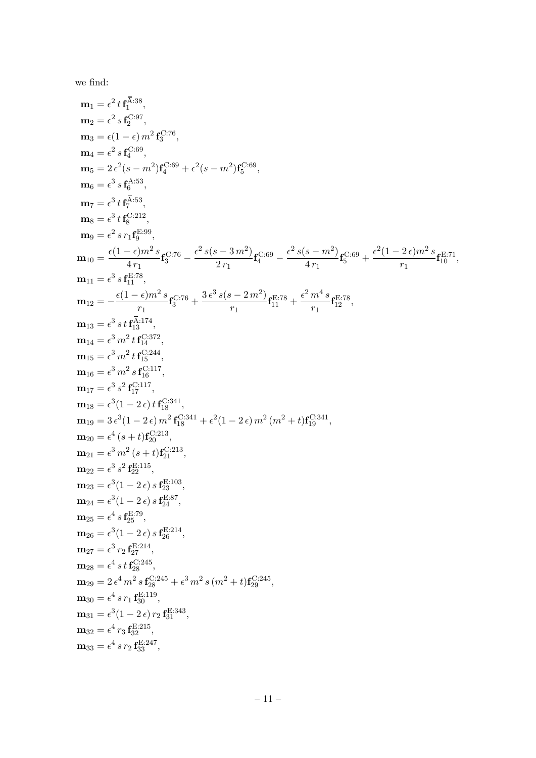we find:

$$
\begin{aligned} &\mathbf{m}_1=e^2\,t\,\mathbf{f}_1^{\overline{A},38},\\ &\mathbf{m}_2=e^2\,s\,\mathbf{f}_2^{\mathrm{C};97},\\ &\mathbf{m}_3=e^2\,s\,\mathbf{f}_2^{\mathrm{C};99},\\ &\mathbf{m}_4=e^2\,s\,\mathbf{f}_4^{\overline{C};89},\\ &\mathbf{m}_5=2\,e^2(s-m^2)\mathbf{f}_2^{\mathrm{C};69}+e^2(s-m^2)\mathbf{f}_5^{\mathrm{C};69},\\ &\mathbf{m}_6=e^3\,s\,\mathbf{f}_6^{\mathrm{A},53},\\ &\mathbf{m}_7=e^3\,t\,\mathbf{f}_6^{\overline{C};89},\\ &\mathbf{m}_8=e^2\,s\,t\,\mathbf{f}_6^{\overline{C};92},\\ &\mathbf{m}_9=e^2\,s\,r_1\mathbf{f}_6^{\overline{C};99},\\ &\mathbf{m}_10=e^2\,s\,r_1\mathbf{f}_6^{\overline{C};99},\\ &\mathbf{m}_10=e^2\,s\,\mathbf{f}_6^{\overline{E};78},\\ &\mathbf{m}_{12}=-\frac{e(1-e)m^2\,s}{r_1}\mathbf{f}_5^{\overline{C};76}+\frac{e^2\,s(s-3\,m^2)}{2r_1}\mathbf{f}_6^{\overline{C};69}-\frac{e^2\,s(s-m^2)}{4\,r_1}\mathbf{f}_5^{\overline{C};69}+\frac{e^2(1-2\,e)m^2\,s}{r_1}\mathbf{f}_{12}^{\overline{E};78},\\ &\mathbf{m}_{13}=-\frac{e(1-e)m^2\,s\,t\,\mathbf{f}_6^{\overline{C};74}}{4\,r_3^4}\mathbf{f}_{12}^{\overline{C};74},\\ &\mathbf{m}_{14}=e^3\,s\,t\,\mathbf{f}_{13}^{\overline{C};17},\\ &\mathbf{m}_{15}=e^3\,s\,t\,\mathbf{f}_{13}^{\overline{C};117},\\ &\mathbf{m}_{16}=e^3\,m^2\,s\,\mathbf{f}_6^{\overline{
$$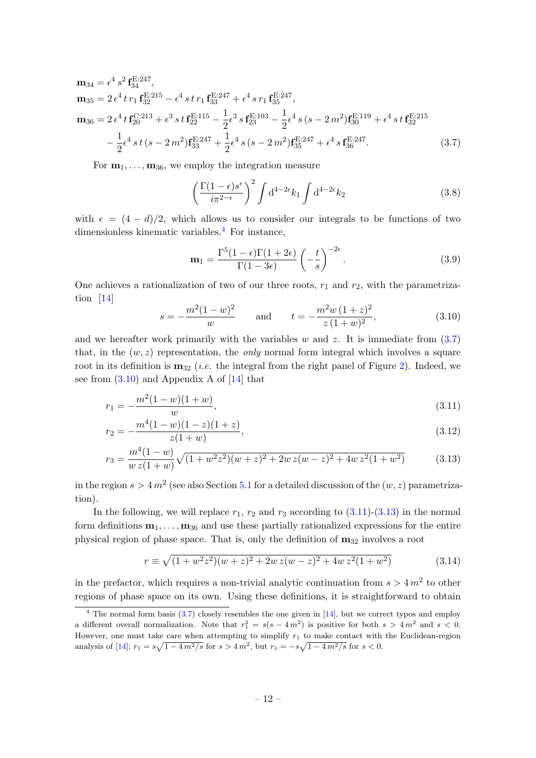$$
\mathbf{m}_{34} = \epsilon^4 s^2 \mathbf{f}_{34}^{\text{E:247}}, \n\mathbf{m}_{35} = 2 \epsilon^4 t r_1 \mathbf{f}_{32}^{\text{E:215}} - \epsilon^4 s t r_1 \mathbf{f}_{33}^{\text{E:247}} + \epsilon^4 s r_1 \mathbf{f}_{35}^{\text{E:247}}, \n\mathbf{m}_{36} = 2 \epsilon^4 t \mathbf{f}_{20}^{\text{C:213}} + \epsilon^3 s t \mathbf{f}_{22}^{\text{E:115}} - \frac{1}{2} \epsilon^3 s \mathbf{f}_{23}^{\text{E:103}} - \frac{1}{2} \epsilon^4 s (s - 2m^2) \mathbf{f}_{30}^{\text{E:119}} + \epsilon^4 s t \mathbf{f}_{32}^{\text{E:215}} \n- \frac{1}{2} \epsilon^4 s t (s - 2m^2) \mathbf{f}_{33}^{\text{E:247}} + \frac{1}{2} \epsilon^4 s (s - 2m^2) \mathbf{f}_{35}^{\text{E:247}} + \epsilon^4 s \mathbf{f}_{36}^{\text{E:247}}.
$$
\n(3.7)

For  $m_1, \ldots, m_{36}$ , we employ the integration measure

<span id="page-12-1"></span>
$$
\left(\frac{\Gamma(1-\epsilon)s^{\epsilon}}{i\pi^{2-\epsilon}}\right)^2 \int d^{4-2\epsilon}k_1 \int d^{4-2\epsilon}k_2 \tag{3.8}
$$

with  $\epsilon = (4 - d)/2$ , which allows us to consider our integrals to be functions of two dimensionless kinematic variables.<sup>[4](#page-12-0)</sup> For instance,

<span id="page-12-3"></span>
$$
\mathbf{m}_1 = \frac{\Gamma^5 (1 - \epsilon) \Gamma (1 + 2\epsilon)}{\Gamma (1 - 3\epsilon)} \left( -\frac{t}{s} \right)^{-2\epsilon}.
$$
 (3.9)

One achieves a rationalization of two of our three roots,  $r_1$  and  $r_2$ , with the parametrization [\[14\]](#page-48-8)

<span id="page-12-4"></span><span id="page-12-2"></span>
$$
s = -\frac{m^2(1-w)^2}{w} \quad \text{and} \quad t = -\frac{m^2w(1+z)^2}{z(1+w)^2},\tag{3.10}
$$

and we hereafter work primarily with the variables  $w$  and  $z$ . It is immediate from  $(3.7)$ that, in the  $(w, z)$  representation, the *only* normal form integral which involves a square root in its definition is  $m_{32}$  (*i.e.* the integral from the right panel of Figure [2\)](#page-3-0). Indeed, we see from  $(3.10)$  and Appendix A of [\[14\]](#page-48-8) that

$$
r_1 = -\frac{m^2(1-w)(1+w)}{w},\tag{3.11}
$$

$$
r_2 = -\frac{m^4(1-w)(1-z)(1+z)}{z(1+w)},
$$
\n(3.12)

$$
r_3 = \frac{m^4(1-w)}{w z(1+w)} \sqrt{(1+w^2 z^2)(w+z)^2 + 2w z(w-z)^2 + 4w z^2(1+w^2)}
$$
(3.13)

in the region  $s > 4 m^2$  (see also Section [5.1](#page-19-0) for a detailed discussion of the  $(w, z)$  parametrization).

In the following, we will replace  $r_1$ ,  $r_2$  and  $r_3$  according to  $(3.11)-(3.13)$  $(3.11)-(3.13)$  in the normal form definitions  $\mathbf{m}_1, \ldots, \mathbf{m}_{36}$  and use these partially rationalized expressions for the entire physical region of phase space. That is, only the definition of  $m_{32}$  involves a root

$$
r \equiv \sqrt{(1 + w^2 z^2)(w + z)^2 + 2w z(w - z)^2 + 4w z^2 (1 + w^2)}
$$
(3.14)

in the prefactor, which requires a non-trivial analytic continuation from  $s > 4m^2$  to other regions of phase space on its own. Using these definitions, it is straightforward to obtain

<span id="page-12-0"></span> $4$  The normal form basis  $(3.7)$  closely resembles the one given in [\[14\]](#page-48-8), but we correct typos and employ a different overall normalization. Note that  $r_1^2 = s(s - 4m^2)$  is positive for both  $s > 4m^2$  and  $s < 0$ . However, one must take care when attempting to simplify  $r_1$  to make contact with the Euclidean-region analysis of [\[14\]](#page-48-8);  $r_1 = s\sqrt{1 - 4m^2/s}$  for  $s > 4m^2$ , but  $r_1 = -s\sqrt{1 - 4m^2/s}$  for  $s < 0$ .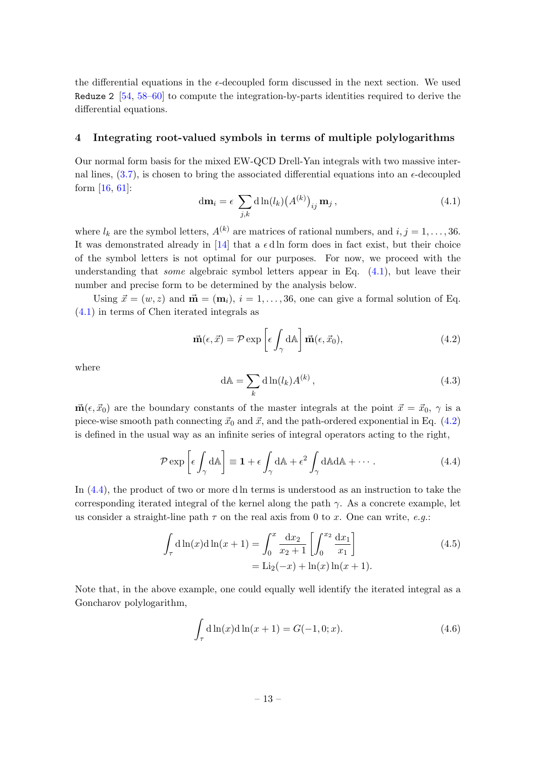the differential equations in the  $\epsilon$ -decoupled form discussed in the next section. We used Reduze 2  $[54, 58-60]$  $[54, 58-60]$  $[54, 58-60]$  to compute the integration-by-parts identities required to derive the differential equations.

#### <span id="page-13-0"></span>4 Integrating root-valued symbols in terms of multiple polylogarithms

Our normal form basis for the mixed EW-QCD Drell-Yan integrals with two massive internal lines,  $(3.7)$ , is chosen to bring the associated differential equations into an  $\epsilon$ -decoupled form [\[16,](#page-48-10) [61\]](#page-51-0):

<span id="page-13-1"></span>
$$
\mathrm{d}\mathbf{m}_{i} = \epsilon \sum_{j,k} \mathrm{d}\ln(l_{k}) \big(A^{(k)}\big)_{ij} \mathbf{m}_{j},\tag{4.1}
$$

where  $l_k$  are the symbol letters,  $A^{(k)}$  are matrices of rational numbers, and  $i, j = 1, \ldots, 36$ . It was demonstrated already in [\[14\]](#page-48-8) that a  $\epsilon$  d ln form does in fact exist, but their choice of the symbol letters is not optimal for our purposes. For now, we proceed with the understanding that *some* algebraic symbol letters appear in Eq.  $(4.1)$ , but leave their number and precise form to be determined by the analysis below.

Using  $\vec{x} = (w, z)$  and  $\vec{m} = (m_i), i = 1, \ldots, 36$ , one can give a formal solution of Eq. [\(4.1\)](#page-13-1) in terms of Chen iterated integrals as

<span id="page-13-2"></span>
$$
\vec{\mathbf{m}}(\epsilon, \vec{x}) = \mathcal{P} \exp\left[\epsilon \int_{\gamma} d\mathbb{A}\right] \vec{\mathbf{m}}(\epsilon, \vec{x}_0), \tag{4.2}
$$

where

$$
dA = \sum_{k} d \ln(l_k) A^{(k)}, \qquad (4.3)
$$

 $\vec{m}(\epsilon, \vec{x}_0)$  are the boundary constants of the master integrals at the point  $\vec{x} = \vec{x}_0, \gamma$  is a piece-wise smooth path connecting  $\vec{x}_0$  and  $\vec{x}$ , and the path-ordered exponential in Eq. [\(4.2\)](#page-13-2) is defined in the usual way as an infinite series of integral operators acting to the right,

<span id="page-13-3"></span>
$$
\mathcal{P} \exp\left[\epsilon \int_{\gamma} d\mathbb{A}\right] \equiv \mathbf{1} + \epsilon \int_{\gamma} d\mathbb{A} + \epsilon^2 \int_{\gamma} d\mathbb{A} d\mathbb{A} + \cdots
$$
 (4.4)

In [\(4.4\)](#page-13-3), the product of two or more d ln terms is understood as an instruction to take the corresponding iterated integral of the kernel along the path  $\gamma$ . As a concrete example, let us consider a straight-line path  $\tau$  on the real axis from 0 to x. One can write, e.g.:

$$
\int_{\tau} d\ln(x) d\ln(x+1) = \int_0^x \frac{dx_2}{x_2+1} \left[ \int_0^{x_2} \frac{dx_1}{x_1} \right]
$$
\n
$$
= \text{Li}_2(-x) + \ln(x) \ln(x+1).
$$
\n(4.5)

Note that, in the above example, one could equally well identify the iterated integral as a Goncharov polylogarithm,

$$
\int_{\tau} d \ln(x) d \ln(x+1) = G(-1,0;x).
$$
 (4.6)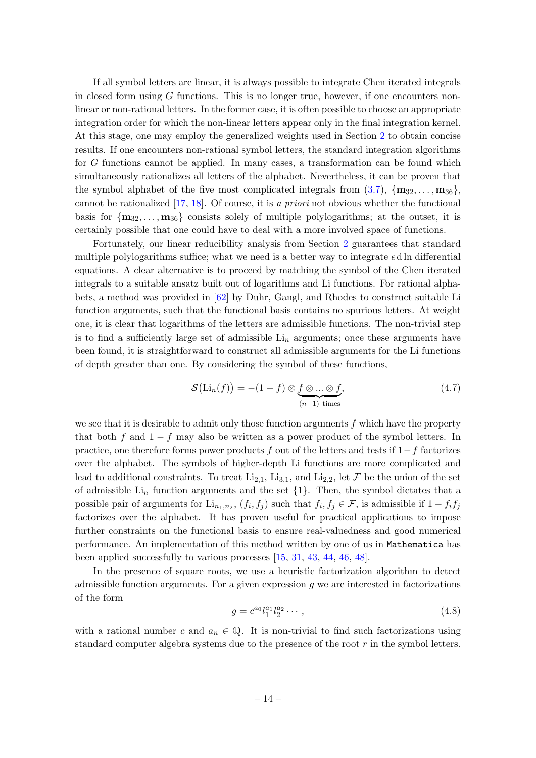If all symbol letters are linear, it is always possible to integrate Chen iterated integrals in closed form using  $G$  functions. This is no longer true, however, if one encounters nonlinear or non-rational letters. In the former case, it is often possible to choose an appropriate integration order for which the non-linear letters appear only in the final integration kernel. At this stage, one may employ the generalized weights used in Section [2](#page-4-0) to obtain concise results. If one encounters non-rational symbol letters, the standard integration algorithms for G functions cannot be applied. In many cases, a transformation can be found which simultaneously rationalizes all letters of the alphabet. Nevertheless, it can be proven that the symbol alphabet of the five most complicated integrals from  $(3.7)$ ,  $\{m_{32}, \ldots, m_{36}\}$ , cannot be rationalized [\[17,](#page-48-11) [18\]](#page-48-12). Of course, it is a priori not obvious whether the functional basis for  $\{m_{32}, \ldots, m_{36}\}\$ consists solely of multiple polylogarithms; at the outset, it is certainly possible that one could have to deal with a more involved space of functions.

Fortunately, our linear reducibility analysis from Section [2](#page-4-0) guarantees that standard multiple polylogarithms suffice; what we need is a better way to integrate  $\epsilon$  d ln differential equations. A clear alternative is to proceed by matching the symbol of the Chen iterated integrals to a suitable ansatz built out of logarithms and Li functions. For rational alphabets, a method was provided in [\[62\]](#page-51-1) by Duhr, Gangl, and Rhodes to construct suitable Li function arguments, such that the functional basis contains no spurious letters. At weight one, it is clear that logarithms of the letters are admissible functions. The non-trivial step is to find a sufficiently large set of admissible  $Li_n$  arguments; once these arguments have been found, it is straightforward to construct all admissible arguments for the Li functions of depth greater than one. By considering the symbol of these functions,

$$
\mathcal{S}\big(\text{Li}_n(f)\big) = -(1-f) \otimes \underbrace{f \otimes \ldots \otimes f}_{(n-1) \text{ times}},\tag{4.7}
$$

we see that it is desirable to admit only those function arguments  $f$  which have the property that both f and  $1 - f$  may also be written as a power product of the symbol letters. In practice, one therefore forms power products f out of the letters and tests if  $1-f$  factorizes over the alphabet. The symbols of higher-depth Li functions are more complicated and lead to additional constraints. To treat  $Li_{2,1}$ ,  $Li_{3,1}$ , and  $Li_{2,2}$ , let F be the union of the set of admissible  $\text{Li}_n$  function arguments and the set  $\{1\}$ . Then, the symbol dictates that a possible pair of arguments for  $\text{Li}_{n_1,n_2}$ ,  $(f_i, f_j)$  such that  $f_i, f_j \in \mathcal{F}$ , is admissible if  $1 - f_i f_j$ factorizes over the alphabet. It has proven useful for practical applications to impose further constraints on the functional basis to ensure real-valuedness and good numerical performance. An implementation of this method written by one of us in Mathematica has been applied successfully to various processes [\[15,](#page-48-9) [31,](#page-49-8) [43,](#page-50-14) [44,](#page-50-15) [46,](#page-50-9) [48\]](#page-50-0).

In the presence of square roots, we use a heuristic factorization algorithm to detect admissible function arguments. For a given expression  $g$  we are interested in factorizations of the form

<span id="page-14-0"></span>
$$
g = c^{a_0} l_1^{a_1} l_2^{a_2} \cdots, \qquad (4.8)
$$

with a rational number c and  $a_n \in \mathbb{Q}$ . It is non-trivial to find such factorizations using standard computer algebra systems due to the presence of the root r in the symbol letters.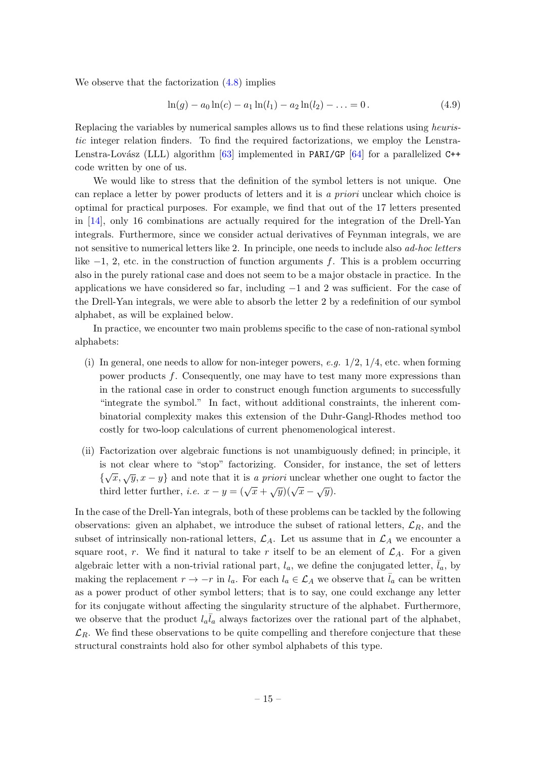We observe that the factorization [\(4.8\)](#page-14-0) implies

$$
\ln(g) - a_0 \ln(c) - a_1 \ln(l_1) - a_2 \ln(l_2) - \ldots = 0.
$$
 (4.9)

Replacing the variables by numerical samples allows us to find these relations using heuristic integer relation finders. To find the required factorizations, we employ the Lenstra-Lenstra-Lovász (LLL) algorithm  $[63]$  implemented in PARI/GP  $[64]$  for a parallelized C++ code written by one of us.

We would like to stress that the definition of the symbol letters is not unique. One can replace a letter by power products of letters and it is a priori unclear which choice is optimal for practical purposes. For example, we find that out of the 17 letters presented in [\[14\]](#page-48-8), only 16 combinations are actually required for the integration of the Drell-Yan integrals. Furthermore, since we consider actual derivatives of Feynman integrals, we are not sensitive to numerical letters like 2. In principle, one needs to include also *ad-hoc letters* like  $-1$ , 2, etc. in the construction of function arguments f. This is a problem occurring also in the purely rational case and does not seem to be a major obstacle in practice. In the applications we have considered so far, including  $-1$  and 2 was sufficient. For the case of the Drell-Yan integrals, we were able to absorb the letter 2 by a redefinition of our symbol alphabet, as will be explained below.

In practice, we encounter two main problems specific to the case of non-rational symbol alphabets:

- (i) In general, one needs to allow for non-integer powers, e.g.  $1/2$ ,  $1/4$ , etc. when forming power products f. Consequently, one may have to test many more expressions than in the rational case in order to construct enough function arguments to successfully "integrate the symbol." In fact, without additional constraints, the inherent combinatorial complexity makes this extension of the Duhr-Gangl-Rhodes method too costly for two-loop calculations of current phenomenological interest.
- (ii) Factorization over algebraic functions is not unambiguously defined; in principle, it is not clear where to "stop" factorizing. Consider, for instance, the set of letters  $\{\sqrt{x}, \sqrt{y}, x - y\}$  and note that it is a priori unclear whether one ought to factor the third letter further, *i.e.*  $x - y = (\sqrt{x} + \sqrt{y})(\sqrt{x} - \sqrt{y})$ .

In the case of the Drell-Yan integrals, both of these problems can be tackled by the following observations: given an alphabet, we introduce the subset of rational letters,  $\mathcal{L}_R$ , and the subset of intrinsically non-rational letters,  $\mathcal{L}_A$ . Let us assume that in  $\mathcal{L}_A$  we encounter a square root, r. We find it natural to take r itself to be an element of  $\mathcal{L}_A$ . For a given algebraic letter with a non-trivial rational part,  $l_a$ , we define the conjugated letter,  $\bar{l}_a$ , by making the replacement  $r \to -r$  in  $l_a$ . For each  $l_a \in \mathcal{L}_A$  we observe that  $\bar{l}_a$  can be written as a power product of other symbol letters; that is to say, one could exchange any letter for its conjugate without affecting the singularity structure of the alphabet. Furthermore, we observe that the product  $l_a\bar{l}_a$  always factorizes over the rational part of the alphabet,  $\mathcal{L}_R$ . We find these observations to be quite compelling and therefore conjecture that these structural constraints hold also for other symbol alphabets of this type.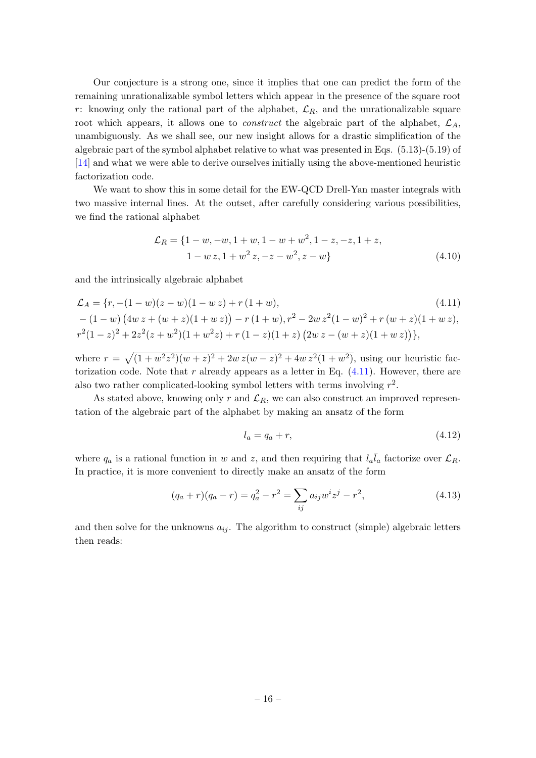Our conjecture is a strong one, since it implies that one can predict the form of the remaining unrationalizable symbol letters which appear in the presence of the square root r: knowing only the rational part of the alphabet,  $\mathcal{L}_R$ , and the unrationalizable square root which appears, it allows one to *construct* the algebraic part of the alphabet,  $\mathcal{L}_A$ , unambiguously. As we shall see, our new insight allows for a drastic simplification of the algebraic part of the symbol alphabet relative to what was presented in Eqs. (5.13)-(5.19) of [\[14\]](#page-48-8) and what we were able to derive ourselves initially using the above-mentioned heuristic factorization code.

We want to show this in some detail for the EW-QCD Drell-Yan master integrals with two massive internal lines. At the outset, after carefully considering various possibilities, we find the rational alphabet

$$
\mathcal{L}_R = \{1 - w, -w, 1 + w, 1 - w + w^2, 1 - z, -z, 1 + z, 1 - w z, 1 + w^2 z, -z - w^2, z - w\}
$$
\n
$$
(4.10)
$$

and the intrinsically algebraic alphabet

$$
\mathcal{L}_A = \{r, -(1-w)(z-w)(1-wz) + r(1+w),
$$
\n
$$
-(1-w)\left(4w z + (w+z)(1+w z)\right) - r(1+w), r^2 - 2w z^2 (1-w)^2 + r(w+z)(1+w z),
$$
\n
$$
r^2(1-z)^2 + 2z^2(z+w^2)(1+w^2 z) + r(1-z)(1+z)\left(2w z - (w+z)(1+w z)\right)\},
$$
\n(4.11)

where  $r = \sqrt{(1 + w^2 z^2)(w + z)^2 + 2w z(w - z)^2 + 4w z^2(1 + w^2)}$ , using our heuristic factorization code. Note that r already appears as a letter in Eq.  $(4.11)$ . However, there are also two rather complicated-looking symbol letters with terms involving  $r^2$ .

As stated above, knowing only r and  $\mathcal{L}_R$ , we can also construct an improved representation of the algebraic part of the alphabet by making an ansatz of the form

<span id="page-16-1"></span><span id="page-16-0"></span>
$$
l_a = q_a + r,\tag{4.12}
$$

where  $q_a$  is a rational function in w and z, and then requiring that  $l_a\bar{l}_a$  factorize over  $\mathcal{L}_R$ . In practice, it is more convenient to directly make an ansatz of the form

$$
(q_a + r)(q_a - r) = q_a^2 - r^2 = \sum_{ij} a_{ij} w^i z^j - r^2,
$$
\n(4.13)

and then solve for the unknowns  $a_{ij}$ . The algorithm to construct (simple) algebraic letters then reads: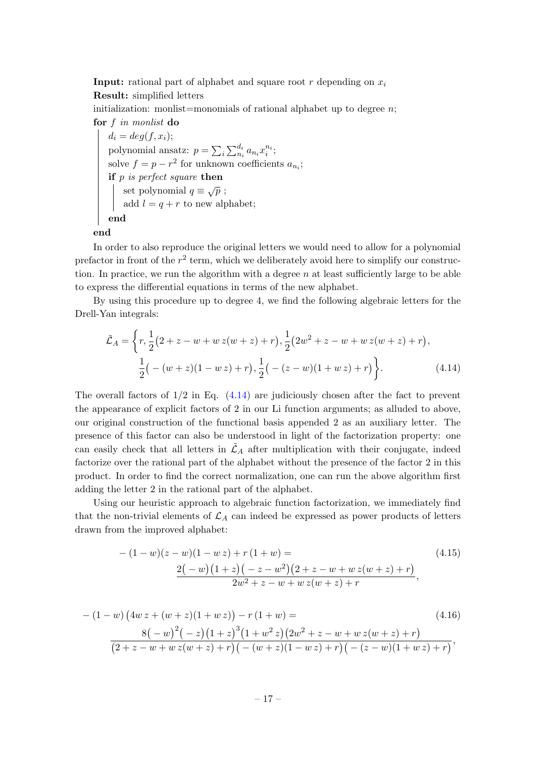**Input:** rational part of alphabet and square root r depending on  $x_i$ Result: simplified letters

initialization: monlist=monomials of rational alphabet up to degree  $n$ ; for f in monlist do

```
d_i = deg(f, x_i);polynomial ansatz: p = \sum_i \sum_{n_i}^{d_i} a_{n_i} x_i^{n_i};solve f = p - r^2 for unknown coefficients a_{n_i};
if p is perfect square then
    set polynomial q \equiv \sqrt{p};
    add l = q + r to new alphabet;
end
```
end

In order to also reproduce the original letters we would need to allow for a polynomial prefactor in front of the  $r^2$  term, which we deliberately avoid here to simplify our construction. In practice, we run the algorithm with a degree  $n$  at least sufficiently large to be able to express the differential equations in terms of the new alphabet.

By using this procedure up to degree 4, we find the following algebraic letters for the Drell-Yan integrals:

<span id="page-17-0"></span>
$$
\tilde{\mathcal{L}}_A = \left\{ r, \frac{1}{2} (2 + z - w + w z(w + z) + r), \frac{1}{2} (2w^2 + z - w + w z(w + z) + r), \frac{1}{2} (- (w + z)(1 - w z) + r), \frac{1}{2} (- (z - w)(1 + w z) + r) \right\}.
$$
\n(4.14)

The overall factors of  $1/2$  in Eq.  $(4.14)$  are judiciously chosen after the fact to prevent the appearance of explicit factors of 2 in our Li function arguments; as alluded to above, our original construction of the functional basis appended 2 as an auxiliary letter. The presence of this factor can also be understood in light of the factorization property: one can easily check that all letters in  $\tilde{\mathcal{L}}_A$  after multiplication with their conjugate, indeed factorize over the rational part of the alphabet without the presence of the factor 2 in this product. In order to find the correct normalization, one can run the above algorithm first adding the letter 2 in the rational part of the alphabet.

Using our heuristic approach to algebraic function factorization, we immediately find that the non-trivial elements of  $\mathcal{L}_A$  can indeed be expressed as power products of letters drawn from the improved alphabet:

$$
-(1-w)(z-w)(1-wz) + r(1+w) =
$$
\n
$$
\frac{2(-w)(1+z)(-z-w^{2})(2+z-w+w z(w+z)+r)}{2w^{2}+z-w+w z(w+z)+r},
$$
\n(4.15)

$$
-(1-w)\left(4w\,z+(w+z)(1+w\,z)\right)-r\left(1+w\right)=\n\qquad \qquad (4.16)
$$
\n
$$
\frac{8\left(-w\right)^{2}\left(-z\right)\left(1+z\right)^{3}\left(1+w^{2}z\right)\left(2w^{2}+z-w+w\,z(w+z)+r\right)}{\left(2+z-w+w\,z(w+z)+r\right)\left(-\left(w+z\right)\left(1-w\,z\right)+r\right)\left(-\left(z-w\right)\left(1+w\,z\right)+r\right)},
$$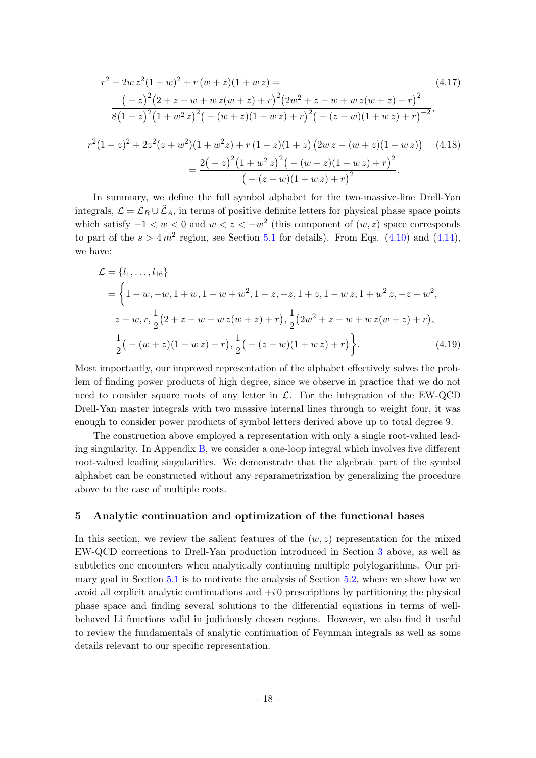$$
r^{2} - 2w z^{2}(1-w)^{2} + r(w+z)(1+w z) =
$$
\n
$$
(-z)^{2}(2 + z - w + wz(w+z) + r)^{2}(2w^{2} + z - w + wz(w+z) + r)^{2}
$$
\n
$$
8(1+z)^{2}(1+w^{2} z)^{2}(- (w+z)(1-w z) + r)^{2}(- (z-w)(1+w z) + r)^{-2},
$$
\n
$$
r^{2}(1-z)^{2} + 2z^{2}(z+w^{2})(1+w^{2} z) + r(1-z)(1+z)(2w z - (w+z)(1+w z))
$$
\n
$$
= \frac{2(-z)^{2}(1+w^{2} z)^{2}(- (w+z)(1-w z) + r)^{2}}{(- (z-w)(1+w z) + r)^{2}}.
$$
\n(4.18)

In summary, we define the full symbol alphabet for the two-massive-line Drell-Yan integrals,  $\mathcal{L} = \mathcal{L}_R \cup \tilde{\mathcal{L}}_A$ , in terms of positive definite letters for physical phase space points which satisfy  $-1 < w < 0$  and  $w < z < -w<sup>2</sup>$  (this component of  $(w, z)$  space corresponds to part of the  $s > 4m^2$  region, see Section [5.1](#page-19-0) for details). From Eqs. [\(4.10\)](#page-16-1) and [\(4.14\)](#page-17-0), we have:

<span id="page-18-1"></span>
$$
\mathcal{L} = \{l_1, \dots, l_{16}\}\
$$
  
=  $\left\{1 - w, -w, 1 + w, 1 - w + w^2, 1 - z, -z, 1 + z, 1 - w z, 1 + w^2 z, -z - w^2, z - w, r, \frac{1}{2}(2 + z - w + w z(w + z) + r), \frac{1}{2}(2w^2 + z - w + w z(w + z) + r), \frac{1}{2}(-(w + z)(1 - w z) + r), \frac{1}{2}(-(z - w)(1 + w z) + r)\right\}. (4.19)$ 

Most importantly, our improved representation of the alphabet effectively solves the problem of finding power products of high degree, since we observe in practice that we do not need to consider square roots of any letter in  $\mathcal{L}$ . For the integration of the EW-QCD Drell-Yan master integrals with two massive internal lines through to weight four, it was enough to consider power products of symbol letters derived above up to total degree 9.

The construction above employed a representation with only a single root-valued leading singularity. In Appendix [B,](#page-44-0) we consider a one-loop integral which involves five different root-valued leading singularities. We demonstrate that the algebraic part of the symbol alphabet can be constructed without any reparametrization by generalizing the procedure above to the case of multiple roots.

## <span id="page-18-0"></span>5 Analytic continuation and optimization of the functional bases

In this section, we review the salient features of the  $(w, z)$  representation for the mixed EW-QCD corrections to Drell-Yan production introduced in Section [3](#page-8-0) above, as well as subtleties one encounters when analytically continuing multiple polylogarithms. Our primary goal in Section [5.1](#page-19-0) is to motivate the analysis of Section [5.2,](#page-23-0) where we show how we avoid all explicit analytic continuations and  $+i0$  prescriptions by partitioning the physical phase space and finding several solutions to the differential equations in terms of wellbehaved Li functions valid in judiciously chosen regions. However, we also find it useful to review the fundamentals of analytic continuation of Feynman integrals as well as some details relevant to our specific representation.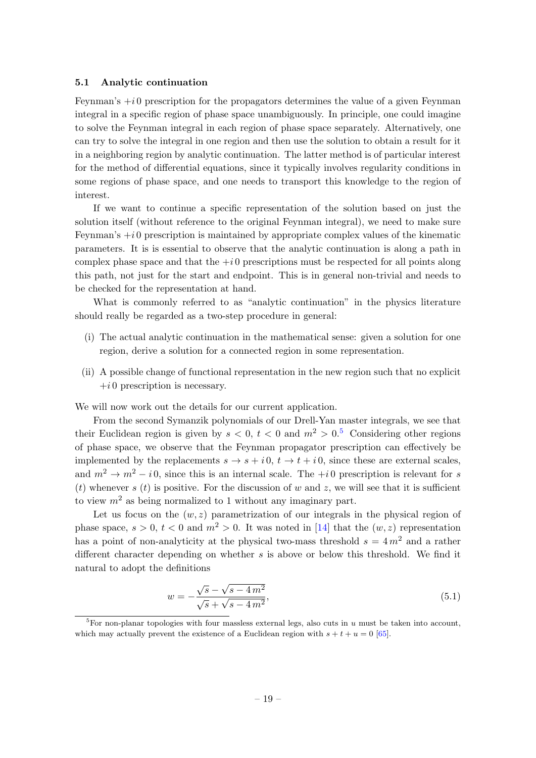### <span id="page-19-0"></span>5.1 Analytic continuation

Feynman's  $+i0$  prescription for the propagators determines the value of a given Feynman integral in a specific region of phase space unambiguously. In principle, one could imagine to solve the Feynman integral in each region of phase space separately. Alternatively, one can try to solve the integral in one region and then use the solution to obtain a result for it in a neighboring region by analytic continuation. The latter method is of particular interest for the method of differential equations, since it typically involves regularity conditions in some regions of phase space, and one needs to transport this knowledge to the region of interest.

If we want to continue a specific representation of the solution based on just the solution itself (without reference to the original Feynman integral), we need to make sure Feynman's  $+i0$  prescription is maintained by appropriate complex values of the kinematic parameters. It is is essential to observe that the analytic continuation is along a path in complex phase space and that the  $+i0$  prescriptions must be respected for all points along this path, not just for the start and endpoint. This is in general non-trivial and needs to be checked for the representation at hand.

What is commonly referred to as "analytic continuation" in the physics literature should really be regarded as a two-step procedure in general:

- (i) The actual analytic continuation in the mathematical sense: given a solution for one region, derive a solution for a connected region in some representation.
- (ii) A possible change of functional representation in the new region such that no explicit  $+i 0$  prescription is necessary.

We will now work out the details for our current application.

From the second Symanzik polynomials of our Drell-Yan master integrals, we see that their Euclidean region is given by  $s < 0$ ,  $t < 0$  and  $m^2 > 0$ .<sup>[5](#page-19-1)</sup> Considering other regions of phase space, we observe that the Feynman propagator prescription can effectively be implemented by the replacements  $s \to s + i 0$ ,  $t \to t + i 0$ , since these are external scales, and  $m^2 \to m^2 - i \cdot 0$ , since this is an internal scale. The  $+i \cdot 0$  prescription is relevant for s (t) whenever s (t) is positive. For the discussion of w and z, we will see that it is sufficient to view  $m^2$  as being normalized to 1 without any imaginary part.

Let us focus on the  $(w, z)$  parametrization of our integrals in the physical region of phase space,  $s > 0$ ,  $t < 0$  and  $m^2 > 0$ . It was noted in [\[14\]](#page-48-8) that the  $(w, z)$  representation has a point of non-analyticity at the physical two-mass threshold  $s = 4 m<sup>2</sup>$  and a rather different character depending on whether s is above or below this threshold. We find it natural to adopt the definitions

<span id="page-19-2"></span>
$$
w = -\frac{\sqrt{s} - \sqrt{s - 4m^2}}{\sqrt{s} + \sqrt{s - 4m^2}},\tag{5.1}
$$

<span id="page-19-1"></span> ${}^{5}$ For non-planar topologies with four massless external legs, also cuts in u must be taken into account, which may actually prevent the existence of a Euclidean region with  $s + t + u = 0$  [\[65\]](#page-51-4).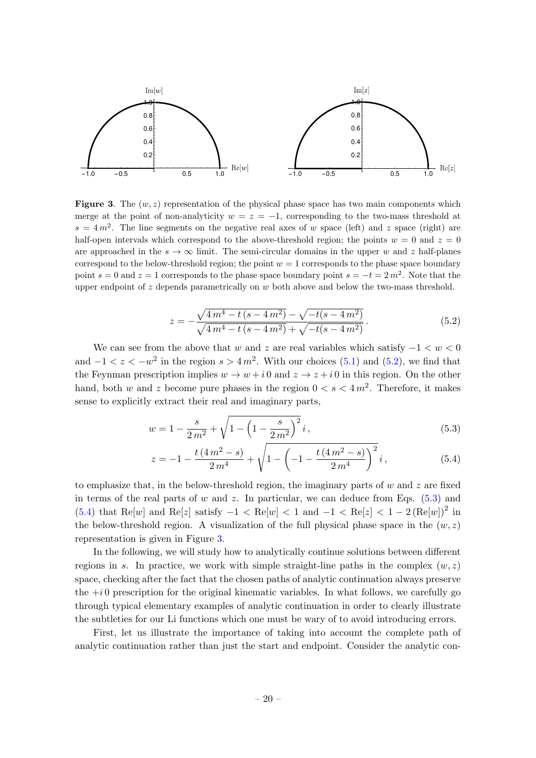

<span id="page-20-3"></span>**Figure 3.** The  $(w, z)$  representation of the physical phase space has two main components which merge at the point of non-analyticity  $w = z = -1$ , corresponding to the two-mass threshold at  $s = 4 m<sup>2</sup>$ . The line segments on the negative real axes of w space (left) and z space (right) are half-open intervals which correspond to the above-threshold region; the points  $w = 0$  and  $z = 0$ are approached in the  $s \to \infty$  limit. The semi-circular domains in the upper w and z half-planes correspond to the below-threshold region; the point  $w = 1$  corresponds to the phase space boundary point  $s = 0$  and  $z = 1$  corresponds to the phase space boundary point  $s = -t = 2m^2$ . Note that the upper endpoint of  $z$  depends parametrically on  $w$  both above and below the two-mass threshold.

<span id="page-20-1"></span><span id="page-20-0"></span>
$$
z = -\frac{\sqrt{4m^4 - t(s - 4m^2)} - \sqrt{-t(s - 4m^2)}}{\sqrt{4m^4 - t(s - 4m^2)} + \sqrt{-t(s - 4m^2)}}.
$$
\n(5.2)

We can see from the above that w and z are real variables which satisfy  $-1 < w < 0$ and  $-1 < z < -w^2$  in the region  $s > 4m^2$ . With our choices [\(5.1\)](#page-19-2) and [\(5.2\)](#page-20-0), we find that the Feynman prescription implies  $w \to w + i 0$  and  $z \to z + i 0$  in this region. On the other hand, both w and z become pure phases in the region  $0 < s < 4m^2$ . Therefore, it makes sense to explicitly extract their real and imaginary parts,

$$
w = 1 - \frac{s}{2m^2} + \sqrt{1 - \left(1 - \frac{s}{2m^2}\right)^2} i,
$$
\n(5.3)

<span id="page-20-2"></span>
$$
z = -1 - \frac{t(4m^2 - s)}{2m^4} + \sqrt{1 - \left(-1 - \frac{t(4m^2 - s)}{2m^4}\right)^2} i,
$$
\n(5.4)

to emphasize that, in the below-threshold region, the imaginary parts of  $w$  and  $z$  are fixed in terms of the real parts of w and z. In particular, we can deduce from Eqs.  $(5.3)$  and [\(5.4\)](#page-20-2) that Re[w] and Re[z] satisfy  $-1 < \text{Re}[w] < 1$  and  $-1 < \text{Re}[z] < 1 - 2(\text{Re}[w])^2$  in the below-threshold region. A visualization of the full physical phase space in the  $(w, z)$ representation is given in Figure [3.](#page-20-3)

In the following, we will study how to analytically continue solutions between different regions in s. In practice, we work with simple straight-line paths in the complex  $(w, z)$ space, checking after the fact that the chosen paths of analytic continuation always preserve the  $+i0$  prescription for the original kinematic variables. In what follows, we carefully go through typical elementary examples of analytic continuation in order to clearly illustrate the subtleties for our Li functions which one must be wary of to avoid introducing errors.

First, let us illustrate the importance of taking into account the complete path of analytic continuation rather than just the start and endpoint. Consider the analytic con-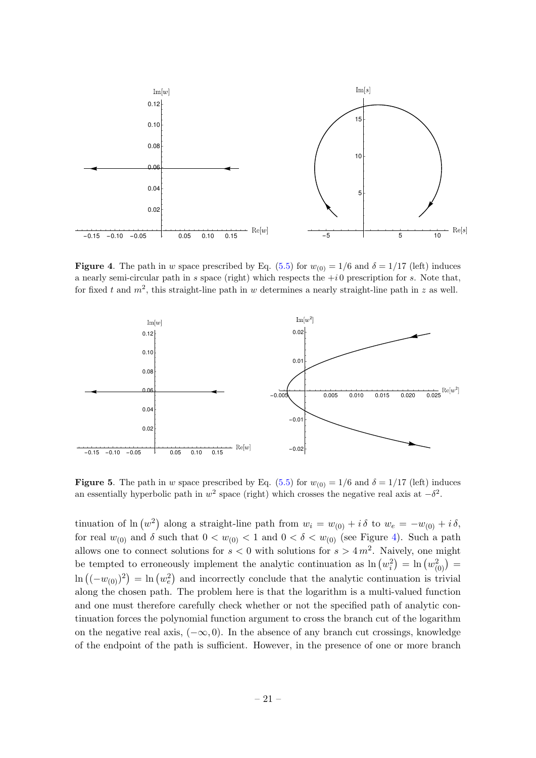

<span id="page-21-0"></span>**Figure 4.** The path in w space prescribed by Eq. [\(5.5\)](#page-22-0) for  $w_{(0)} = 1/6$  and  $\delta = 1/17$  (left) induces a nearly semi-circular path in s space (right) which respects the  $+i0$  prescription for s. Note that, for fixed t and  $m^2$ , this straight-line path in w determines a nearly straight-line path in z as well.



<span id="page-21-1"></span>**Figure 5.** The path in w space prescribed by Eq. [\(5.5\)](#page-22-0) for  $w_{(0)} = 1/6$  and  $\delta = 1/17$  (left) induces an essentially hyperbolic path in  $w^2$  space (right) which crosses the negative real axis at  $-\delta^2$ .

tinuation of  $\ln(w^2)$  along a straight-line path from  $w_i = w_{(0)} + i \delta$  to  $w_e = -w_{(0)} + i \delta$ , for real  $w_{(0)}$  and  $\delta$  such that  $0 < w_{(0)} < 1$  and  $0 < \delta < w_{(0)}$  (see Figure [4\)](#page-21-0). Such a path allows one to connect solutions for  $s < 0$  with solutions for  $s > 4m^2$ . Naively, one might be tempted to erroneously implement the analytic continuation as  $\ln(w_i^2) = \ln(w_{(0)}^2)$  $\ln((-w_{(0)})^2) = \ln(w_e^2)$  and incorrectly conclude that the analytic continuation is trivial along the chosen path. The problem here is that the logarithm is a multi-valued function and one must therefore carefully check whether or not the specified path of analytic continuation forces the polynomial function argument to cross the branch cut of the logarithm on the negative real axis,  $(-\infty, 0)$ . In the absence of any branch cut crossings, knowledge of the endpoint of the path is sufficient. However, in the presence of one or more branch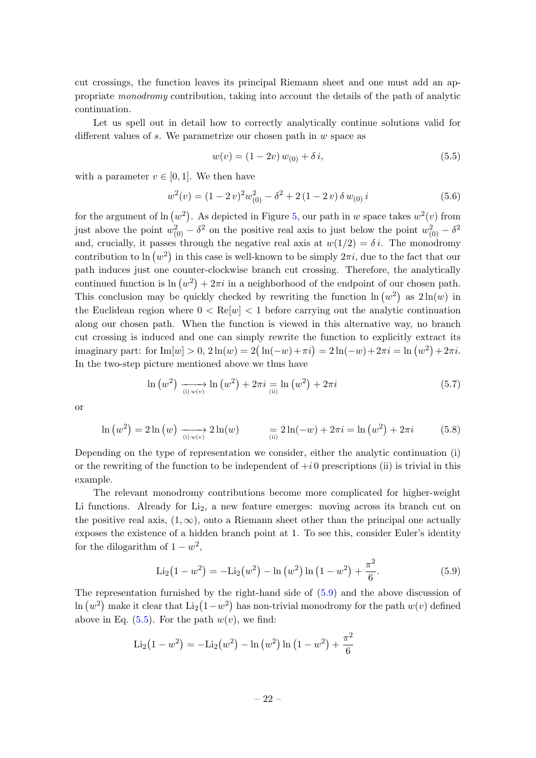cut crossings, the function leaves its principal Riemann sheet and one must add an appropriate monodromy contribution, taking into account the details of the path of analytic continuation.

Let us spell out in detail how to correctly analytically continue solutions valid for different values of s. We parametrize our chosen path in  $w$  space as

<span id="page-22-0"></span>
$$
w(v) = (1 - 2v) w_{(0)} + \delta i,
$$
\n(5.5)

with a parameter  $v \in [0, 1]$ . We then have

$$
w^{2}(v) = (1 - 2 v)^{2} w_{(0)}^{2} - \delta^{2} + 2 (1 - 2 v) \delta w_{(0)} i
$$
 (5.6)

for the argument of  $\ln(w^2)$ . As depicted in Figure [5,](#page-21-1) our path in w space takes  $w^2(v)$  from just above the point  $w_{(0)}^2 - \delta^2$  on the positive real axis to just below the point  $w_{(0)}^2 - \delta^2$ and, crucially, it passes through the negative real axis at  $w(1/2) = \delta i$ . The monodromy contribution to ln  $(w^2)$  in this case is well-known to be simply  $2\pi i$ , due to the fact that our path induces just one counter-clockwise branch cut crossing. Therefore, the analytically continued function is  $\ln(w^2) + 2\pi i$  in a neighborhood of the endpoint of our chosen path. This conclusion may be quickly checked by rewriting the function  $\ln(w^2)$  as  $2\ln(w)$  in the Euclidean region where  $0 < \text{Re}[w] < 1$  before carrying out the analytic continuation along our chosen path. When the function is viewed in this alternative way, no branch cut crossing is induced and one can simply rewrite the function to explicitly extract its imaginary part: for  $\text{Im}[w] > 0$ ,  $2\ln(w) = 2(\ln(-w) + \pi i) = 2\ln(-w) + 2\pi i = \ln(w^2) + 2\pi i$ . In the two-step picture mentioned above we thus have

$$
\ln(w^2) \xrightarrow[0]{} \text{ln}(w^2) + 2\pi i \xrightarrow[0]{} \text{ln}(w^2) + 2\pi i \tag{5.7}
$$

or

$$
\ln(w^2) = 2\ln(w) \xrightarrow[i) w(v)} 2\ln(w) = 2\ln(-w) + 2\pi i = \ln(w^2) + 2\pi i \tag{5.8}
$$

Depending on the type of representation we consider, either the analytic continuation (i) or the rewriting of the function to be independent of  $+i$  0 prescriptions (ii) is trivial in this example.

The relevant monodromy contributions become more complicated for higher-weight Li functions. Already for  $Li<sub>2</sub>$ , a new feature emerges: moving across its branch cut on the positive real axis,  $(1, \infty)$ , onto a Riemann sheet other than the principal one actually exposes the existence of a hidden branch point at 1. To see this, consider Euler's identity for the dilogarithm of  $1 - w^2$ ,

<span id="page-22-1"></span>
$$
\text{Li}_2\left(1 - w^2\right) = -\text{Li}_2\left(w^2\right) - \ln\left(w^2\right)\ln\left(1 - w^2\right) + \frac{\pi^2}{6}.\tag{5.9}
$$

The representation furnished by the right-hand side of [\(5.9\)](#page-22-1) and the above discussion of  $\ln(w^2)$  make it clear that  $\text{Li}_2(1-w^2)$  has non-trivial monodromy for the path  $w(v)$  defined above in Eq.  $(5.5)$ . For the path  $w(v)$ , we find:

$$
\text{Li}_2\left(1 - w^2\right) = -\text{Li}_2\left(w^2\right) - \ln\left(w^2\right)\ln\left(1 - w^2\right) + \frac{\pi^2}{6}
$$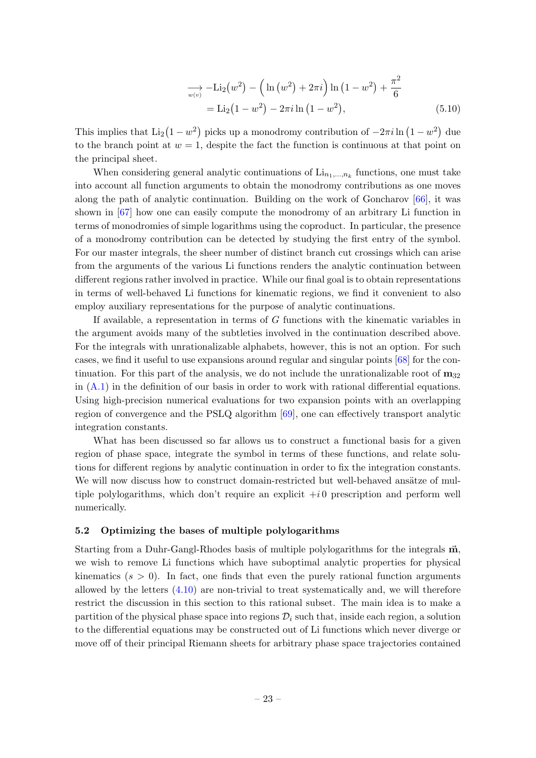$$
\sum_{w(v)} -\text{Li}_2(w^2) - \left(\ln(w^2) + 2\pi i\right)\ln(1 - w^2) + \frac{\pi^2}{6}
$$
  
= Li\_2(1 - w^2) - 2\pi i \ln(1 - w^2), (5.10)

This implies that  $Li_2(1 - w^2)$  picks up a monodromy contribution of  $-2\pi i \ln(1 - w^2)$  due to the branch point at  $w = 1$ , despite the fact the function is continuous at that point on the principal sheet.

When considering general analytic continuations of  $\text{Li}_{n_1,\dots,n_k}$  functions, one must take into account all function arguments to obtain the monodromy contributions as one moves along the path of analytic continuation. Building on the work of Goncharov [\[66\]](#page-51-5), it was shown in [\[67\]](#page-51-6) how one can easily compute the monodromy of an arbitrary Li function in terms of monodromies of simple logarithms using the coproduct. In particular, the presence of a monodromy contribution can be detected by studying the first entry of the symbol. For our master integrals, the sheer number of distinct branch cut crossings which can arise from the arguments of the various Li functions renders the analytic continuation between different regions rather involved in practice. While our final goal is to obtain representations in terms of well-behaved Li functions for kinematic regions, we find it convenient to also employ auxiliary representations for the purpose of analytic continuations.

If available, a representation in terms of G functions with the kinematic variables in the argument avoids many of the subtleties involved in the continuation described above. For the integrals with unrationalizable alphabets, however, this is not an option. For such cases, we find it useful to use expansions around regular and singular points [\[68\]](#page-51-7) for the continuation. For this part of the analysis, we do not include the unrationalizable root of  $m_{32}$ in  $(A.1)$  in the definition of our basis in order to work with rational differential equations. Using high-precision numerical evaluations for two expansion points with an overlapping region of convergence and the PSLQ algorithm [\[69\]](#page-51-8), one can effectively transport analytic integration constants.

What has been discussed so far allows us to construct a functional basis for a given region of phase space, integrate the symbol in terms of these functions, and relate solutions for different regions by analytic continuation in order to fix the integration constants. We will now discuss how to construct domain-restricted but well-behaved ansätze of multiple polylogarithms, which don't require an explicit  $+i0$  prescription and perform well numerically.

#### <span id="page-23-0"></span>5.2 Optimizing the bases of multiple polylogarithms

Starting from a Duhr-Gangl-Rhodes basis of multiple polylogarithms for the integrals  $\vec{m}$ , we wish to remove Li functions which have suboptimal analytic properties for physical kinematics  $(s > 0)$ . In fact, one finds that even the purely rational function arguments allowed by the letters  $(4.10)$  are non-trivial to treat systematically and, we will therefore restrict the discussion in this section to this rational subset. The main idea is to make a partition of the physical phase space into regions  $\mathcal{D}_i$  such that, inside each region, a solution to the differential equations may be constructed out of Li functions which never diverge or move off of their principal Riemann sheets for arbitrary phase space trajectories contained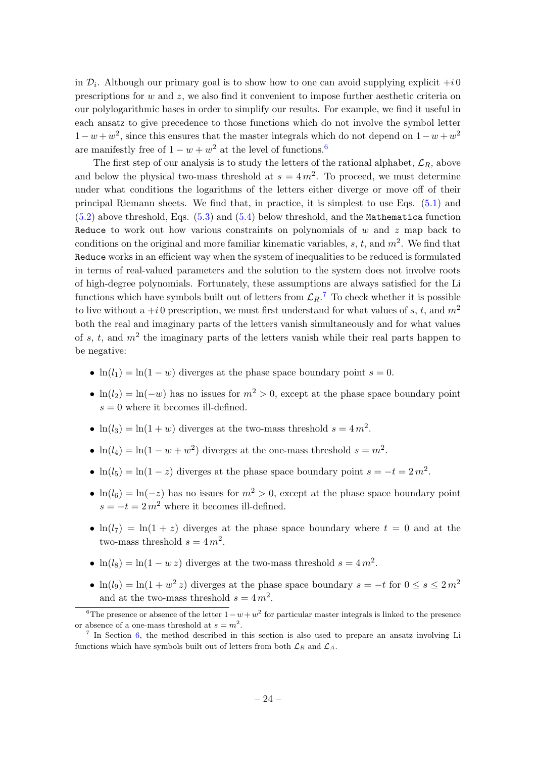in  $\mathcal{D}_i$ . Although our primary goal is to show how to one can avoid supplying explicit  $+i\,0$ prescriptions for w and z, we also find it convenient to impose further aesthetic criteria on our polylogarithmic bases in order to simplify our results. For example, we find it useful in each ansatz to give precedence to those functions which do not involve the symbol letter  $1-w+w^2$ , since this ensures that the master integrals which do not depend on  $1-w+w^2$ are manifestly free of  $1 - w + w^2$  at the level of functions.<sup>[6](#page-24-0)</sup>

The first step of our analysis is to study the letters of the rational alphabet,  $\mathcal{L}_R$ , above and below the physical two-mass threshold at  $s = 4m^2$ . To proceed, we must determine under what conditions the logarithms of the letters either diverge or move off of their principal Riemann sheets. We find that, in practice, it is simplest to use Eqs. [\(5.1\)](#page-19-2) and  $(5.2)$  above threshold, Eqs.  $(5.3)$  and  $(5.4)$  below threshold, and the Mathematica function Reduce to work out how various constraints on polynomials of  $w$  and  $z$  map back to conditions on the original and more familiar kinematic variables, s, t, and  $m^2$ . We find that Reduce works in an efficient way when the system of inequalities to be reduced is formulated in terms of real-valued parameters and the solution to the system does not involve roots of high-degree polynomials. Fortunately, these assumptions are always satisfied for the Li functions which have symbols built out of letters from  $\mathcal{L}_R$ .<sup>[7](#page-24-1)</sup> To check whether it is possible to live without a  $+i0$  prescription, we must first understand for what values of s, t, and  $m<sup>2</sup>$ both the real and imaginary parts of the letters vanish simultaneously and for what values of s, t, and  $m<sup>2</sup>$  the imaginary parts of the letters vanish while their real parts happen to be negative:

- $\ln(l_1) = \ln(1-w)$  diverges at the phase space boundary point  $s = 0$ .
- $\ln(l_2) = \ln(-w)$  has no issues for  $m^2 > 0$ , except at the phase space boundary point  $s = 0$  where it becomes ill-defined.
- $\ln(l_3) = \ln(1+w)$  diverges at the two-mass threshold  $s = 4m^2$ .
- $\ln(l_4) = \ln(1 w + w^2)$  diverges at the one-mass threshold  $s = m^2$ .
- $\ln(l_5) = \ln(1-z)$  diverges at the phase space boundary point  $s = -t = 2m^2$ .
- $\ln(l_6) = \ln(-z)$  has no issues for  $m^2 > 0$ , except at the phase space boundary point  $s = -t = 2m^2$  where it becomes ill-defined.
- $\ln(l_7) = \ln(1+z)$  diverges at the phase space boundary where  $t = 0$  and at the two-mass threshold  $s = 4 m^2$ .
- $\ln(l_8) = \ln(1 wz)$  diverges at the two-mass threshold  $s = 4m^2$ .
- $\ln(l_9) = \ln(1 + w^2 z)$  diverges at the phase space boundary  $s = -t$  for  $0 \le s \le 2m^2$ and at the two-mass threshold  $s = 4m^2$ .

<span id="page-24-0"></span><sup>&</sup>lt;sup>6</sup>The presence or absence of the letter  $1 - w + w^2$  for particular master integrals is linked to the presence or absence of a one-mass threshold at  $s = m^2$ .

<span id="page-24-1"></span><sup>&</sup>lt;sup>7</sup> In Section [6,](#page-31-0) the method described in this section is also used to prepare an ansatz involving Li functions which have symbols built out of letters from both  $\mathcal{L}_R$  and  $\mathcal{L}_A$ .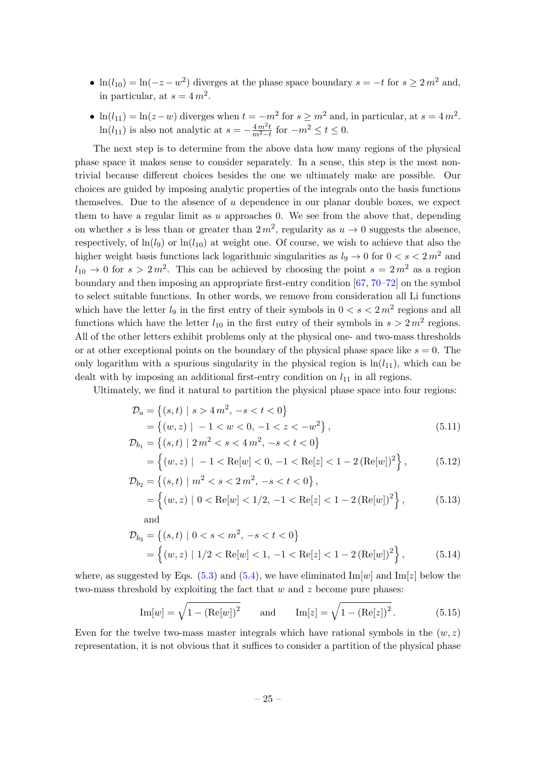- $\ln(l_{10}) = \ln(-z w^2)$  diverges at the phase space boundary  $s = -t$  for  $s \ge 2m^2$  and, in particular, at  $s = 4 m^2$ .
- $\ln(l_{11}) = \ln(z-w)$  diverges when  $t = -m^2$  for  $s \geq m^2$  and, in particular, at  $s = 4m^2$ .  $\ln(l_{11})$  is also not analytic at  $s = -\frac{4m^2t}{m^2-t}$  for  $-m^2 \le t \le 0$ .

The next step is to determine from the above data how many regions of the physical phase space it makes sense to consider separately. In a sense, this step is the most nontrivial because different choices besides the one we ultimately make are possible. Our choices are guided by imposing analytic properties of the integrals onto the basis functions themselves. Due to the absence of u dependence in our planar double boxes, we expect them to have a regular limit as  $u$  approaches 0. We see from the above that, depending on whether s is less than or greater than  $2m^2$ , regularity as  $u \to 0$  suggests the absence, respectively, of  $\ln(l_9)$  or  $\ln(l_{10})$  at weight one. Of course, we wish to achieve that also the higher weight basis functions lack logarithmic singularities as  $l_9 \rightarrow 0$  for  $0 < s < 2m^2$  and  $l_{10} \rightarrow 0$  for  $s > 2m^2$ . This can be achieved by choosing the point  $s = 2m^2$  as a region boundary and then imposing an appropriate first-entry condition [\[67,](#page-51-6) [70–](#page-51-9)[72\]](#page-51-10) on the symbol to select suitable functions. In other words, we remove from consideration all Li functions which have the letter  $l_9$  in the first entry of their symbols in  $0 < s < 2m<sup>2</sup>$  regions and all functions which have the letter  $l_{10}$  in the first entry of their symbols in  $s > 2m^2$  regions. All of the other letters exhibit problems only at the physical one- and two-mass thresholds or at other exceptional points on the boundary of the physical phase space like  $s = 0$ . The only logarithm with a spurious singularity in the physical region is  $\ln(l_{11})$ , which can be dealt with by imposing an additional first-entry condition on  $l_{11}$  in all regions.

Ultimately, we find it natural to partition the physical phase space into four regions:

$$
\mathcal{D}_a = \{(s, t) \mid s > 4m^2, -s < t < 0\}
$$
  
= \{(w, z) \mid -1 < w < 0, -1 < z < -w^2\},  
\n
$$
\mathcal{D}_{b_1} = \{(s, t) \mid 2m^2 < s < 4m^2, -s < t < 0\}
$$
\n(5.11)

$$
= \left\{ (w, z) \mid -1 < \text{Re}[w] < 0, -1 < \text{Re}[z] < 1 - 2 \left( \text{Re}[w] \right)^2 \right\},\tag{5.12}
$$

$$
\mathcal{D}_{b_2} = \{(s, t) \mid m^2 < s < 2m^2, -s < t < 0\},
$$
\n
$$
= \{(w, z) \mid 0 < \text{Re}[w] < 1/2, -1 < \text{Re}[z] < 1 - 2(\text{Re}[w])^2\},
$$
\n(5.13)

$$
\mathcal{D}_{b_3} = \{(s, t) \mid 0 < s < m^2, -s < t < 0\}
$$
\n
$$
= \left\{(w, z) \mid 1/2 < \text{Re}[w] < 1, -1 < \text{Re}[z] < 1 - 2(\text{Re}[w])^2\right\},\tag{5.14}
$$

where, as suggested by Eqs. [\(5.3\)](#page-20-1) and [\(5.4\)](#page-20-2), we have eliminated Im[w] and Im[z] below the two-mass threshold by exploiting the fact that  $w$  and  $z$  become pure phases:

<span id="page-25-0"></span>Im[*w*] = 
$$
\sqrt{1 - (Re[w])^2}
$$
 and Im[*z*] =  $\sqrt{1 - (Re[z])^2}$ . (5.15)

Even for the twelve two-mass master integrals which have rational symbols in the  $(w, z)$ representation, it is not obvious that it suffices to consider a partition of the physical phase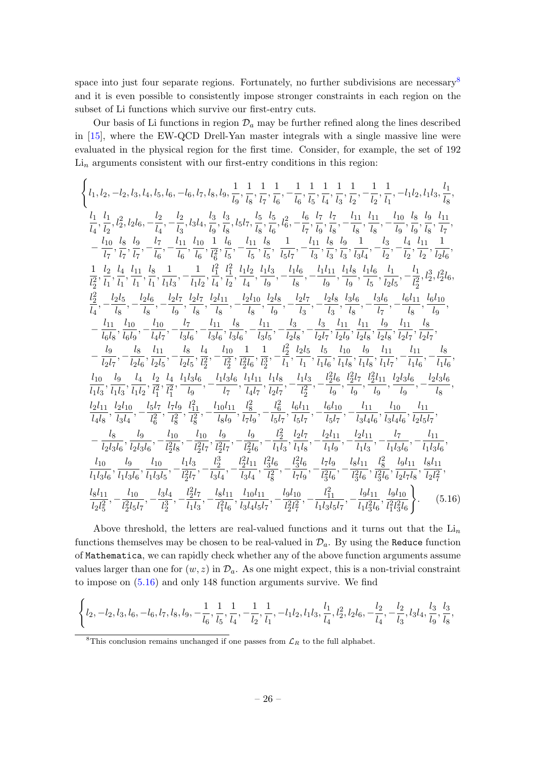space into just four separate regions. Fortunately, no further subdivisions are necessary<sup>[8](#page-26-0)</sup> and it is even possible to consistently impose stronger constraints in each region on the subset of Li functions which survive our first-entry cuts.

Our basis of Li functions in region  $\mathcal{D}_a$  may be further refined along the lines described in [\[15\]](#page-48-9), where the EW-QCD Drell-Yan master integrals with a single massive line were evaluated in the physical region for the first time. Consider, for example, the set of 192  $\mathrm{Li}_n$  arguments consistent with our first-entry conditions in this region:

$$
\begin{cases} l_{1, l_2, -l_2, l_3, l_4, l_5, l_6, -l_6, l_7, l_8, l_9, \frac{1}{l_9}, \frac{1}{l_8}, \frac{1}{l_7}, \frac{1}{l_6}, -\frac{1}{l_6}, \frac{1}{l_5}, \frac{1}{l_4}, \frac{1}{l_3}, \frac{1}{l_2}, -\frac{1}{l_2}, \frac{1}{l_1}, -l_1l_2, l_1l_3, \frac{l_1}{l_8}, \\ \frac{l_1}{l_4}, \frac{l_1}{l_2}, l_2^2, l_2l_6, -\frac{l_2}{l_4}, -\frac{l_2}{l_3}, l_3l_4, \frac{l_3}{l_9}, l_5l_7, \frac{l_5}{l_8}, \frac{l_5}{l_6}, l_6^2, -\frac{l_6}{l_7}, \frac{l_7}{l_9}, \frac{l_7}{l_8}, -\frac{l_{11}}{l_8}, \frac{l_{11}}{l_8}, -\frac{l_{10}}{l_9}, \frac{l_8}{l_9}, \frac{l_9}{l_9}, \frac{l_{11}}{l_7}, \\ -\frac{l_{10}}{l_7}, \frac{l_8}{l_7}, \frac{l_9}{l_7}, -\frac{l_{11}}{l_6}, -\frac{l_{11}}{l_6}, \frac{l_{10}}{l_6}, \frac{1}{l_6^2}, \frac{l_1}{l_5}, -\frac{l_{11}}{l_5}, \frac{l_8}{l_5}, -\frac{l_{11}}{l_3}, \frac{l_8}{l_3}, \frac{l_9}{l_3}, \frac{1}{l_3}, -\frac{l_{11}}{l_2}, -\frac{l_{12}}{l_2}, -\frac{l_{12}}{l_2}, \frac{l_{12}}{l_2}, \frac{l_{11}}{l_2}, \\ \frac{l_2}{l_2}, \frac{l_4}{l_1}, \frac{l_{11}}{l_1}, \frac{l_8}{l_1}, \frac{l_1}{l_2}, -\frac{l_1}{l_4}, \frac{l_1}{l_2}, \frac{l_1}{l_4}, \frac{l_1}{l_9}, -\frac{l_{11}}{l_8}, -\frac{l_{11}}{l_8}, -\frac{l_{11}}{l_8}, \frac{l_{11}}{l_8}, \frac{l_{11}}{l_
$$

<span id="page-26-1"></span>Above threshold, the letters are real-valued functions and it turns out that the  $\mathrm{Li}_n$ functions themselves may be chosen to be real-valued in  $\mathcal{D}_a$ . By using the Reduce function of Mathematica, we can rapidly check whether any of the above function arguments assume values larger than one for  $(w, z)$  in  $\mathcal{D}_a$ . As one might expect, this is a non-trivial constraint to impose on [\(5.16\)](#page-26-1) and only 148 function arguments survive. We find

$$
\left\{l_2, -l_2, l_3, l_6, -l_6, l_7, l_8, l_9, -\frac{1}{l_6}, \frac{1}{l_5}, \frac{1}{l_4}, -\frac{1}{l_2}, \frac{1}{l_1}, -l_1l_2, l_1l_3, \frac{l_1}{l_4}, l_2^2, l_2l_6, -\frac{l_2}{l_4}, -\frac{l_2}{l_3}, l_3l_4, \frac{l_3}{l_9}, \frac{l_3}{l_8}, l_4l_5, \frac{l_4}{l_8}, l_5, \frac{l_4}{l_8}, l_6, \frac{l_5}{l_8}, l_6, \frac{l_6}{l_8}, l_7, \frac{l_7}{l_8}, l_8, l_9, \frac{l_8}{l_9}, l_9, \frac{l_9}{l_9}, l_{10} \right\}
$$

<span id="page-26-0"></span><sup>&</sup>lt;sup>8</sup>This conclusion remains unchanged if one passes from  $\mathcal{L}_R$  to the full alphabet.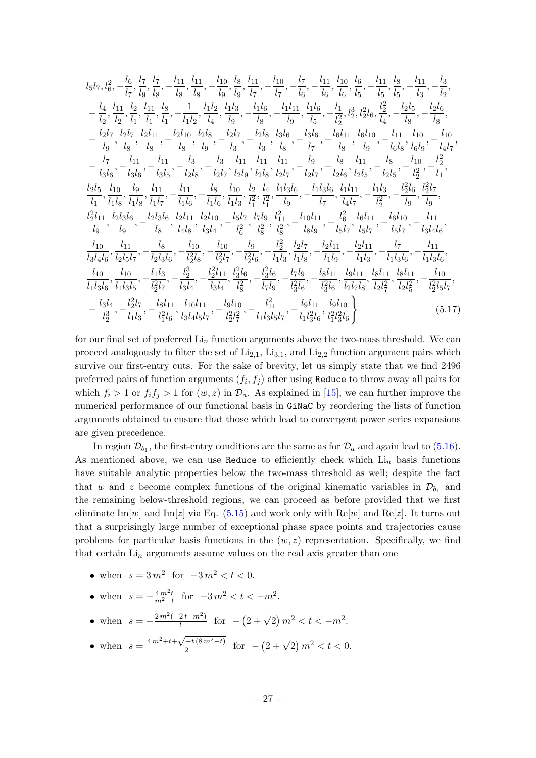$$
l_5l_7, l_6^2, -\frac{l_6}{l_7}, \frac{l_7}{l_9}, \frac{l_7}{l_8}, -\frac{l_{11}}{l_8}, \frac{l_{11}}{l_8}, -\frac{l_{10}}{l_9}, \frac{l_8}{l_9}, \frac{l_{11}}{l_7}, -\frac{l_{10}}{l_7}, -\frac{l_{10}}{l_6}, -\frac{l_7}{l_6}, -\frac{l_{11}}{l_6}, \frac{l_{10}}{l_6}, \frac{l_6}{l_5}, -\frac{l_{11}}{l_5}, \frac{l_8}{l_5}, -\frac{l_{11}}{l_3}, -\frac{l_3}{l_2}, -\frac{l_{11}}{l_2}, \frac{l_{12}}{l_2}, -\frac{l_{12}}{l_2}, \frac{l_{11}}{l_2}, \frac{l_{12}}{l_2}, \frac{l_{11}}{l_1}, \frac{l_8}{l_1}, -\frac{l_{11}}{l_2}, \frac{l_{12}}{l_4}, \frac{l_{13}}{l_9}, -\frac{l_{11}}{l_9}, -\frac{l_{11}}{l_9}, \frac{l_{11}}{l_5}, -\frac{l_{11}}{l_2}, \frac{l_{12}}{l_2}, \frac{l_{21}}{l_4}, -\frac{l_{21}}{l_8}, -\frac{l_{21}}{l_9}, \frac{l_{21}}{l_8}, -\frac{l_{21}}{l_9}, \frac{l_{21}}{l_8}, -\frac{l_{21}}{l_9}, \frac{l_{21}}{l_9}, -\frac{l_{21}}{l_9}, \frac{l_{21}}{l_9}, -\frac{l_{21}}{l_9}, -\frac{l_{21}}{l_9}, -\frac{l_{21}}{l_9}, \frac{l_{21}}{l_9}, -\frac{l_{21}}{l_9}, -\frac{l_{21}}{l_9}, \frac{l_{21}}{l_9}, -\frac{l_{21}}{l_9}, -\frac{l_{21}}{l_9}, -\frac{l_{21}}{l_9}, -\frac{l_{21}}{l_9}, -\frac{l_{21}}{l_9}, -\frac{l_{21}}{l_9}, -\frac{l_{21}}{l_9}, -\frac{l_{21}}{l_9}, -\frac{l_{21}}{l_9}, -\frac{l_{21}}{l_9}, -\frac{l_{21}}
$$

for our final set of preferred  $\text{Li}_n$  function arguments above the two-mass threshold. We can proceed analogously to filter the set of  $Li_{2,1}$ ,  $Li_{3,1}$ , and  $Li_{2,2}$  function argument pairs which survive our first-entry cuts. For the sake of brevity, let us simply state that we find 2496 preferred pairs of function arguments  $(f_i, f_j)$  after using <code>Reduce</code> to throw away all pairs for which  $f_i > 1$  or  $f_i f_j > 1$  for  $(w, z)$  in  $\mathcal{D}_a$ . As explained in [\[15\]](#page-48-9), we can further improve the numerical performance of our functional basis in GiNaC by reordering the lists of function arguments obtained to ensure that those which lead to convergent power series expansions are given precedence.

In region  $\mathcal{D}_{b_1}$ , the first-entry conditions are the same as for  $\mathcal{D}_a$  and again lead to [\(5.16\)](#page-26-1). As mentioned above, we can use Reduce to efficiently check which  $\mathrm{Li}_n$  basis functions have suitable analytic properties below the two-mass threshold as well; despite the fact that w and z become complex functions of the original kinematic variables in  $\mathcal{D}_{b_1}$  and the remaining below-threshold regions, we can proceed as before provided that we first eliminate Im[w] and Im[z] via Eq. [\(5.15\)](#page-25-0) and work only with Re[w] and Re[z]. It turns out that a surprisingly large number of exceptional phase space points and trajectories cause problems for particular basis functions in the  $(w, z)$  representation. Specifically, we find that certain  $Li_n$  arguments assume values on the real axis greater than one

- when  $s = 3m^2$  for  $-3m^2 < t < 0$ .
- when  $s = -\frac{4m^2t}{m^2-t}$  for  $-3m^2 < t < -m^2$ .
- when  $s = -\frac{2m^2(-2t-m^2)}{t}$  $\frac{2t-m^2}{t}$  for  $-(2+\sqrt{2})m^2 < t < -m^2$ .
- when  $s = \frac{4m^2 + t + \sqrt{-t(8m^2 t)}}{2}$  $\sqrt{\frac{-t(8m^2-t)}{2}}$  for  $-(2+\sqrt{2})m^2 < t < 0$ .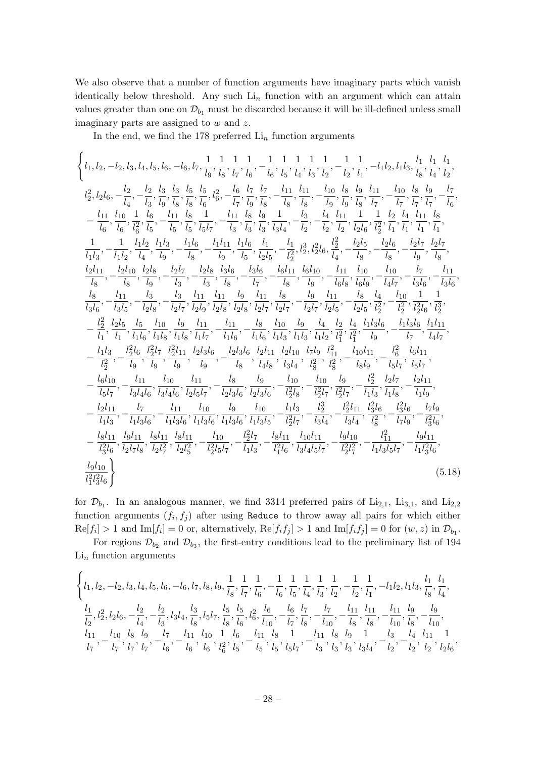We also observe that a number of function arguments have imaginary parts which vanish identically below threshold. Any such  $Li_n$  function with an argument which can attain values greater than one on  $\mathcal{D}_{b_1}$  must be discarded because it will be ill-defined unless small imaginary parts are assigned to w and z.

In the end, we find the 178 preferred  $\mathrm{Li}_n$  function arguments

$$
\begin{cases} l_{1, l_2, -l_2, l_3, l_4, l_5, l_6, -l_6, l_7, \frac{1}{l_9}, \frac{1}{l_8}, \frac{1}{l_7}, \frac{1}{l_6}, -\frac{1}{l_6}, \frac{1}{l_5}, \frac{1}{l_4}, \frac{1}{l_3}, \frac{1}{l_2}, -\frac{1}{l_2}, -\frac{1}{l_1}, -l_1l_2, l_1l_3, \frac{l_1}{l_8}, \frac{l_1}{l_4}, \frac{l_1}{l_2}, \\ l_2^2, l_2l_6, -\frac{l_2}{l_4}, -\frac{l_2}{l_3}, \frac{l_3}{l_8}, \frac{l_5}{l_8}, \frac{l_5}{l_6}, \frac{l_5}{l_6}, -\frac{l_6}{l_7}, \frac{l_7}{l_9}, -\frac{l_{11}}{l_8}, \frac{l_1}{l_8}, -\frac{l_{11}}{l_8}, \frac{l_1}{l_8}, -\frac{l_{11}}{l_9}, \frac{l_8}{l_9}, \frac{l_9}{l_9}, \frac{l_{11}}{l_9}, -\frac{l_{10}}{l_9}, \frac{l_8}{l_9}, \frac{l_9}{l_7}, -\frac{l_{11}}{l_7}, \frac{l_{10}}{l_7}, \frac{l_{11}}{l_7}, -\frac{l_{11}}{l_8}, \frac{l_{11}}{l_9}, -\frac{l_{11}}{l_9}, \frac{l_{11}}{l_8}, \frac{l_{11}}{l_9}, -\frac{l_{11}}{l_8}, \frac{l_{12}}{l_8}, -\frac{l_{11}}{l_8}, \frac{l_{12}}{l_8}, \frac{l_{13}}{l_8}, -\frac{l_{11}}{l_2}, -\frac{l_{11}}{l_2}, \frac{l_{12}}{l_2}, -\frac{l_{11}}{l_2}, \frac{l_{12}}{l_2}, -\frac{l_{11}}{l_2}, \frac{l_{12}}{l_2}, -\frac{l_{11}}{l_2}, \frac{l_{12}}{l_2}, -\frac{l_{11}}{l_2}, \frac{l_{12}}{l_2}, -\frac{l_{11}}{l_2}, \frac{l_{12}}{l_2}, -\frac{l_{12}}{l_2}, -\frac{l_{12}}{l_2
$$

for  $\mathcal{D}_{b_1}$ . In an analogous manner, we find 3314 preferred pairs of  $Li_{2,1}$ ,  $Li_{3,1}$ , and  $Li_{2,2}$ function arguments  $(f_i, f_j)$  after using Reduce to throw away all pairs for which either  $\text{Re}[f_i] > 1$  and  $\text{Im}[f_i] = 0$  or, alternatively,  $\text{Re}[f_i f_j] > 1$  and  $\text{Im}[f_i f_j] = 0$  for  $(w, z)$  in  $\mathcal{D}_{b_1}$ .

For regions  $\mathcal{D}_{b_2}$  and  $\mathcal{D}_{b_3}$ , the first-entry conditions lead to the preliminary list of 194  $\mathrm{Li}_{n}$  function arguments

$$
\begin{aligned} &\left\{l_{1},l_{2},-l_{2},l_{3},l_{4},l_{5},l_{6},-l_{6},l_{7},l_{8},l_{9},\frac{1}{l_{8}},\frac{1}{l_{7}},\frac{1}{l_{6}},-\frac{1}{l_{6}},\frac{1}{l_{5}},\frac{1}{l_{4}},\frac{1}{l_{3}},\frac{1}{l_{2}},-\frac{1}{l_{2}},\frac{1}{l_{1}},-l_{1}l_{2},l_{1}l_{3},\frac{l_{1}}{l_{8}},\frac{l_{1}}{l_{4}},\frac{l_{1}}{l_{2}},\frac{l_{2}}{l_{2}},\frac{l_{2}}{l_{2}},\frac{l_{2}}{l_{2}},\frac{l_{1}}{l_{2}},\frac{l_{1}}{l_{2}},\frac{l_{1}}{l_{2}},\frac{l_{1}}{l_{2}},\frac{l_{1}}{l_{2}},\frac{l_{1}}{l_{2}},\frac{l_{2}}{l_{2}},\frac{l_{2}}{l_{2}},\frac{l_{2}}{l_{2}},\frac{l_{2}}{l_{2}},\frac{l_{2}}{l_{2}},\frac{l_{2}}{l_{2}},\frac{l_{2}}{l_{2}},\frac{l_{2}}{l_{2}},\frac{l_{2}}{l_{2}},\frac{l_{2}}{l_{2}},\frac{l_{2}}{l_{2}},\frac{l_{2}}{l_{2}},\frac{l_{2}}{l_{2}},\frac{l_{2}}{l_{2}},\frac{l_{2}}{l_{2}},\frac{l_{2}}{l_{2}},\frac{l_{2}}{l_{2}},\frac{l_{2}}{l_{2}},\frac{l_{2}}{l_{2}},\frac{l_{2}}{l_{2}},\frac{l_{2}}{l_{2}},\frac{l_{2}}{l_{2}},\frac{l_{2}}{l_{2}},\frac{l_{2}}{l_{2}},\frac{l_{2}}{l_{2}},\frac{l_{2}}{l_{2}},\frac{l_{2}}{l_{2}},\frac{l_{2}}{l_{2}},\frac{l_{2}}{l_{2}},\frac{l_{2}}{l_{2}},\frac{l_{2}}{l_{2}},\frac{l_{2}}{l_{2}},\frac{l_{2}}{l_{2}},\frac{l_{2}}{l_{2}},\frac{l_{2}}{l_{2}},\frac{l_{2}}{l_{2}},\frac{l_{2}}{l_{2}},\frac{l_{2}}{l_{2}},\frac{l_{2}}{l_{2}},\frac{l_{2}}{l_{2}},\frac{l_{2}}{l_{2}},\frac{l_{2}}{l_{2}},\frac{l
$$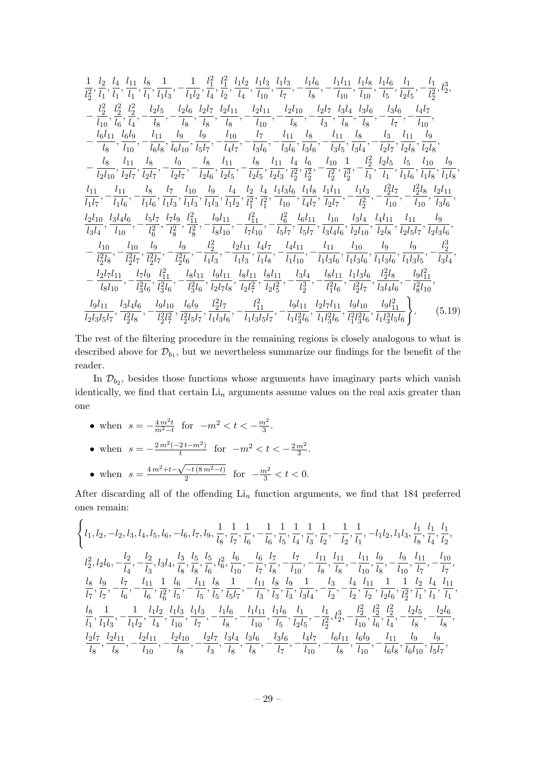$$
\begin{split}\n&\frac{1}{l_{2}^{2}},\frac{l_{2}}{l_{1}},\frac{l_{1}}{l_{1}},\frac{l_{3}}{l_{1}},\frac{1}{l_{1}}l_{3},-\frac{1}{l_{1}l_{2}},\frac{l_{1}^{2}}{l_{2}},\frac{l_{1}^{2}}{l_{2}},\frac{l_{1}l_{3}}{l_{3}},\frac{l_{1}l_{3}}{l_{3}},-\frac{l_{1}l_{3}}{l_{3}},-\frac{l_{1}l_{1}}{l_{10}},\frac{l_{1}l_{8}}{l_{10}},\frac{l_{1}l_{8}}{l_{10}},\frac{l_{1}l_{8}}{l_{2}},\frac{l_{1}l_{8}}{l_{2}},-\frac{l_{1}l_{2}}{l_{2}},-\frac{l_{2}l_{2}}{l_{2}},-\frac{l_{2}l_{2}}{l_{2}},-\frac{l_{2}l_{2}}{l_{2}},-\frac{l_{2}l_{2}}{l_{2}},-\frac{l_{2}l_{2}}{l_{2}},-\frac{l_{2}l_{2}}{l_{2}},-\frac{l_{2}l_{2}}{l_{2}},-\frac{l_{2}l_{2}}{l_{2}},-\frac{l_{2}l_{1}}{l_{2}},-\frac{l_{2}l_{11}}{l_{2}},-\frac{l_{2}l_{11}}{l_{2}},-\frac{l_{2}l_{11}}{l_{3}},-\frac{l_{2}l_{11}}{l_{3}},\frac{l_{2}l_{4}}{l_{3}},\frac{l_{3}l_{4}}{l_{3}},\frac{l_{3}l_{6}}{l_{3}},-\frac{l_{3}l_{6}}{l_{2},-\frac{l_{4}l_{7}}{l_{10}},-\frac{l_{4}l_{1}}{l_{2}},-\frac{l_{4}l_{2}}{l_{2},-\frac{l_{4}l_{2}}{l_{2}},-\frac{l_{11}}{l_{2},-\frac{l_{2}}{l_{2},-\frac{l_{2}}{l_{2}},-\frac{l_{11}}{l_{2},-\frac{l_{2}}{l_{2},-\frac{l_{2}}{l_{2}},-\frac{l_{11}}{l_{2},-\frac{l_{2}}{l_{2},-\frac{l_{2}}{l_{2}},-\frac{l_{2}}{l_{2},-\frac{l_{2}}{l_{2}},-\frac{l_{2}}{l_{2},-\frac{l_{2}}{l_{2}},-\frac{l_{2}}{l_{2},-\frac{l_{2}}{l_{2}},-\frac{l_{2}}{l_{2},-\frac{l_{2}}{l_{2}},-\frac{l_{2}}
$$

The rest of the filtering procedure in the remaining regions is closely analogous to what is described above for  $\mathcal{D}_{b_1}$ , but we nevertheless summarize our findings for the benefit of the reader.

In  $\mathcal{D}_{b_2}$ , besides those functions whose arguments have imaginary parts which vanish identically, we find that certain  $Li_n$  arguments assume values on the real axis greater than one

• when  $s = -\frac{4m^2t}{m^2-t}$  for  $-m^2 < t < -\frac{m^2}{3}$  $rac{n^2}{3}$ . • when  $s = -\frac{2m^2(-2t-m^2)}{t}$  $\frac{2t-m^2}{t}$  for  $-m^2 < t < -\frac{2m^2}{3}$  $\frac{m^2}{3}$ . • when  $s = \frac{4m^2 + t - \sqrt{-t(8m^2 - t)}}{2}$  $\frac{(-t(8m^2-t))}{2}$  for  $-\frac{m^2}{3} < t < 0$ .

After discarding all of the offending  $\mathrm{Li}_n$  function arguments, we find that 184 preferred ones remain:

$$
\begin{aligned} &\left\{l_{1},l_{2},-l_{2},l_{3},l_{4},l_{5},l_{6},-l_{6},l_{7},l_{9},\frac{1}{l_{8}},\frac{1}{l_{7}},\frac{1}{l_{6}},-\frac{1}{l_{6}},\frac{1}{l_{5}},\frac{1}{l_{4}},\frac{1}{l_{3}},\frac{1}{l_{2}},-\frac{1}{l_{2}},\frac{1}{l_{1}},-l_{1}l_{2},l_{1}l_{3},\frac{l_{1}}{l_{8}},\frac{l_{1}}{l_{4}},\frac{l_{1}}{l_{2}},\\ &l_{2}^{2},l_{2}l_{6},-\frac{l_{2}}{l_{4}},-\frac{l_{2}}{l_{3}},l_{3}l_{4},\frac{l_{3}}{l_{8}},\frac{l_{5}}{l_{8}},\frac{l_{5}}{l_{6}},l_{6}^{2},\frac{l_{6}}{l_{10}},-\frac{l_{6}}{l_{7}},\frac{l_{7}}{l_{8}},-\frac{l_{7}}{l_{10}},-\frac{l_{11}}{l_{8}},\frac{l_{11}}{l_{8}},-\frac{l_{11}}{l_{10}},\frac{l_{9}}{l_{8}},-\frac{l_{9}}{l_{10}},\frac{l_{11}}{l_{7}},-\frac{l_{10}}{l_{7}},\\ &\frac{l_{8}}{l_{7}},\frac{l_{9}}{l_{7}},-\frac{l_{7}}{l_{6}},-\frac{l_{11}}{l_{6}},\frac{1}{l_{6}^{2}},\frac{l_{5}}{l_{5}},\frac{l_{5}}{l_{5}},\frac{l_{5}}{l_{5}},\frac{l_{1}}{l_{5}},-\frac{l_{11}}{l_{3}},\frac{l_{8}}{l_{3}},\frac{l_{9}}{l_{3}},\frac{1}{l_{3}l_{4}},-\frac{l_{11}}{l_{2}},\frac{l_{11}}{l_{2}},\frac{l_{12}}{l_{2},\frac{l_{2}l_{6}},\frac{l_{11}}{l_{2}},-\frac{l_{10}}{l_{1}},\\ &\frac{l_{8}}{l_{1}},\frac{1}{l_{1}},-\frac{1}{l_{1}}\frac{l_{1}l_{2}}{l_{2}},\frac{l_{12}}{l_{4}},\frac{l_{11}}{l_{10}},\frac{l_{11}}{l_{7}},-\frac{l_{11}}{l_{8}},\frac{l_{11}}{l_{5}},-\frac{l_{11}}{l_{10}},\frac{l_{11}}{l_{1
$$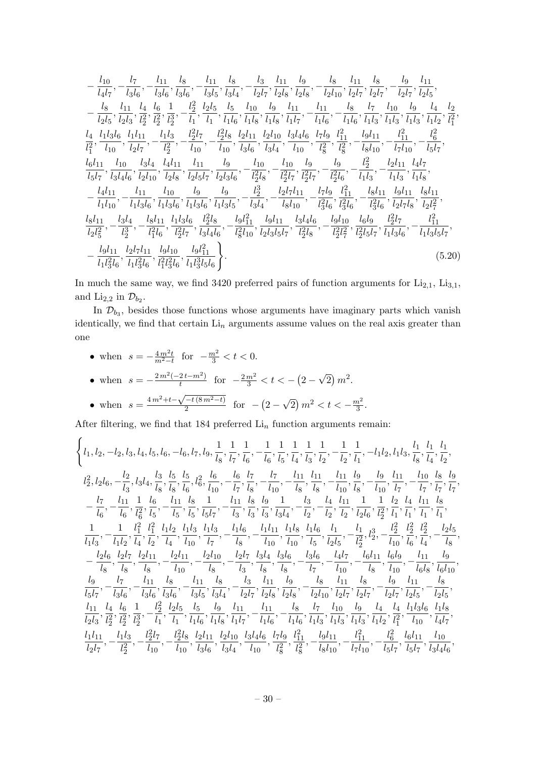$$
-\frac{l_{10}}{l_{4}l_{7}}, -\frac{l_{7}}{l_{3}l_{6}}, -\frac{l_{11}}{l_{3}l_{6}}, \frac{l_{8}}{l_{3}l_{6}}, -\frac{l_{11}}{l_{3}l_{5}}, \frac{l_{8}}{l_{3}l_{4}}, -\frac{l_{3}}{l_{2}l_{7}}, \frac{l_{11}}{l_{2}l_{8}}, \frac{l_{9}}{l_{2}l_{8}}, -\frac{l_{8}}{l_{2}l_{10}}, \frac{l_{11}}{l_{2}l_{7}}, \frac{l_{8}}{l_{2}l_{7}}, -\frac{l_{9}}{l_{2}l_{7}}, \frac{l_{11}}{l_{2}l_{5}},
$$

$$
-\frac{l_{8}}{l_{2}l_{5}}, \frac{l_{11}}{l_{2}l_{3}}, \frac{l_{4}}{l_{2}l_{3}}, \frac{l_{6}}{l_{2}l_{3}}, -\frac{l_{2}}{l_{2}}, \frac{l_{2}l_{5}}{l_{2}l_{5}}, \frac{l_{10}}{l_{1}l_{6}}, \frac{l_{9}}{l_{1}l_{1}} \frac{l_{11}}{l_{1}l_{8}}, -\frac{l_{11}}{l_{1}l_{1}}, -\frac{l_{11}}{l_{1}l_{6}}, -\frac{l_{8}}{l_{1}l_{6}}, \frac{l_{7}}{l_{1}l_{8}}, \frac{l_{10}}{l_{1}l_{3}}, \frac{l_{9}}{l_{1}l_{2}}, \frac{l_{11}}{l_{2}} \frac{l_{10}}{l_{2}}, \frac{l_{9}}{l_{2}l_{3}}, \frac{l_{11}}{l_{2}}, \frac{l_{10}}{l_{2}}, \frac{l_{11}}{l_{2}l_{3}}, \frac{l_{11}}{l_{2}}, \frac{l_{11}}{l_{2}}, \frac{l_{11}}{l_{2}}, -\frac{l_{11}}{l_{2}}, -\frac{l_{11}}{l_{2}}, -\frac{l_{11}}{l_{2}}, \frac{l_{11}}{l_{2}, \frac{l_{2}}{l_{2}}, \frac{l_{2}}{l_{2}}, \frac{l_{2}}{l_{2}}, -\frac{l_{2}l_{8}}{l_{10}}, \frac{l_{2}l_{11}}{l_{3}l_{4}}, \frac{l_{2}l_{10}}{l_{3}l_{4}}, \frac{l_{3}l_{4}}{l_{10}}, -\frac{l_{11}}{l_{2}, \frac{l_{11}}{
$$

In much the same way, we find 3420 preferred pairs of function arguments for  $Li_{2,1}$ ,  $Li_{3,1}$ , and  $\text{Li}_{2,2}$  in  $\mathcal{D}_{b_2}$ .

In  $\mathcal{D}_{b_3}$ , besides those functions whose arguments have imaginary parts which vanish identically, we find that certain  $\mathrm{Li}_{n}$  arguments assume values on the real axis greater than one

<span id="page-30-0"></span>\n- when 
$$
s = -\frac{4m^2t}{m^2-t}
$$
 for  $-\frac{m^2}{3} < t < 0$ .
\n- when  $s = -\frac{2m^2(-2t - m^2)}{t}$  for  $-\frac{2m^2}{3} < t < -\left(2 - \sqrt{2}\right)m^2$ .
\n- when  $s = \frac{4m^2 + t - \sqrt{-t(8m^2 - t)}}{2}$  for  $-\left(2 - \sqrt{2}\right)m^2 < t < -\frac{m^2}{3}$ .
\n

After filtering, we find that 184 preferred  ${\rm Li}_n$  function arguments remain:

$$
\begin{aligned} &\left\{l_{1},l_{2},-l_{2},l_{3},l_{4},l_{5},l_{6},-l_{6},l_{7},l_{9},\frac{1}{l_{8}},\frac{1}{l_{7}},\frac{1}{l_{6}},-\frac{1}{l_{6}},\frac{1}{l_{5}},\frac{1}{l_{4}},\frac{1}{l_{3}},\frac{1}{l_{2}},-\frac{1}{l_{2}},\frac{1}{l_{1}},-l_{1}l_{2},l_{1}l_{3},\frac{l_{1}}{l_{8}},\frac{l_{1}}{l_{4}},\frac{l_{1}}{l_{2}},\\ &l_{2}^{2},l_{2}l_{6},-\frac{l_{2}}{l_{3}},l_{3}l_{4},\frac{l_{3}}{l_{8}},\frac{l_{5}}{l_{8}},\frac{l_{5}}{l_{6}},l_{6}^{2},\frac{l_{6}}{l_{10}},-\frac{l_{6}}{l_{7}},\frac{l_{7}}{l_{8}},-\frac{l_{11}}{l_{10}},\frac{l_{11}}{l_{8}},\frac{l_{11}}{l_{8}},-\frac{l_{11}}{l_{10}},\frac{l_{9}}{l_{8}},-\frac{l_{9}}{l_{10}},\frac{l_{11}}{l_{7}},-\frac{l_{10}}{l_{7}},\frac{l_{10}}{l_{7}},\frac{l_{11}}{l_{7}},\frac{l_{10}}{l_{7}},\frac{l_{11}}{l_{7}},\frac{l_{11}}{l_{7}},\frac{l_{11}}{l_{7}},\frac{l_{11}}{l_{7}},\frac{l_{11}}{l_{7}},\frac{l_{11}}{l_{7}},\frac{l_{11}}{l_{7}},\frac{l_{11}}{l_{8}},\frac{l_{11}}{l_{8}},\frac{l_{11}}{l_{8}},\frac{l_{11}}{l_{8}},\frac{l_{11}}{l_{8}},\frac{l_{11}}{l_{8}},\frac{l_{11}}{l_{8}},\frac{l_{11}}{l_{8}},\frac{l_{11}}{l_{8}},\frac{l_{11}}{l_{8}},\frac{l_{11}}{l_{8}},\frac{l_{11}}{l_{8}},\frac{l_{11}}{l_{8}},\frac{l_{11}}{l_{8}},-\frac{l_{11}}{l_{8}},\frac{l_{11}}{l_{8}},\frac{l_{11}}{l_{8}},\frac{l_{11}}{l_{8}},\frac{l_{11}}{l_{8}},\frac{l_{11}}{l_{8}},\
$$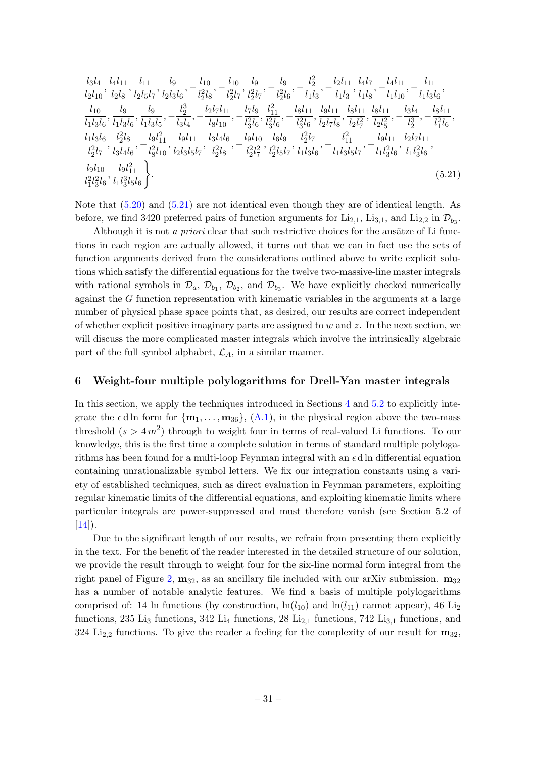<span id="page-31-1"></span>
$$
\frac{l_3l_4}{l_2l_{10}}, \frac{l_4l_{11}}{l_2l_8}, \frac{l_{11}}{l_2l_5l_7}, \frac{l_9}{l_2l_3l_6}, -\frac{l_{10}}{l_2l_8}, -\frac{l_{10}}{l_2l_7}, \frac{l_9}{l_2l_7}, -\frac{l_9}{l_2l_6}, -\frac{l_2^2}{l_1l_3}, -\frac{l_2l_{11}}{l_1l_3}, \frac{l_4l_7}{l_1l_8}, -\frac{l_4l_{11}}{l_1l_{10}}, -\frac{l_{11}}{l_1l_3l_6}, \frac{l_{10}}{l_1l_3l_6}, \frac{l_{9}}{l_1l_3l_6}, \frac{l_{9}}{l_1l_3l_5}, -\frac{l_2^3}{l_3l_4}, -\frac{l_2l_7l_{11}}{l_8l_{10}}, -\frac{l_7l_9}{l_8^2l_6}, \frac{l_{11}}{l_8^2l_6}, -\frac{l_8l_{11}}{l_8^2l_6}, \frac{l_9l_{11}}{l_2l_7^2l_8}, \frac{l_9l_{11}}{l_2l_7^2}, \frac{l_8l_{11}}{l_2l_7^2}, \frac{l_8l_{11}}{l_2l_8^2}, -\frac{l_3l_4}{l_8^2l_6}, -\frac{l_9l_{11}}{l_8^2l_6}, \frac{l_9l_{11}}{l_8^2l_7}, \frac{l_9l_{11}}{l_8^2l_7}, \frac{l_9l_{11}}{l_8^2l_7}, \frac{l_9l_{11}}{l_8^2l_7}, -\frac{l_1^2}{l_8^2l_7}, -\frac{l_1^2}{l_8^2l_8}, -\frac{l_9l_{10}}{l_8^2l_8}, \frac{l_9l_{10}}{l_8^2l_8}, -\frac{l_9l_{10}}{l_8^2l_8}, -\frac{l_9l_{10}}{l_8^2l_8}, \frac{l_9l_{10}}{l_8^2l_8}, -\frac{l_1^2}{l_8^2l_8^2l_7}, \frac{l_1l_3l_6}{l_8^2l_8}, -\frac{l_1^2
$$

Note that [\(5.20\)](#page-30-0) and [\(5.21\)](#page-31-1) are not identical even though they are of identical length. As before, we find 3420 preferred pairs of function arguments for  $\text{Li}_{2,1}$ ,  $\text{Li}_{3,1}$ , and  $\text{Li}_{2,2}$  in  $\mathcal{D}_{b_3}$ .

Although it is not a *priori* clear that such restrictive choices for the ansätze of Li functions in each region are actually allowed, it turns out that we can in fact use the sets of function arguments derived from the considerations outlined above to write explicit solutions which satisfy the differential equations for the twelve two-massive-line master integrals with rational symbols in  $\mathcal{D}_a$ ,  $\mathcal{D}_{b_1}$ ,  $\mathcal{D}_{b_2}$ , and  $\mathcal{D}_{b_3}$ . We have explicitly checked numerically against the G function representation with kinematic variables in the arguments at a large number of physical phase space points that, as desired, our results are correct independent of whether explicit positive imaginary parts are assigned to  $w$  and  $z$ . In the next section, we will discuss the more complicated master integrals which involve the intrinsically algebraic part of the full symbol alphabet,  $\mathcal{L}_A$ , in a similar manner.

#### <span id="page-31-0"></span>6 Weight-four multiple polylogarithms for Drell-Yan master integrals

In this section, we apply the techniques introduced in Sections [4](#page-13-0) and [5.2](#page-23-0) to explicitly integrate the  $\epsilon$  d ln form for  $\{m_1, \ldots, m_{36}\},$   $(A.1)$ , in the physical region above the two-mass threshold  $(s > 4m^2)$  through to weight four in terms of real-valued Li functions. To our knowledge, this is the first time a complete solution in terms of standard multiple polylogarithms has been found for a multi-loop Feynman integral with an  $\epsilon$  d ln differential equation containing unrationalizable symbol letters. We fix our integration constants using a variety of established techniques, such as direct evaluation in Feynman parameters, exploiting regular kinematic limits of the differential equations, and exploiting kinematic limits where particular integrals are power-suppressed and must therefore vanish (see Section 5.2 of  $[14]$ ).

Due to the significant length of our results, we refrain from presenting them explicitly in the text. For the benefit of the reader interested in the detailed structure of our solution, we provide the result through to weight four for the six-line normal form integral from the right panel of Figure [2,](#page-3-0)  $m_{32}$ , as an ancillary file included with our arXiv submission.  $m_{32}$ has a number of notable analytic features. We find a basis of multiple polylogarithms comprised of: 14 ln functions (by construction,  $\ln(l_{10})$  and  $\ln(l_{11})$  cannot appear), 46 Li<sub>2</sub> functions, 235 Li<sub>3</sub> functions, 342 Li<sub>4</sub> functions, 28 Li<sub>2,1</sub> functions, 742 Li<sub>3,1</sub> functions, and 324 Li<sub>2,2</sub> functions. To give the reader a feeling for the complexity of our result for  $m_{32}$ ,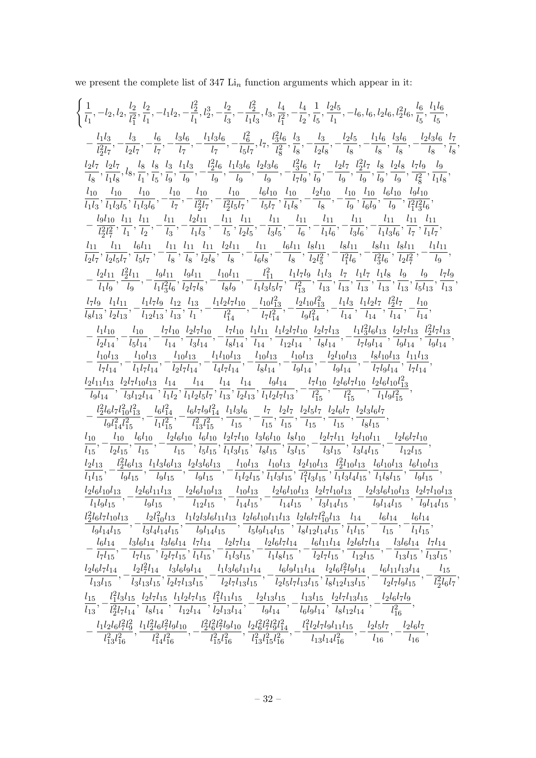we present the complete list of 347  ${\rm Li}_n$  function arguments which appear in it:

$$
\begin{cases} \frac{1}{l_1^{}}, -l_2, l_2, \frac{l_2}{l_1^2}, \frac{l_2}{l_1^2}, -l_1l_2, -\frac{l_2^2}{l_1^2}, l_2^3, -\frac{l_2^2}{l_2^2}, -\frac{l_2^2}{l_2^2}, l_3^4, l_4^4, -\frac{l_4}{l_2^2}, \frac{l_2l_5}{l_2^2}, -l_6, l_6, l_2l_6, l_2^2l_6, \frac{l_6}{l_6}, \frac{l_1l_6}{l_6}, \\ -\frac{l_1l_2}{l_2^2l_7}, -\frac{l_2}{l_2^2l_7}, -\frac{l_6}{l_7}, -\frac{l_1l_3l_6}{l_7}, -\frac{l_6^2}{l_2^2l_8}, \frac{l_3^2}{l_8}, -\frac{l_2l_6}{l_8}, -\frac{l_2l_6}{l_8}, -\frac{l_2l_6}{l_8}, -\frac{l_2l_6}{l_8}, -\frac{l_2l_6}{l_8}, \\ \frac{l_2l_7}{l_2^2l_7}, \frac{l_2l_7}{l_2^2l_8}, l_5, \frac{l_3}{l_1^2l_5}, \frac{l_1l_3}{l_3^2l_6}, \frac{l_2l_6}{l_3^2l_6}, \frac{l_2l_6}{l_3^2l_6}, \frac{l_2l_6}{l_3^2l_6}, \frac{l_2l_6}{l_3^2l_6}, \frac{l_2l_6}{l_3^2l_6}, \frac{l_2l_6}{l_3^2l_6}, \frac{l_2l_6}{l_3^2l_6}, \frac{l_2l_6}{l_3^2l_6}, \frac{l_2l_6}{l_3^2l_6}, \frac{l_2l_6}{l_3^2l_6}, \frac{l_2l_6}{l_3^2l_6}, \frac{l_2l_6}{l_3^2l_6}, \frac{l_2l_6}{l_3^2l_6}, \frac{l_2l_6}{l_3^2l_6}, \frac{l_2l_6}{l_3^2l_6}, \frac{l_2l_6}{l_3^2l_6}, \frac{l_2l_6}{l_3^2l_6}, \frac{l_2l_6}{l_3^2l_6}, \frac
$$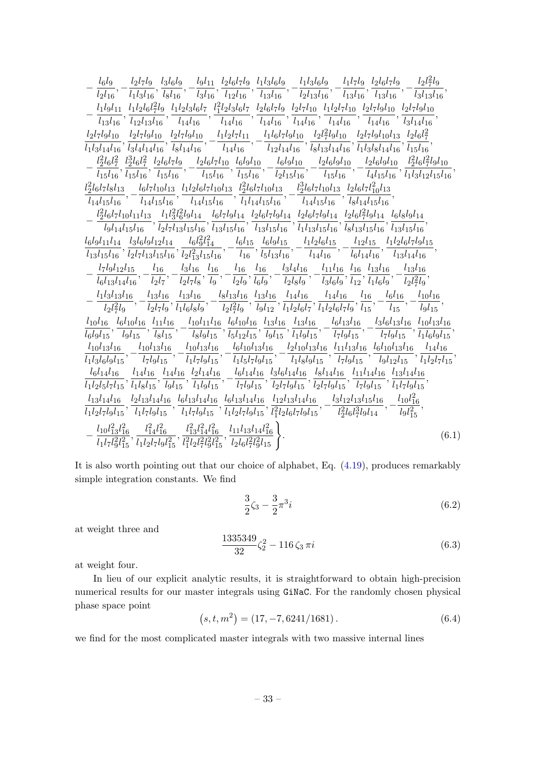$$
-\frac{1616}{l_2l_{16}},-\frac{l_2l_7l_9}{l_1l_3l_{16}},\frac{l_3l_6l_9}{l_3l_{16}},-\frac{l_3l_{11}}{l_2l_6l_{16}},\frac{l_1l_3l_6l_9}{l_1l_3l_{16}},-\frac{l_1l_3l_6l_9}{l_2l_3l_{16}},-\frac{l_1l_3l_6}{l_3l_{16}},\frac{l_2l_6l_7l_9}{l_3l_{16}},-\frac{l_2l_7l_9}{l_3l_{16}},-\frac{l_2l_7l_9}{l_3l_{16}},\frac{l_2l_7l_9}{l_3l_{16}},-\frac{l_2l_7l_9}{l_3l_{16}},\frac{l_2l_7l_9l_{10}}{l_1l_3l_{16}},\frac{l_2l_7l_9l_{10}}{l_1l_3l_{16}},\frac{l_2l_7l_9l_{10}}{l_1l_3l_{16}},\frac{l_2l_7l_9l_{10}}{l_1l_3l_{16}},\frac{l_2l_7l_9l_{10}}{l_1l_3l_{16}},\frac{l_2l_7l_9l_{10}}{l_1l_3l_{16}},\frac{l_2l_7l_9l_{10}}{l_1l_3l_{16}},\frac{l_2l_7l_9l_{10}}{l_1l_3l_{16}},\frac{l_2l_7l_9l_{10}}{l_1l_3l_{16}},\frac{l_2l_7l_9l_{10}}{l_1l_3l_{16}},\frac{l_2l_7l_9l_{10}}{l_1l_3l_{16}},\frac{l_2l_7l_9l_{10}}{l_1l_3l_{16}},\frac{l_2l_7l_9l_{10}}{l_3l_{16}},\frac{l_2l_7l_9l_{10}}{l_3l_{16}},\frac{l_2l_7l_9l_{10}}{l_3l_{16}},\frac{l_2l_7l_9l_{10}}{l_3l_{16}},\frac{l_2l_7l_9l_{10}}{l_3l_{16}},\frac{l_2l_7l_9l_{10}}{l_3l_{16}},\frac{l_2l_7l_9l_{10}}{
$$

It is also worth pointing out that our choice of alphabet, Eq. [\(4.19\)](#page-18-1), produces remarkably simple integration constants. We find

$$
\frac{3}{2}\zeta_3 - \frac{3}{2}\pi^3 i\tag{6.2}
$$

at weight three and

$$
\frac{1335349}{32}\zeta_2^2 - 116\,\zeta_3\,\pi i\tag{6.3}
$$

at weight four.

In lieu of our explicit analytic results, it is straightforward to obtain high-precision numerical results for our master integrals using GiNaC. For the randomly chosen physical phase space point

<span id="page-33-0"></span>
$$
(s, t, m2) = (17, -7, 6241/1681). \t(6.4)
$$

we find for the most complicated master integrals with two massive internal lines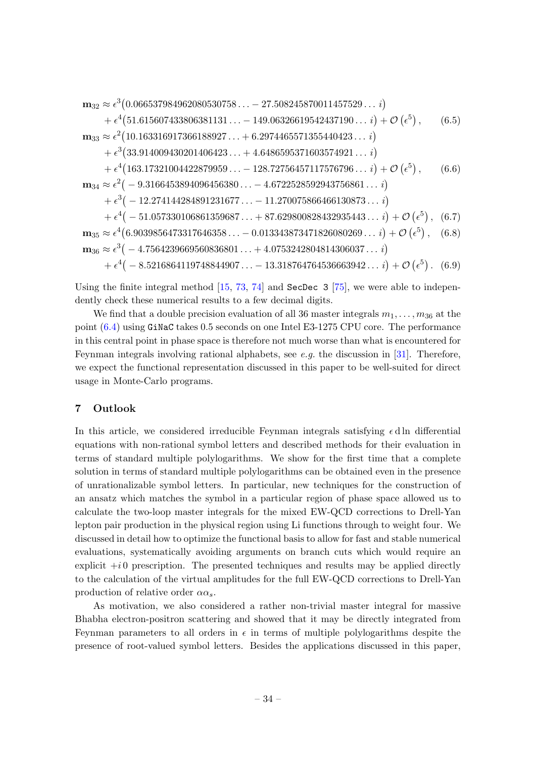$$
\mathbf{m}_{32} \approx \epsilon^3 (0.066537984962080530758... - 27.508245870011457529... i)
$$
  
\n
$$
+ \epsilon^4 (51.615607433806381131... - 149.06326619542437190... i) + \mathcal{O}(\epsilon^5),
$$
 (6.5)  
\n
$$
\mathbf{m}_{33} \approx \epsilon^2 (10.163316917366188927... + 6.2974465571355440423... i)
$$
  
\n
$$
+ \epsilon^3 (33.914009430201406423... + 4.6486595371603574921... i)
$$
  
\n
$$
+ \epsilon^4 (163.17321004422879959... - 128.72756457117576796... i) + \mathcal{O}(\epsilon^5),
$$
 (6.6)  
\n
$$
\mathbf{m}_{34} \approx \epsilon^2 (-9.3166453894096456380... - 4.6722528592943756861... i)
$$
  
\n
$$
+ \epsilon^3 (-12.274144284891231677... - 11.270075866466130873... i) + \epsilon^4 (-51.057330106861359687... + 87.629800828432935443... i) + \mathcal{O}(\epsilon^5),
$$
 (6.7)  
\n
$$
\mathbf{m}_{35} \approx \epsilon^4 (6.9039856473317646358... - 0.013343873471826080269... i) + \mathcal{O}(\epsilon^5),
$$
 (6.8)  
\n
$$
\mathbf{m}_{36} \approx \epsilon^3 (-4.7564239669560836801... + 4.0753242804814306037... i)
$$
  
\n<math display="block</math>

Using the finite integral method  $[15, 73, 74]$  $[15, 73, 74]$  $[15, 73, 74]$  $[15, 73, 74]$  and SecDec 3  $[75]$ , we were able to independently check these numerical results to a few decimal digits.

We find that a double precision evaluation of all 36 master integrals  $m_1, \ldots, m_{36}$  at the point [\(6.4\)](#page-33-0) using GiNaC takes 0.5 seconds on one Intel E3-1275 CPU core. The performance in this central point in phase space is therefore not much worse than what is encountered for Feynman integrals involving rational alphabets, see e.g. the discussion in [\[31\]](#page-49-8). Therefore, we expect the functional representation discussed in this paper to be well-suited for direct usage in Monte-Carlo programs.

## <span id="page-34-0"></span>7 Outlook

In this article, we considered irreducible Feynman integrals satisfying  $\epsilon$  d ln differential equations with non-rational symbol letters and described methods for their evaluation in terms of standard multiple polylogarithms. We show for the first time that a complete solution in terms of standard multiple polylogarithms can be obtained even in the presence of unrationalizable symbol letters. In particular, new techniques for the construction of an ansatz which matches the symbol in a particular region of phase space allowed us to calculate the two-loop master integrals for the mixed EW-QCD corrections to Drell-Yan lepton pair production in the physical region using Li functions through to weight four. We discussed in detail how to optimize the functional basis to allow for fast and stable numerical evaluations, systematically avoiding arguments on branch cuts which would require an explicit  $+i0$  prescription. The presented techniques and results may be applied directly to the calculation of the virtual amplitudes for the full EW-QCD corrections to Drell-Yan production of relative order  $\alpha \alpha_s$ .

As motivation, we also considered a rather non-trivial master integral for massive Bhabha electron-positron scattering and showed that it may be directly integrated from Feynman parameters to all orders in  $\epsilon$  in terms of multiple polylogarithms despite the presence of root-valued symbol letters. Besides the applications discussed in this paper,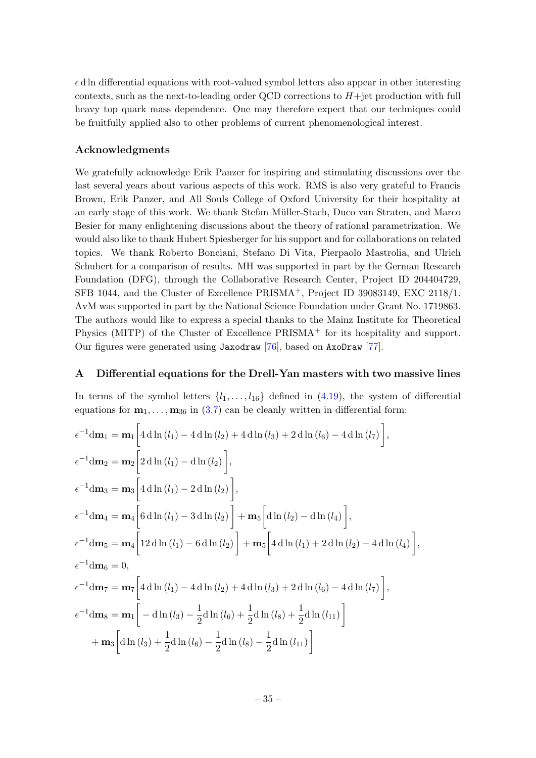$\epsilon$ d ln differential equations with root-valued symbol letters also appear in other interesting contexts, such as the next-to-leading order QCD corrections to  $H +$ jet production with full heavy top quark mass dependence. One may therefore expect that our techniques could be fruitfully applied also to other problems of current phenomenological interest.

## Acknowledgments

We gratefully acknowledge Erik Panzer for inspiring and stimulating discussions over the last several years about various aspects of this work. RMS is also very grateful to Francis Brown, Erik Panzer, and All Souls College of Oxford University for their hospitality at an early stage of this work. We thank Stefan M¨uller-Stach, Duco van Straten, and Marco Besier for many enlightening discussions about the theory of rational parametrization. We would also like to thank Hubert Spiesberger for his support and for collaborations on related topics. We thank Roberto Bonciani, Stefano Di Vita, Pierpaolo Mastrolia, and Ulrich Schubert for a comparison of results. MH was supported in part by the German Research Foundation (DFG), through the Collaborative Research Center, Project ID 204404729, SFB 1044, and the Cluster of Excellence PRISMA<sup>+</sup>, Project ID 39083149, EXC 2118/1. AvM was supported in part by the National Science Foundation under Grant No. 1719863. The authors would like to express a special thanks to the Mainz Institute for Theoretical Physics (MITP) of the Cluster of Excellence  $PRISMA<sup>+</sup>$  for its hospitality and support. Our figures were generated using Jaxodraw [\[76\]](#page-51-14), based on AxoDraw [\[77\]](#page-51-15).

#### <span id="page-35-0"></span>A Differential equations for the Drell-Yan masters with two massive lines

In terms of the symbol letters  $\{l_1, \ldots, l_{16}\}$  defined in  $(4.19)$ , the system of differential equations for  $\mathbf{m}_1, \ldots, \mathbf{m}_{36}$  in [\(3.7\)](#page-12-1) can be cleanly written in differential form:

$$
\epsilon^{-1} d\mathbf{m}_1 = \mathbf{m}_1 \left[ 4 d \ln (l_1) - 4 d \ln (l_2) + 4 d \ln (l_3) + 2 d \ln (l_6) - 4 d \ln (l_7) \right],
$$
  
\n
$$
\epsilon^{-1} d\mathbf{m}_2 = \mathbf{m}_2 \left[ 2 d \ln (l_1) - d \ln (l_2) \right],
$$
  
\n
$$
\epsilon^{-1} d\mathbf{m}_3 = \mathbf{m}_3 \left[ 4 d \ln (l_1) - 2 d \ln (l_2) \right],
$$
  
\n
$$
\epsilon^{-1} d\mathbf{m}_4 = \mathbf{m}_4 \left[ 6 d \ln (l_1) - 3 d \ln (l_2) \right] + \mathbf{m}_5 \left[ d \ln (l_2) - d \ln (l_4) \right],
$$
  
\n
$$
\epsilon^{-1} d\mathbf{m}_5 = \mathbf{m}_4 \left[ 12 d \ln (l_1) - 6 d \ln (l_2) \right] + \mathbf{m}_5 \left[ 4 d \ln (l_1) + 2 d \ln (l_2) - 4 d \ln (l_4) \right],
$$
  
\n
$$
\epsilon^{-1} d\mathbf{m}_6 = 0,
$$
  
\n
$$
\epsilon^{-1} d\mathbf{m}_7 = \mathbf{m}_7 \left[ 4 d \ln (l_1) - 4 d \ln (l_2) + 4 d \ln (l_3) + 2 d \ln (l_6) - 4 d \ln (l_7) \right],
$$
  
\n
$$
\epsilon^{-1} d\mathbf{m}_8 = \mathbf{m}_1 \left[ -d \ln (l_3) - \frac{1}{2} d \ln (l_6) + \frac{1}{2} d \ln (l_8) + \frac{1}{2} d \ln (l_{11}) \right]
$$
  
\n
$$
+ \mathbf{m}_3 \left[ d \ln (l_3) + \frac{1}{2} d \ln (l_6) - \frac{1}{2} d \ln (l_8) - \frac{1}{2} d \ln (l_{11}) \right]
$$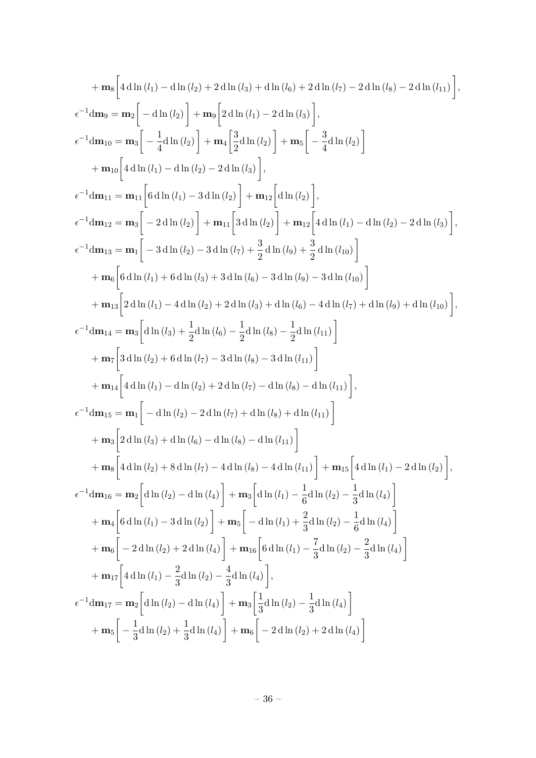$$
+ m_{8}\left[4 d \ln (l_{1}) - d \ln (l_{2}) + 2 d \ln (l_{3}) + d \ln (l_{6}) + 2 d \ln (l_{7}) - 2 d \ln (l_{8}) - 2 d \ln (l_{11})\right],
$$
  
\n
$$
\epsilon^{-1}dm_{10} = m_{2}\left[-d \ln (l_{2})\right] + m_{9}\left[2 d \ln (l_{1}) - 2 d \ln (l_{3})\right],
$$
  
\n
$$
\epsilon^{-1}dm_{10} = m_{3}\left[-\frac{1}{4} d \ln (l_{2})\right] + m_{4}\left[\frac{3}{2} d \ln (l_{2})\right] + m_{5}\left[-\frac{3}{4} d \ln (l_{2})\right]
$$
  
\n
$$
+ m_{10}\left[4 d \ln (l_{1}) - d \ln (l_{2}) - 2 d \ln (l_{3})\right],
$$
  
\n
$$
\epsilon^{-1}dm_{11} = m_{11}\left[6 d \ln (l_{1}) - 3 d \ln (l_{2})\right] + m_{12}\left[d \ln (l_{2})\right],
$$
  
\n
$$
\epsilon^{-1}dm_{13} = m_{1}\left[-3 d \ln (l_{2}) - 3 d \ln (l_{7})\right] + m_{12}\left[4 d \ln (l_{1}) - d \ln (l_{2}) - 2 d \ln (l_{3})\right],
$$
  
\n
$$
\epsilon^{-1}dm_{13} = m_{1}\left[-3 d \ln (l_{2}) - 3 d \ln (l_{7}) + \frac{3}{2} d \ln (l_{9}) + \frac{3}{2} d \ln (l_{10})\right]
$$
  
\n
$$
+ m_{13}\left[2 d \ln (l_{1}) + 6 d \ln (l_{3}) + 3 d \ln (l_{6}) - 3 d \ln (l_{7}) + 3 d \ln (l_{8})\right]
$$
  
\n
$$
+ m_{13}\left[2 d \ln (l_{1}) - 4 d \ln (l_{2}) + 2 d \ln (l_{3}) + d \ln (l_{0}) - 4 d \ln (l_{7}) + d \ln (l_{9}) + d \ln (l_{10})\right],
$$
  
\n
$$
\epsilon^{-1}dm_{14} = m_{3}\left[d \ln (l_{3}) + \frac{1}{2} d \ln (l_{3
$$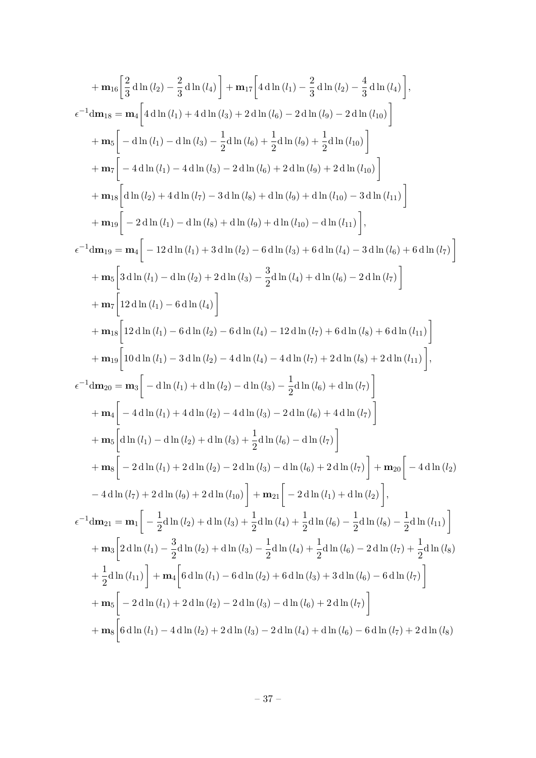$$
+ m_{16} \left[ \frac{2}{3} \mathrm{d}\ln(l_{2}) - \frac{2}{3} \mathrm{d}\ln(l_{4}) \right] + m_{17} \left[ 4 \mathrm{d}\ln(l_{1}) - \frac{2}{3} \mathrm{d}\ln(l_{2}) - \frac{4}{3} \mathrm{d}\ln(l_{4}) \right],
$$
  
\n
$$
\epsilon^{-1} dm_{18} = m_{4} \left[ 4 \mathrm{d}\ln(l_{1}) + 4 \mathrm{d}\ln(l_{3}) + 2 \mathrm{d}\ln(l_{6}) - 2 \mathrm{d}\ln(l_{9}) - 2 \mathrm{d}\ln(l_{10}) \right]
$$
  
\n
$$
+ m_{5} \left[ -\mathrm{d}\ln(l_{1}) - \mathrm{d}\ln(l_{3}) - \frac{1}{2} \mathrm{d}\ln(l_{6}) + \frac{1}{2} \mathrm{d}\ln(l_{9}) + \frac{1}{2} \mathrm{d}\ln(l_{10}) \right]
$$
  
\n
$$
+ m_{7} \left[ -4 \mathrm{d}\ln(l_{1}) - 4 \mathrm{d}\ln(l_{3}) - 2 \mathrm{d}\ln(l_{6}) + 2 \mathrm{d}\ln(l_{10}) - 3 \mathrm{d}\ln(l_{10}) \right]
$$
  
\n
$$
+ m_{18} \left[ \mathrm{d}\ln(l_{2}) + 4 \mathrm{d}\ln(l_{7}) - 3 \mathrm{d}\ln(l_{8}) + \mathrm{d}\ln(l_{9}) + \mathrm{d}\ln(l_{10}) - 3 \mathrm{d}\ln(l_{11}) \right],
$$
  
\n
$$
\epsilon^{-1} dm_{19} = m_{4} \left[ -12 \mathrm{d}\ln(l_{1}) + 3 \mathrm{d}\ln(l_{2}) - 6 \mathrm{d}\ln(l_{3}) + 6 \mathrm{d}\ln(l_{4}) - 3 \mathrm{d}\ln(l_{6}) + 6 \mathrm{d}\ln(l_{7}) \right]
$$
  
\n
$$
+ m_{5} \left[ 3 \mathrm{d}\ln(l_{1}) - \mathrm{d}\ln(l_{2}) + 2 \mathrm{d}\ln(l_{3}) - \frac{3}{2} \mathrm{d}\ln(l_{4}) + \mathrm{d}\ln(l_{6}) - 2 \mathrm{d}\ln(l_{7}) \right]
$$
  
\n
$$
+ m_{7} \left[ 12 \mathrm{d}\ln(l_{1}) - 6 \mathrm{d}\ln(l_{2}) - 6 \mathrm{d}\ln(l_{4}) - 12
$$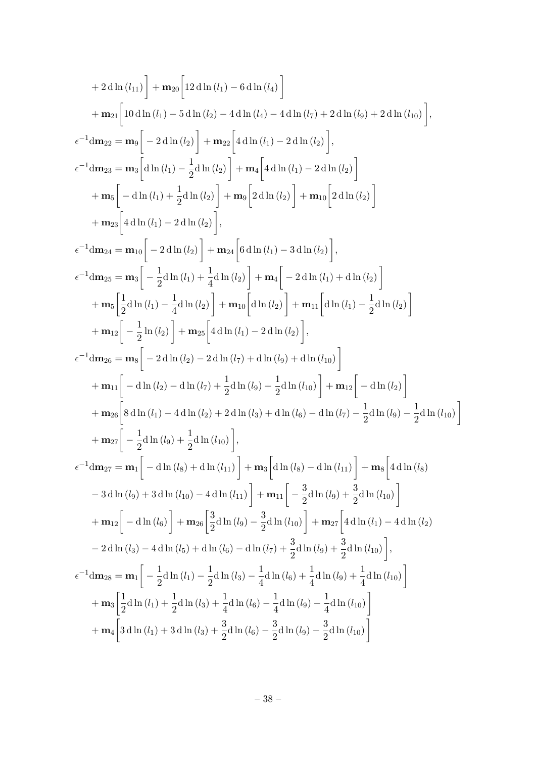+2 d ln (l<sub>11</sub>) + m<sub>20</sub> [12 d ln (l<sub>1</sub>) – 6 d ln (l<sub>4</sub>) – 6 d ln (l<sub>4</sub>) – 4 dln (l<sub>7</sub>) + 2 dln (l<sub>9</sub>) + 2 dln (l<sub>10</sub>)]  
+ m<sub>21</sub> [10 dln (l<sub>1</sub>) – 5 dln (l<sub>2</sub>) – 4 dln (l<sub>4</sub>) – 4 dln (l<sub>7</sub>) + 2 dln (l<sub>9</sub>) + 2 dln (l<sub>10</sub>)],  

$$
\epsilon^{-1} dm_{22} = m_9 \left[ -2 dln (l_2) \right] + m_{22} \left[ 4 dln (l1) – 2 dln (l2) \right],
$$

$$
\epsilon^{-1} dm_{23} = m_3 \left[ dln (l1) - \frac{1}{2} dln (l2) \right] + m_4 \left[ 4 dln (l1) – 2 dln (l2) \right]
$$

$$
+ m_5 \left[ -dln (l1) + \frac{1}{2} dln (l2) \right] + m_9 \left[ 2 dln (l2) \right] + m_{10} \left[ 2 dln (l2) \right]
$$

$$
+ m_2 \left[ 4 dln (l1) – 2 dln (l2) \right],
$$

$$
\epsilon^{-1} dm_{24} = m_{10} \left[ -2 dln (l2) \right] + m_2 \left[ 6 dln (l1) – 3 dln (l2) \right],
$$

$$
\epsilon^{-1} dm_{25} = m_3 \left[ -\frac{1}{2} dln (l1) + \frac{1}{4} dln (l2) \right] + m_4 \left[ -2 dln (l1) + dln (l2) \right]
$$

$$
+ m_5 \left[ \frac{1}{2} dln (l<sub>1</sub>) - \frac{1}{4} dln (l<sub>2</sub>) \right] + m_4 \left[ 2 dln (l
$$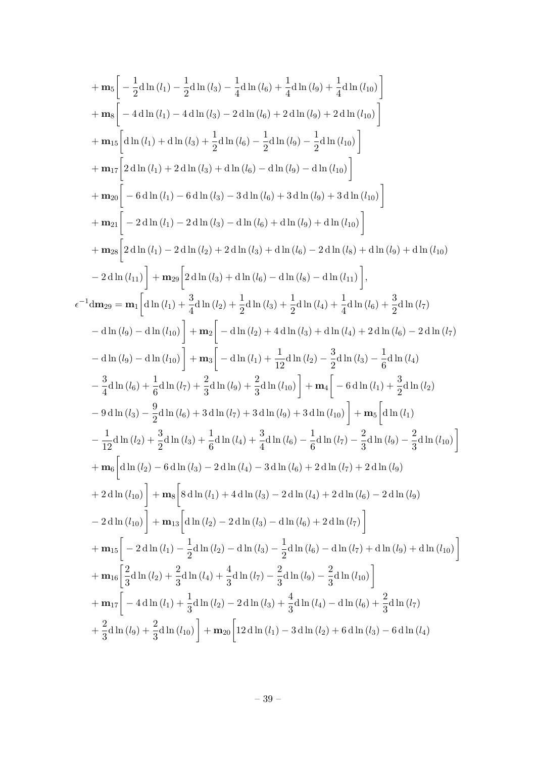$$
+ \mathbf{m}_5 \left[ -\frac{1}{2} d \ln(l_3) - \frac{1}{4} d \ln(l_6) + \frac{1}{4} d \ln(l_9) + \frac{1}{4} d \ln(l_{10}) \right]
$$
  
\n
$$
+ \mathbf{m}_5 \left[ -4 d \ln(l_1) - 4 d \ln(l_3) - 2 d \ln(l_6) + 2 d \ln(l_9) + 2 d \ln(l_{10}) \right]
$$
  
\n
$$
+ \mathbf{m}_{15} \left[ d \ln(l_1) + d \ln(l_3) + \frac{1}{2} d \ln(l_6) - \frac{1}{2} d \ln(l_9) - \frac{1}{2} d \ln(l_{10}) \right]
$$
  
\n
$$
+ \mathbf{m}_{17} \left[ 2 d \ln(l_1) + 2 d \ln(l_3) + d \ln(l_6) - d \ln(l_9) - d \ln(l_{10}) \right]
$$
  
\n
$$
+ \mathbf{m}_{20} \left[ -6 d \ln(l_1) - 6 d \ln(l_3) - 3 d \ln(l_6) + 3 d \ln(l_{10}) \right]
$$
  
\n
$$
+ \mathbf{m}_{21} \left[ -2 d \ln(l_1) - 2 d \ln(l_3) - d \ln(l_6) + d \ln(l_{10}) \right]
$$
  
\n
$$
+ \mathbf{m}_{22} \left[ 2 d \ln(l_1) - 2 d \ln(l_2) + 2 d \ln(l_3) + d \ln(l_6) - 2 d \ln(l_3) + d \ln(l_{10}) \right]
$$
  
\n
$$
+ \mathbf{m}_{28} \left[ 2 d \ln(l_1) - 2 d \ln(l_2) + 2 d \ln(l_3) + d \ln(l_6) - 2 d \ln(l_{11}) \right],
$$
  
\n
$$
\epsilon^{-1} dm_{29} = \mathbf{m}_1 \left[ d \ln(l_1) + \frac{3}{4} d \ln(l_2) + \frac{1}{2} d \ln(l_3) + \frac{1}{2} d \ln(l_4) + \frac{1}{4} d \ln(l_6) + \frac{3}{2} d \ln(l_7)
$$
  
\n
$$
- d \ln(l_9) - d \ln(l_{10}) \right] + \mathbf{m}_2 \left[ - d \ln(l_
$$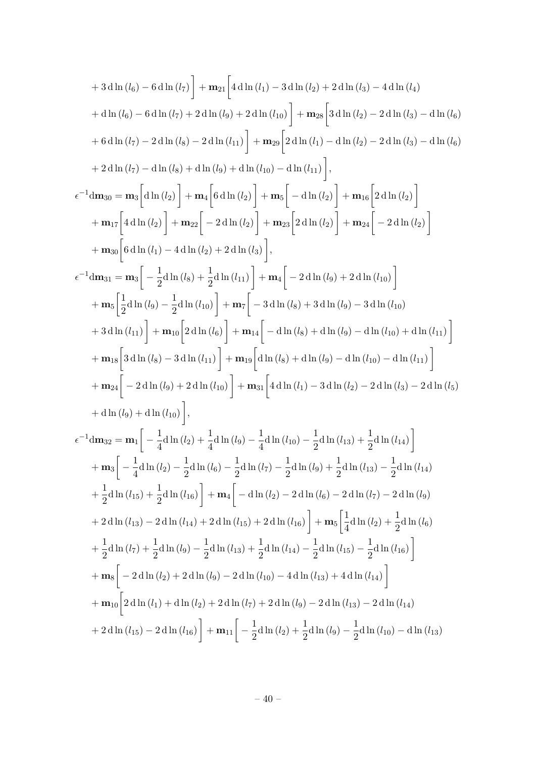+ 3 d ln (
$$
t_0
$$
) – 6 d ln ( $t_7$ ) +  $m_{21}$   $\left[4 d ln ( $t_1$ ) – 3 d ln ( $t_2$ ) + 2 d ln ( $t_3$ ) – 4 d ln ( $t_4$ )  
+ d ln ( $t_6$ ) – 6 d ln ( $t_7$ ) + 2 d ln ( $t_9$ ) + 2 d ln ( $t_{10}$ ) +  $m_{28}$   $\left[3 d ln (t_2)$  – 2 d ln ( $t_3$ ) – d ln ( $t_6$ )  
+ 6 d ln ( $t_7$ ) – 2 d ln ( $t_8$ ) – 2 d ln ( $t_{11}$ ) +  $m_{29}$   $\left[2 d ln ( $t_1$ ) – dln ( $t_2$ ) – 2 d ln ( $t_3$ ) – dln ( $t_6$ )  
+ 2 d ln ( $t_7$ ) – d ln ( $t_8$ ) + d ln ( $t_9$ ) + d ln ( $t_{10}$ ) – dln ( $t_4$ ) +  $m_{16}$   $\left[2 d ln ( $t_2$ ) - 2 dln ( $t_3$ ) – dln ( $t_6$ )  
+ 2 dln ( $t_7$ ) – dln ( $t_8$ ) + dln ( $t_9$ ) + dln ( $t_{10}$ ) – dln ( $t_2$ ) +  $m_{16}$   $\left[2 d ln ( $t_2$ )\right]   
+  $m_{17}$   $\left[4 d ln ( $t_2$ )\right] + m_{22}$   $\left[-2 d ln ( $t_2$ )\right] + m_{23}$   $\left[2 d ln ( $t_2$ )\right] + m_{24}$   $\left[-2 d ln ( $t_2$ )\right]$   
+  $m_{30}$   $\left[6 d ln ( $t_1$ ) – 4 d ln ( $t_2$ ) + 2 d ln ( $t_1$ )\right],  
+  $m_{30}$   $\left[\frac{1}{2} d ln ( $t_6$ ) + \frac{1}{2} d ln ( $t_{11}$ )\right] + m_{4}$   $\left[-2 d ln ( $t_9$ ) + 2 d ln ( $t_{10}$ )\right]$   
+ <$$$$$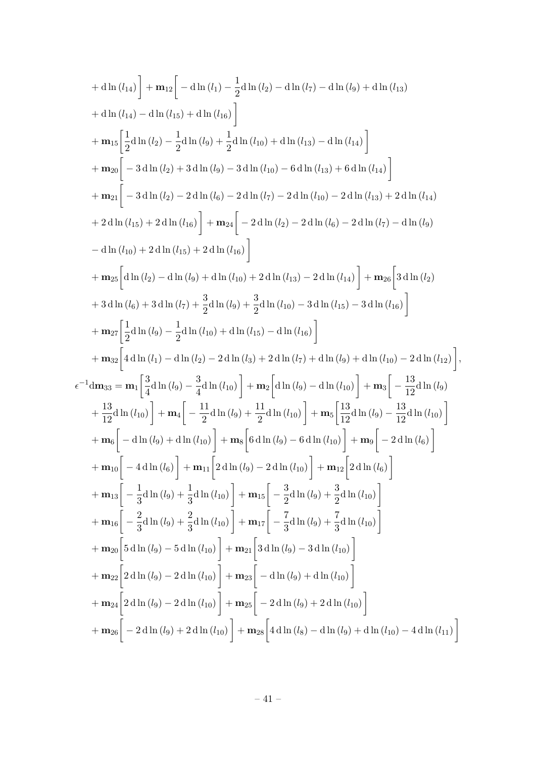+ d ln (l<sub>14</sub>) + m<sub>12</sub> = d ln (l<sub>1</sub>) - 
$$
\frac{1}{2}
$$
 d ln (l<sub>2</sub>) - d ln (l<sub>7</sub>) - d ln (l<sub>9</sub>) + d ln (l<sub>15</sub>)  
+ d ln (l<sub>14</sub>) - d ln (l<sub>15</sub>) + d ln (l<sub>16</sub>)]  
+ m<sub>15</sub>  $\left[\frac{1}{2}$  d ln (l<sub>2</sub>) -  $\frac{1}{2}$  d ln (l<sub>9</sub>) +  $\frac{1}{2}$  d ln (l<sub>10</sub>) + d ln (l<sub>13</sub>) - d ln (l<sub>14</sub>)  
+ m<sub>20</sub> = 3 d ln (l<sub>2</sub>) + 3 d ln (l<sub>9</sub>) - 3 d ln (l<sub>10</sub>) - 6 d ln (l<sub>13</sub>) + 6 d ln (l<sub>14</sub>)  
+ m<sub>21</sub> = 3 d ln (l<sub>2</sub>) - 2 d ln (l<sub>6</sub>) - 2 d ln (l<sub>2</sub>) - 2 d ln (l<sub>2</sub>) - 2 d ln (l<sub>2</sub>) - d ln (l<sub>2</sub>)  
+ 2 d ln (l<sub>15</sub>) + 2 d ln (l<sub>16</sub>) + 2 d ln (l<sub>16</sub>) - 2 d ln (l<sub>2</sub>) - 2 d ln (l<sub>2</sub>) - d ln (l<sub>2</sub>)  
- d ln (l<sub>10</sub>) + 2 d ln (l<sub>15</sub>) + 2 d ln (l<sub>10</sub>) + 2 d ln (l<sub>13</sub>) - 2 d ln (l<sub>14</sub>) + m<sub>25</sub>  $\left[3$  d ln (l<sub>2</sub>) - d ln (l<sub>9</sub>) + d ln (l<sub>10</sub>) + 2 d ln (l<sub>10</sub>) + 2 d ln (l<sub>10</sub>) - 3 d ln (l<sub>15</sub>) - 3 d ln (l<sub>2</sub>)  
+ m<sub>27</sub>  $\left[\frac{1}{2}$  d ln (l<sub>2</sub>) -  $\frac{1}{2}$  d ln (l<sub>0</sub>) +  $\frac{$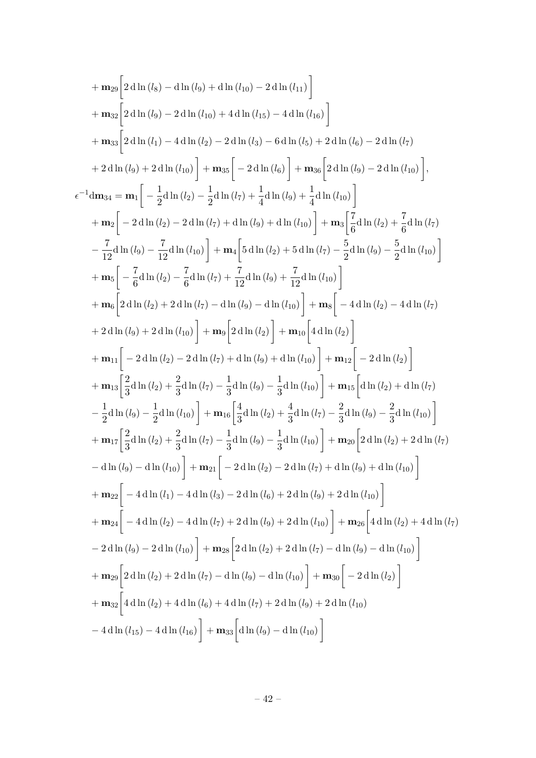$$
+ m_{29}\left[2 \operatorname{d} \ln (l_{8}) - \operatorname{d} \ln (l_{10}) + 4 \operatorname{d} \ln (l_{10}) - 2 \operatorname{d} \ln (l_{11})\right] + m_{32}\left[2 \operatorname{d} \ln (l_{10}) - 2 \operatorname{d} \ln (l_{10}) + 4 \operatorname{d} \ln (l_{15}) - 4 \operatorname{d} \ln (l_{16})\right] + m_{33}\left[2 \operatorname{d} \ln (l_{1}) - 4 \operatorname{d} \ln (l_{2}) - 2 \operatorname{d} \ln (l_{6})\right] + m_{38}\left[-2 \operatorname{d} \ln (l_{6}) - 2 \operatorname{d} \ln (l_{7})\right] + m_{38}\left[-2 \operatorname{d} \ln (l_{6})\right] + m_{36}\left[2 \operatorname{d} \ln (l_{6}) - 2 \operatorname{d} \ln (l_{7})\right],
$$
  
\n
$$
+ 2 \operatorname{d} \ln (l_{9}) + 2 \operatorname{d} \ln (l_{10})\right] + m_{35}\left[-2 \operatorname{d} \ln (l_{6})\right] + m_{36}\left[2 \operatorname{d} \ln (l_{9}) - 2 \operatorname{d} \ln (l_{10})\right],
$$
  
\n
$$
+ m_{2}\left[-2 \operatorname{d} \ln (l_{2}) - 2 \operatorname{d} \ln (l_{7}) + \frac{1}{4} \operatorname{d} \ln (l_{9}) + \frac{1}{4} \operatorname{d} \ln (l_{10})\right]
$$
  
\n
$$
+ m_{2}\left[-2 \operatorname{d} \ln (l_{2}) - 2 \operatorname{d} \ln (l_{7}) + \operatorname{d} \ln (l_{9}) + \operatorname{d} \ln (l_{10})\right] + m_{3}\left[\frac{7}{6} \operatorname{d} \ln (l_{2}) + \frac{7}{6} \operatorname{d} \ln (l_{7})\right]
$$
  
\n
$$
+ m_{5}\left[-\frac{7}{6} \operatorname{d} \ln (l_{2}) - \frac{7}{12} \operatorname{d} \ln (l_{7}) + \frac{7}{12} \operatorname{d} \ln (l_{9}) + \frac{7}{12} \operatorname{d} \ln (l_{10
$$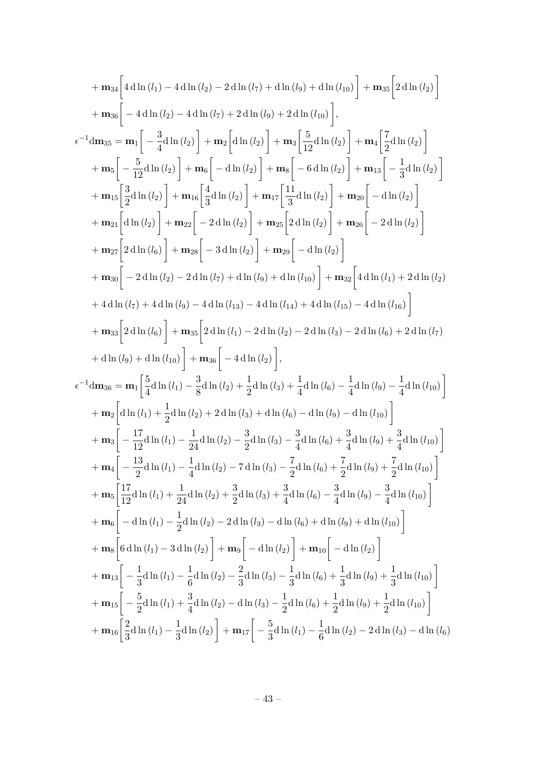$$
+ m_{34}\left[4 \mathrm{d}\ln (l_{1}) - 4 \mathrm{d}\ln (l_{2}) - 2 \mathrm{d}\ln (l_{7}) + \mathrm{d}\ln (l_{9}) + \mathrm{d}\ln (l_{10})\right] + m_{35}\left[2 \mathrm{d}\ln (l_{2})\right] + m_{36}\left[-4 \mathrm{d}\ln (l_{2}) - 4 \mathrm{d}\ln (l_{7}) + 2 \mathrm{d}\ln (l_{9}) + 2 \mathrm{d}\ln (l_{10})\right],\n\epsilon^{-1} dm_{35} = m_{1}\left[-\frac{3}{4} \mathrm{d}\ln (l_{2})\right] + m_{2}\left[\mathrm{d}\ln (l_{2})\right] + m_{3}\left[\frac{5}{12} \mathrm{d}\ln (l_{2})\right] + m_{4}\left[\frac{7}{2} \mathrm{d}\ln (l_{2})\right] + m_{5}\left[-\frac{5}{12} \mathrm{d}\ln (l_{2})\right] + m_{2}\left[\mathrm{d}\ln (l_{2})\right] + m_{3}\left[-\mathrm{d}\ln (l_{2})\right] + m_{4}\left[\frac{7}{2} \mathrm{d}\ln (l_{2})\right] + m_{5}\left[-\frac{5}{12} \mathrm{d}\ln (l_{2})\right] + m_{6}\left[-\mathrm{d}\ln (l_{2})\right] + m_{7}\left[\frac{11}{3} \mathrm{d}\ln (l_{2})\right] + m_{7}\left[-\frac{11}{3} \mathrm{d}\ln (l_{2})\right] + m_{27}\left[2 \mathrm{d}\ln (l_{8})\right] + m_{22}\left[-2 \mathrm{d}\ln (l_{2})\right] + m_{26}\left[-2 \mathrm{d}\ln (l_{2})\right] + m_{27}\left[2 \mathrm{d}\ln (l_{8})\right] + m_{28}\left[-3 \mathrm{d}\ln (l_{2})\right] + m_{26}\left[-2 \mathrm{d}\ln (l_{2})\right] + m_{27}\left[2 \mathrm{d}\ln (l_{8})\right] + m_{28}\left[-3 \mathrm{d}\ln (l_{2})\right] + m_{29}\left[-\mathrm{d}\ln (l_{2})\right] + m_{38}\left[2 \mathrm{d}\ln (l_{8})\right] + m_{28}\left[-3 \mathrm{d}\ln (l_{2})\right] + m_{29}\left
$$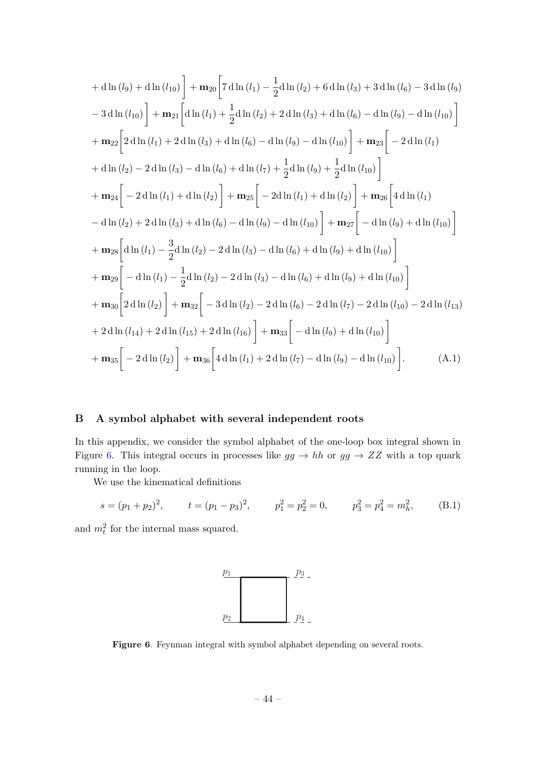$$
+ \operatorname{dln}(l_{9}) + \operatorname{dln}(l_{10}) + \mathbf{m}_{20} \left[ 7 \operatorname{dln}(l_{1}) - \frac{1}{2} \operatorname{dln}(l_{2}) + 6 \operatorname{dln}(l_{3}) + 3 \operatorname{dln}(l_{6}) - 3 \operatorname{dln}(l_{9}) \right]
$$
  
\n
$$
- 3 \operatorname{dln}(l_{10}) + \mathbf{m}_{21} \left[ \operatorname{dln}(l_{1}) + \frac{1}{2} \operatorname{dln}(l_{2}) + 2 \operatorname{dln}(l_{3}) + \operatorname{dln}(l_{6}) - \operatorname{dln}(l_{9}) - \operatorname{dln}(l_{10}) \right]
$$
  
\n
$$
+ \mathbf{m}_{22} \left[ 2 \operatorname{dln}(l_{1}) + 2 \operatorname{dln}(l_{3}) + \operatorname{dln}(l_{6}) - \operatorname{dln}(l_{9}) - \operatorname{dln}(l_{10}) \right] + \mathbf{m}_{23} \left[ -2 \operatorname{dln}(l_{1}) + \operatorname{dln}(l_{2}) - 2 \operatorname{dln}(l_{3}) - \operatorname{dln}(l_{6}) + \operatorname{dln}(l_{7}) + \frac{1}{2} \operatorname{dln}(l_{9}) + \frac{1}{2} \operatorname{dln}(l_{10}) \right]
$$
  
\n
$$
+ \mathbf{m}_{24} \left[ -2 \operatorname{dln}(l_{1}) + \operatorname{dln}(l_{2}) \right] + \mathbf{m}_{25} \left[ -2 \operatorname{dln}(l_{1}) + \operatorname{dln}(l_{2}) \right] + \mathbf{m}_{26} \left[ 4 \operatorname{dln}(l_{1}) - \operatorname{dln}(l_{2}) + 2 \operatorname{dln}(l_{3}) + \operatorname{dln}(l_{6}) - \operatorname{dln}(l_{9}) - \operatorname{dln}(l_{10}) \right]
$$
  
\n
$$
+ \mathbf{m}_{28} \left[ \operatorname{dln}(l_{1}) - \frac{3}{2} \operatorname{dln}(l_{2}) - 2 \operatorname{dln}(l_{3}) - \operatorname{dln}(l_{6}) + \operatorname{dln}(l_{9}) + \operatorname{dln}(l_{10}) \right]
$$
  
\n
$$
+ \mathbf{m}_{2
$$

## <span id="page-44-0"></span>B A symbol alphabet with several independent roots

In this appendix, we consider the symbol alphabet of the one-loop box integral shown in Figure [6.](#page-44-2) This integral occurs in processes like  $gg \to hh$  or  $gg \to ZZ$  with a top quark running in the loop.

We use the kinematical definitions

$$
s = (p_1 + p_2)^2
$$
,  $t = (p_1 - p_3)^2$ ,  $p_1^2 = p_2^2 = 0$ ,  $p_3^2 = p_4^2 = m_h^2$ , (B.1)

and  $m_t^2$  for the internal mass squared.

<span id="page-44-1"></span>

<span id="page-44-2"></span>Figure 6. Feynman integral with symbol alphabet depending on several roots.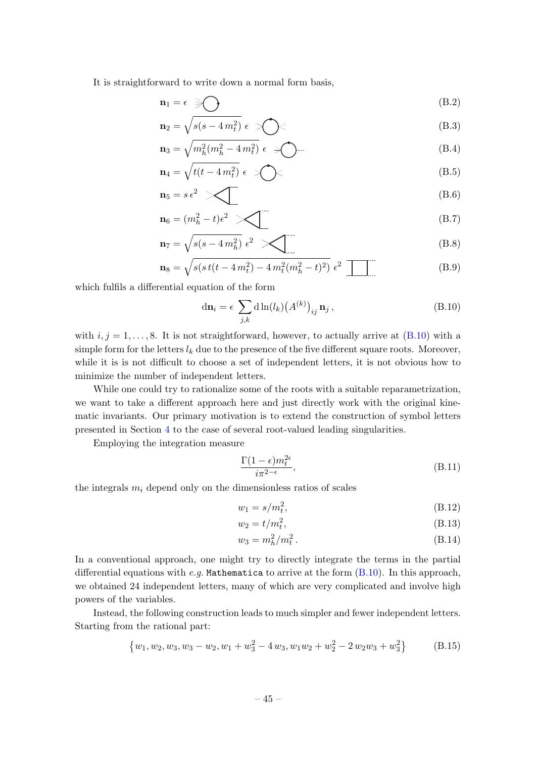It is straightforward to write down a normal form basis,

$$
\mathbf{n}_1 = \epsilon \quad \text{and} \quad \text{(B.2)}
$$

$$
\mathbf{n}_2 = \sqrt{s(s - 4m_t^2)} \epsilon \quad \text{(B.3)}
$$

$$
\mathbf{n}_3 = \sqrt{m_h^2(m_h^2 - 4m_t^2)} \epsilon \quad \text{and} \quad (B.4)
$$

$$
\mathbf{n}_4 = \sqrt{t(t - 4m_t^2)} \epsilon \gg \sum (B.5)
$$

$$
\mathbf{n}_5 = s\,\epsilon^2 \quad \blacktriangleright \quad \blacktriangleleft \quad (B.6)
$$

$$
\mathbf{n}_6 = (m_h^2 - t)\epsilon^2 \quad \diagup \quad \boxed{\text{(B.7)}}
$$

$$
\mathbf{n}_7 = \sqrt{s(s - 4\,m_h^2)}\,\,\epsilon^2\,\,\sum\tag{B.8}
$$

$$
\mathbf{n}_8 = \sqrt{s(s\,t(t - 4\,m_t^2) - 4\,m_t^2(m_h^2 - t)^2)}\,\,\epsilon^2
$$
 (B.9)

which fulfils a differential equation of the form

<span id="page-45-0"></span>
$$
\mathrm{d}\mathbf{n}_i = \epsilon \sum_{j,k} \mathrm{d}\ln(l_k) \big(A^{(k)}\big)_{ij} \mathbf{n}_j , \tag{B.10}
$$

with  $i, j = 1, \ldots, 8$ . It is not straightforward, however, to actually arrive at  $(B.10)$  with a simple form for the letters  $l_k$  due to the presence of the five different square roots. Moreover, while it is is not difficult to choose a set of independent letters, it is not obvious how to minimize the number of independent letters.

While one could try to rationalize some of the roots with a suitable reparametrization, we want to take a different approach here and just directly work with the original kinematic invariants. Our primary motivation is to extend the construction of symbol letters presented in Section [4](#page-13-0) to the case of several root-valued leading singularities.

Employing the integration measure

$$
\frac{\Gamma(1-\epsilon)m_t^{2\epsilon}}{i\pi^{2-\epsilon}},\tag{B.11}
$$

the integrals  $m_i$  depend only on the dimensionless ratios of scales

$$
w_1 = s/m_t^2,\tag{B.12}
$$

$$
w_2 = t/m_t^2,
$$
 (B.13)

$$
w_3 = m_h^2 / m_t^2. \tag{B.14}
$$

In a conventional approach, one might try to directly integrate the terms in the partial differential equations with e.g. Mathematica to arrive at the form  $(B.10)$ . In this approach, we obtained 24 independent letters, many of which are very complicated and involve high powers of the variables.

Instead, the following construction leads to much simpler and fewer independent letters. Starting from the rational part:

$$
\{w_1, w_2, w_3, w_3 - w_2, w_1 + w_3^2 - 4 w_3, w_1 w_2 + w_2^2 - 2 w_2 w_3 + w_3^2\}
$$
 (B.15)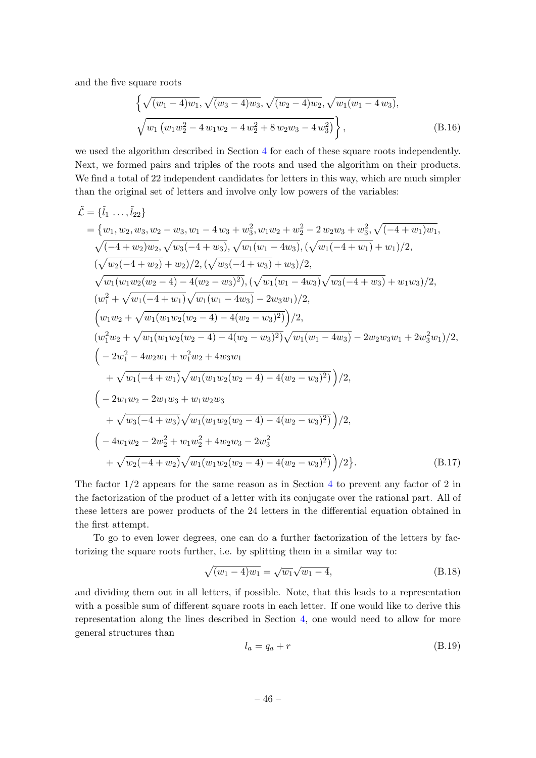and the five square roots

$$
\left\{ \sqrt{(w_1 - 4)w_1}, \sqrt{(w_3 - 4)w_3}, \sqrt{(w_2 - 4)w_2}, \sqrt{w_1(w_1 - 4w_3)}, \sqrt{(w_1(w_1 w_2^2 - 4w_1 w_2 - 4w_2^2 + 8w_2 w_3 - 4w_3^2)} \right\},
$$
\n(B.16)

we used the algorithm described in Section [4](#page-13-0) for each of these square roots independently. Next, we formed pairs and triples of the roots and used the algorithm on their products. We find a total of 22 independent candidates for letters in this way, which are much simpler than the original set of letters and involve only low powers of the variables:

$$
\tilde{\mathcal{L}} = \{\tilde{u}_1 \dots, \tilde{u}_{22}\} \n= \{w_1, w_2, w_3, w_2 - w_3, w_1 - 4 w_3 + w_3^2, w_1 w_2 + w_2^2 - 2 w_2 w_3 + w_3^2, \sqrt{(-4 + w_1)w_1}, \n\sqrt{(-4 + w_2)w_2}, \sqrt{w_3(-4 + w_3)}, \sqrt{w_1(w_1 - 4w_3)}, (\sqrt{w_1(-4 + w_1)} + w_1)/2, \n(\sqrt{w_2(-4 + w_2)} + w_2)/2, (\sqrt{w_3(-4 + w_3)} + w_3)/2, \n\sqrt{w_1(w_1 w_2(w_2 - 4) - 4(w_2 - w_3)^2)}, (\sqrt{w_1(w_1 - 4w_3)}\sqrt{w_3(-4 + w_3)} + w_1 w_3)/2, \n(w_1^2 + \sqrt{w_1(-4 + w_1)}\sqrt{w_1(w_1 - 4w_3)} - 2w_3 w_1)/2, \n(w_1 w_2 + \sqrt{w_1(w_1 w_2(w_2 - 4) - 4(w_2 - w_3)^2)})/2, \n(w_1^2 w_2 + \sqrt{w_1(w_1 w_2(w_2 - 4) - 4(w_2 - w_3)^2)}\sqrt{w_1(w_1 - 4w_3)} - 2w_2 w_3 w_1 + 2w_3^2 w_1)/2, \n(-2w_1^2 - 4w_2 w_1 + w_1^2 w_2 + 4w_3 w_1 \n+ \sqrt{w_1(-4 + w_1)}\sqrt{w_1(w_1 w_2(w_2 - 4) - 4(w_2 - w_3)^2)})/2, \n(-2w_1 w_2 - 2w_1 w_3 + w_1 w_2 w_3 \n+ \sqrt{w_3(-4 + w_3)}\sqrt{w_1(w_1 w_2(w_2 - 4) - 4(w_2 - w_3)^2)})/2, \n(-4w_1 w_2 - 2w_2^2 + w_1 w_2^2 + 4w_2 w_3 - 2w_3^2 \n+ \sqrt{w_2(-4 + w_2)}\sqrt{w_1(w_1 w_2(w_2 - 4) - 4(w_2 - w_3)^2)})/2}
$$

The factor  $1/2$  appears for the same reason as in Section [4](#page-13-0) to prevent any factor of 2 in the factorization of the product of a letter with its conjugate over the rational part. All of these letters are power products of the 24 letters in the differential equation obtained in the first attempt.

To go to even lower degrees, one can do a further factorization of the letters by factorizing the square roots further, i.e. by splitting them in a similar way to:

$$
\sqrt{(w_1 - 4)w_1} = \sqrt{w_1}\sqrt{w_1 - 4},
$$
\n(B.18)

and dividing them out in all letters, if possible. Note, that this leads to a representation with a possible sum of different square roots in each letter. If one would like to derive this representation along the lines described in Section [4,](#page-13-0) one would need to allow for more general structures than

$$
l_a = q_a + r \tag{B.19}
$$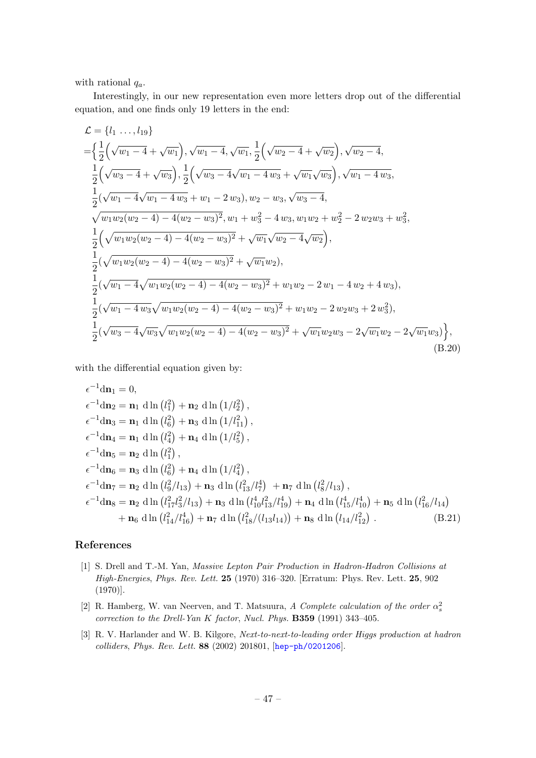with rational  $q_a$ .

Interestingly, in our new representation even more letters drop out of the differential equation, and one finds only 19 letters in the end:

$$
\mathcal{L} = \left\{ l_1 \ldots, l_{19} \right\}
$$
\n
$$
= \left\{ \frac{1}{2} \left( \sqrt{w_1 - 4} + \sqrt{w_1} \right), \sqrt{w_1 - 4}, \sqrt{w_1}, \frac{1}{2} \left( \sqrt{w_2 - 4} + \sqrt{w_2} \right), \sqrt{w_2 - 4}, \frac{1}{2} \left( \sqrt{w_3 - 4} + \sqrt{w_3} \right), \frac{1}{2} \left( \sqrt{w_3 - 4} \sqrt{w_1 - 4 w_3} + \sqrt{w_1} \sqrt{w_3} \right), \sqrt{w_1 - 4 w_3}, \frac{1}{2} \left( \sqrt{w_1 - 4} \sqrt{w_1 - 4 w_3} + w_1 - 2 w_3 \right), w_2 - w_3, \sqrt{w_3 - 4}, \frac{1}{2} \left( \sqrt{w_1 w_2 (w_2 - 4) - 4 (w_2 - w_3)^2}, w_1 + w_3^2 - 4 w_3, w_1 w_2 + w_2^2 - 2 w_2 w_3 + w_3^2, \frac{1}{2} \left( \sqrt{w_1 w_2 (w_2 - 4) - 4 (w_2 - w_3)^2} + \sqrt{w_1} \sqrt{w_2 - 4} \sqrt{w_2} \right), \frac{1}{2} \left( \sqrt{w_1 w_2 (w_2 - 4) - 4 (w_2 - w_3)^2} + \sqrt{w_1 w_2} \right), \frac{1}{2} \left( \sqrt{w_1 - 4} \sqrt{w_1 w_2 (w_2 - 4) - 4 (w_2 - w_3)^2} + w_1 w_2 - 2 w_1 - 4 w_2 + 4 w_3 \right), \frac{1}{2} \left( \sqrt{w_1 - 4 w_3} \sqrt{w_1 w_2 (w_2 - 4) - 4 (w_2 - w_3)^2} + w_1 w_2 - 2 w_2 w_3 + 2 w_3^2 \right), \frac{1}{2} \left( \sqrt{w_3 - 4} \sqrt{w_3} \sqrt{w_1 w_2 (w_2 - 4) - 4 (w_2 - w_3)^2} + \sqrt{w_1 w_2 w_3} - 2 \sqrt{w_1 w_2} - 2 \sqrt{w_1 w_3} \right), \
$$

with the differential equation given by:

$$
\epsilon^{-1} d\mathbf{n}_1 = 0,
$$
\n
$$
\epsilon^{-1} d\mathbf{n}_2 = \mathbf{n}_1 d \ln (l_1^2) + \mathbf{n}_2 d \ln (1/l_2^2),
$$
\n
$$
\epsilon^{-1} d\mathbf{n}_3 = \mathbf{n}_1 d \ln (l_6^2) + \mathbf{n}_3 d \ln (1/l_{11}^2),
$$
\n
$$
\epsilon^{-1} d\mathbf{n}_4 = \mathbf{n}_1 d \ln (l_4^2) + \mathbf{n}_4 d \ln (1/l_5^2),
$$
\n
$$
\epsilon^{-1} d\mathbf{n}_5 = \mathbf{n}_2 d \ln (l_1^2),
$$
\n
$$
\epsilon^{-1} d\mathbf{n}_6 = \mathbf{n}_3 d \ln (l_6^2) + \mathbf{n}_4 d \ln (1/l_4^2),
$$
\n
$$
\epsilon^{-1} d\mathbf{n}_7 = \mathbf{n}_2 d \ln (l_6^2/l_{13}) + \mathbf{n}_3 d \ln (l_{13}^2/l_7^4) + \mathbf{n}_7 d \ln (l_8^2/l_{13}),
$$
\n
$$
\epsilon^{-1} d\mathbf{n}_8 = \mathbf{n}_2 d \ln (l_{17}^2 l_3^2/l_{13}) + \mathbf{n}_3 d \ln (l_{10}^4 l_{13}^2/l_{19}^4) + \mathbf{n}_4 d \ln (l_{15}^4/l_{10}^4) + \mathbf{n}_5 d \ln (l_{16}^2/l_{14}^4),
$$
\n
$$
+ \mathbf{n}_6 d \ln (l_{14}^2/l_{16}^4) + \mathbf{n}_7 d \ln (l_{18}^2/(l_{13}l_{14})) + \mathbf{n}_8 d \ln (l_{14}/l_{12}^2).
$$
\n(B.21)

#### References

- <span id="page-47-0"></span>[1] S. Drell and T.-M. Yan, Massive Lepton Pair Production in Hadron-Hadron Collisions at High-Energies, Phys. Rev. Lett. 25 (1970) 316–320. [Erratum: Phys. Rev. Lett. 25, 902 (1970)].
- <span id="page-47-1"></span>[2] R. Hamberg, W. van Neerven, and T. Matsuura, A Complete calculation of the order  $\alpha_s^2$ correction to the Drell-Yan K factor, Nucl. Phys. B359 (1991) 343–405.
- [3] R. V. Harlander and W. B. Kilgore, Next-to-next-to-leading order Higgs production at hadron colliders, Phys. Rev. Lett. 88 (2002) 201801, [[hep-ph/0201206](http://arxiv.org/abs/hep-ph/0201206)].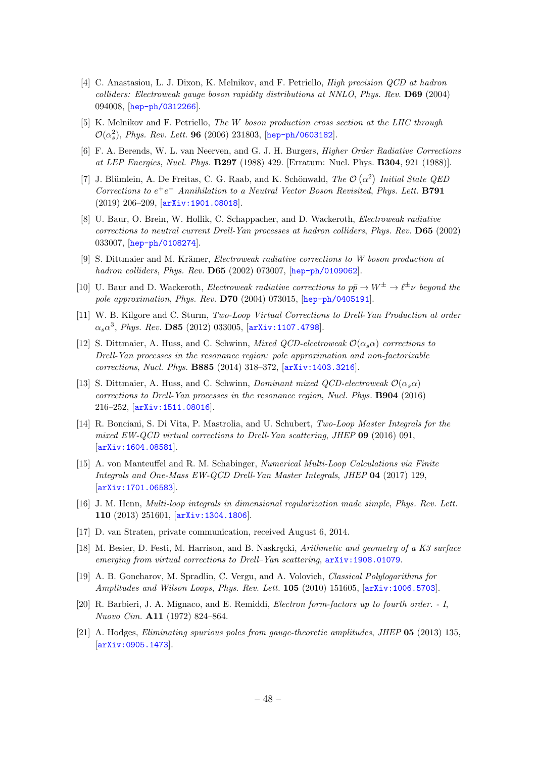- [4] C. Anastasiou, L. J. Dixon, K. Melnikov, and F. Petriello, High precision QCD at hadron colliders: Electroweak gauge boson rapidity distributions at NNLO, Phys. Rev. D69 (2004) 094008, [[hep-ph/0312266](http://arxiv.org/abs/hep-ph/0312266)].
- <span id="page-48-0"></span>[5] K. Melnikov and F. Petriello, The W boson production cross section at the LHC through  $\mathcal{O}(\alpha_s^2)$ , *Phys. Rev. Lett.* **96** (2006) 231803, [[hep-ph/0603182](http://arxiv.org/abs/hep-ph/0603182)].
- <span id="page-48-1"></span>[6] F. A. Berends, W. L. van Neerven, and G. J. H. Burgers, Higher Order Radiative Corrections at LEP Energies, Nucl. Phys. B297 (1988) 429. [Erratum: Nucl. Phys. B304, 921 (1988)].
- <span id="page-48-2"></span>[7] J. Blümlein, A. De Freitas, C. G. Raab, and K. Schönwald, The  $\mathcal{O}(\alpha^2)$  Initial State QED Corrections to  $e^+e^-$  Annihilation to a Neutral Vector Boson Revisited, Phys. Lett. **B791** (2019) 206–209, [[arXiv:1901.08018](http://arxiv.org/abs/1901.08018)].
- <span id="page-48-3"></span>[8] U. Baur, O. Brein, W. Hollik, C. Schappacher, and D. Wackeroth, Electroweak radiative corrections to neutral current Drell-Yan processes at hadron colliders, Phys. Rev. D65 (2002) 033007, [[hep-ph/0108274](http://arxiv.org/abs/hep-ph/0108274)].
- [9] S. Dittmaier and M. Krämer, *Electroweak radiative corrections to W boson production at* hadron colliders, Phys. Rev. D65 (2002) 073007, [[hep-ph/0109062](http://arxiv.org/abs/hep-ph/0109062)].
- <span id="page-48-4"></span>[10] U. Baur and D. Wackeroth, *Electroweak radiative corrections to*  $p\bar{p} \to W^{\pm} \to \ell^{\pm} \nu$  beyond the pole approximation, Phys. Rev. D70 (2004) 073015, [[hep-ph/0405191](http://arxiv.org/abs/hep-ph/0405191)].
- <span id="page-48-5"></span>[11] W. B. Kilgore and C. Sturm, Two-Loop Virtual Corrections to Drell-Yan Production at order  $\alpha_s \alpha^3$ , *Phys. Rev.* **D85** (2012) 033005, [[arXiv:1107.4798](http://arxiv.org/abs/1107.4798)].
- <span id="page-48-6"></span>[12] S. Dittmaier, A. Huss, and C. Schwinn, *Mixed OCD-electroweak*  $\mathcal{O}(\alpha_s \alpha)$  corrections to Drell-Yan processes in the resonance region: pole approximation and non-factorizable corrections, Nucl. Phys. B885 (2014) 318–372, [[arXiv:1403.3216](http://arxiv.org/abs/1403.3216)].
- <span id="page-48-7"></span>[13] S. Dittmaier, A. Huss, and C. Schwinn, Dominant mixed  $QCD$ -electroweak  $\mathcal{O}(\alpha_s \alpha)$ corrections to Drell-Yan processes in the resonance region, Nucl. Phys. B904 (2016) 216–252, [[arXiv:1511.08016](http://arxiv.org/abs/1511.08016)].
- <span id="page-48-8"></span>[14] R. Bonciani, S. Di Vita, P. Mastrolia, and U. Schubert, Two-Loop Master Integrals for the mixed EW-QCD virtual corrections to Drell-Yan scattering, JHEP 09 (2016) 091, [[arXiv:1604.08581](http://arxiv.org/abs/1604.08581)].
- <span id="page-48-9"></span>[15] A. von Manteuffel and R. M. Schabinger, Numerical Multi-Loop Calculations via Finite Integrals and One-Mass EW-QCD Drell-Yan Master Integrals, JHEP 04 (2017) 129, [[arXiv:1701.06583](http://arxiv.org/abs/1701.06583)].
- <span id="page-48-10"></span>[16] J. M. Henn, Multi-loop integrals in dimensional regularization made simple, Phys. Rev. Lett. 110 (2013) 251601, [[arXiv:1304.1806](http://arxiv.org/abs/1304.1806)].
- <span id="page-48-11"></span>[17] D. van Straten, private communication, received August 6, 2014.
- <span id="page-48-12"></span>[18] M. Besier, D. Festi, M. Harrison, and B. Naskrecki, Arithmetic and geometry of a K3 surface emerging from virtual corrections to Drell–Yan scattering,  $arXiv:1908.01079$ .
- <span id="page-48-13"></span>[19] A. B. Goncharov, M. Spradlin, C. Vergu, and A. Volovich, Classical Polylogarithms for Amplitudes and Wilson Loops, Phys. Rev. Lett. 105 (2010) 151605, [[arXiv:1006.5703](http://arxiv.org/abs/1006.5703)].
- <span id="page-48-14"></span>[20] R. Barbieri, J. A. Mignaco, and E. Remiddi, Electron form-factors up to fourth order. - I, Nuovo Cim. A11 (1972) 824–864.
- <span id="page-48-15"></span>[21] A. Hodges, Eliminating spurious poles from gauge-theoretic amplitudes, JHEP 05 (2013) 135, [[arXiv:0905.1473](http://arxiv.org/abs/0905.1473)].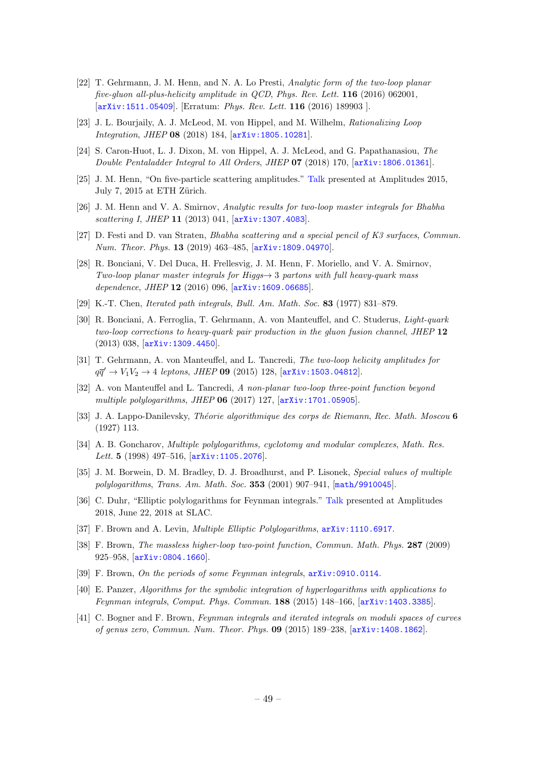- <span id="page-49-0"></span>[22] T. Gehrmann, J. M. Henn, and N. A. Lo Presti, Analytic form of the two-loop planar five-gluon all-plus-helicity amplitude in QCD, Phys. Rev. Lett. 116 (2016) 062001, [[arXiv:1511.05409](http://arxiv.org/abs/1511.05409)]. [Erratum: Phys. Rev. Lett. 116 (2016) 189903 ].
- [23] J. L. Bourjaily, A. J. McLeod, M. von Hippel, and M. Wilhelm, Rationalizing Loop Integration, JHEP 08 (2018) 184, [[arXiv:1805.10281](http://arxiv.org/abs/1805.10281)].
- <span id="page-49-1"></span>[24] S. Caron-Huot, L. J. Dixon, M. von Hippel, A. J. McLeod, and G. Papathanasiou, The Double Pentaladder Integral to All Orders, JHEP 07 (2018) 170, [[arXiv:1806.01361](http://arxiv.org/abs/1806.01361)].
- <span id="page-49-2"></span>[25] J. M. Henn, "On five-particle scattering amplitudes." [Talk](https://conf.itp.phys.ethz.ch/amp15/talks/Henn.pdf) presented at Amplitudes 2015, July 7, 2015 at ETH Zürich.
- <span id="page-49-3"></span>[26] J. M. Henn and V. A. Smirnov, Analytic results for two-loop master integrals for Bhabha scattering I, JHEP 11 (2013) 041,  $[\text{arXiv}:1307.4083]$ .
- <span id="page-49-4"></span>[27] D. Festi and D. van Straten, Bhabha scattering and a special pencil of K3 surfaces, Commun. Num. Theor. Phys. 13 (2019) 463–485, [[arXiv:1809.04970](http://arxiv.org/abs/1809.04970)].
- <span id="page-49-5"></span>[28] R. Bonciani, V. Del Duca, H. Frellesvig, J. M. Henn, F. Moriello, and V. A. Smirnov, Two-loop planar master integrals for Higgs $\rightarrow$  3 partons with full heavy-quark mass dependence, JHEP 12 (2016) 096,  $arXiv:1609.06685$ .
- <span id="page-49-6"></span>[29] K.-T. Chen, Iterated path integrals, Bull. Am. Math. Soc. 83 (1977) 831–879.
- <span id="page-49-7"></span>[30] R. Bonciani, A. Ferroglia, T. Gehrmann, A. von Manteuffel, and C. Studerus, Light-quark two-loop corrections to heavy-quark pair production in the gluon fusion channel, JHEP 12 (2013) 038, [[arXiv:1309.4450](http://arxiv.org/abs/1309.4450)].
- <span id="page-49-8"></span>[31] T. Gehrmann, A. von Manteuffel, and L. Tancredi, The two-loop helicity amplitudes for  $q\bar{q}' \to V_1V_2 \to 4$  leptons, JHEP 09 (2015) 128, [[arXiv:1503.04812](http://arxiv.org/abs/1503.04812)].
- <span id="page-49-9"></span>[32] A. von Manteuffel and L. Tancredi, A non-planar two-loop three-point function beyond multiple polylogarithms, JHEP 06 (2017) 127, [[arXiv:1701.05905](http://arxiv.org/abs/1701.05905)].
- <span id="page-49-10"></span>[33] J. A. Lappo-Danilevsky, Théorie algorithmique des corps de Riemann, Rec. Math. Moscou 6 (1927) 113.
- [34] A. B. Goncharov, Multiple polylogarithms, cyclotomy and modular complexes, Math. Res. Lett. 5 (1998) 497-516, [[arXiv:1105.2076](http://arxiv.org/abs/1105.2076)].
- <span id="page-49-11"></span>[35] J. M. Borwein, D. M. Bradley, D. J. Broadhurst, and P. Lisonek, Special values of multiple polylogarithms, Trans. Am. Math. Soc. 353 (2001) 907–941, [[math/9910045](http://arxiv.org/abs/math/9910045)].
- <span id="page-49-12"></span>[36] C. Duhr, "Elliptic polylogarithms for Feynman integrals." [Talk](https://indico.cern.ch/event/646820/contributions/2992884/) presented at Amplitudes 2018, June 22, 2018 at SLAC.
- <span id="page-49-13"></span>[37] F. Brown and A. Levin, Multiple Elliptic Polylogarithms, [arXiv:1110.6917](http://arxiv.org/abs/1110.6917).
- <span id="page-49-14"></span>[38] F. Brown, The massless higher-loop two-point function, Commun. Math. Phys. 287 (2009) 925–958, [[arXiv:0804.1660](http://arxiv.org/abs/0804.1660)].
- <span id="page-49-15"></span>[39] F. Brown, On the periods of some Feynman integrals,  $arXiv:0910.0114$ .
- <span id="page-49-16"></span>[40] E. Panzer, Algorithms for the symbolic integration of hyperlogarithms with applications to Feynman integrals, Comput. Phys. Commun. 188 (2015) 148–166, [[arXiv:1403.3385](http://arxiv.org/abs/1403.3385)].
- [41] C. Bogner and F. Brown, Feynman integrals and iterated integrals on moduli spaces of curves of genus zero, Commun. Num. Theor. Phys. 09 (2015) 189–238, [[arXiv:1408.1862](http://arxiv.org/abs/1408.1862)].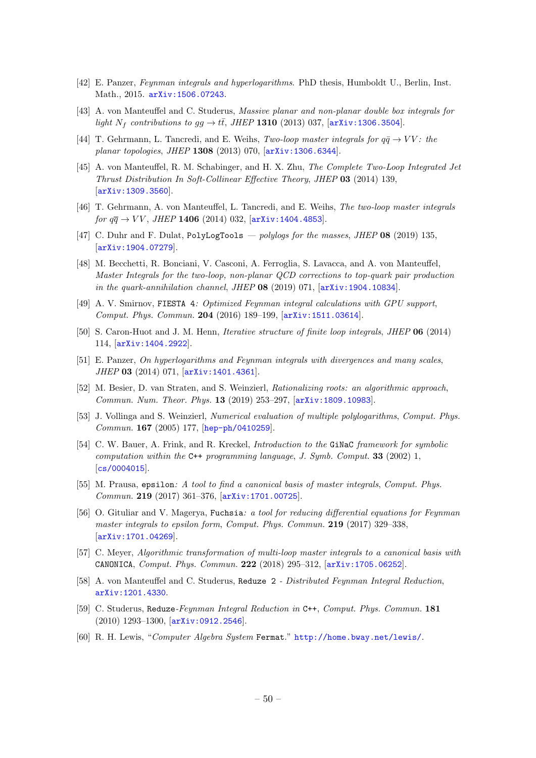- <span id="page-50-1"></span>[42] E. Panzer, Feynman integrals and hyperlogarithms. PhD thesis, Humboldt U., Berlin, Inst. Math., 2015. [arXiv:1506.07243](http://arxiv.org/abs/1506.07243).
- <span id="page-50-14"></span>[43] A. von Manteuffel and C. Studerus, Massive planar and non-planar double box integrals for light  $N_f$  contributions to  $gg \to t\bar{t}$ , JHEP 1310 (2013) 037, [[arXiv:1306.3504](http://arxiv.org/abs/1306.3504)].
- <span id="page-50-15"></span>[44] T. Gehrmann, L. Tancredi, and E. Weihs, Two-loop master integrals for  $q\bar{q} \rightarrow VV$ : the planar topologies, JHEP 1308 (2013) 070, [[arXiv:1306.6344](http://arxiv.org/abs/1306.6344)].
- <span id="page-50-8"></span>[45] A. von Manteuffel, R. M. Schabinger, and H. X. Zhu, The Complete Two-Loop Integrated Jet Thrust Distribution In Soft-Collinear Effective Theory, JHEP 03 (2014) 139, [[arXiv:1309.3560](http://arxiv.org/abs/1309.3560)].
- <span id="page-50-9"></span>[46] T. Gehrmann, A. von Manteuffel, L. Tancredi, and E. Weihs, The two-loop master integrals for  $q\bar{q} \to VV$ , JHEP 1406 (2014) 032,  $[arXiv:1404.4853]$  $[arXiv:1404.4853]$  $[arXiv:1404.4853]$ .
- [47] C. Duhr and F. Dulat, PolyLogTools polylogs for the masses, JHEP  $08$  (2019) 135, [[arXiv:1904.07279](http://arxiv.org/abs/1904.07279)].
- <span id="page-50-0"></span>[48] M. Becchetti, R. Bonciani, V. Casconi, A. Ferroglia, S. Lavacca, and A. von Manteuffel, Master Integrals for the two-loop, non-planar QCD corrections to top-quark pair production in the quark-annihilation channel, JHEP  $08$  (2019) 071,  $\ar{xiv:1904.10834}$ .
- <span id="page-50-2"></span>[49] A. V. Smirnov, FIESTA 4: Optimized Feynman integral calculations with GPU support, Comput. Phys. Commun. 204 (2016) 189–199, [[arXiv:1511.03614](http://arxiv.org/abs/1511.03614)].
- <span id="page-50-3"></span>[50] S. Caron-Huot and J. M. Henn, *Iterative structure of finite loop integrals*, *JHEP* **06** (2014) 114, [[arXiv:1404.2922](http://arxiv.org/abs/1404.2922)].
- <span id="page-50-4"></span>[51] E. Panzer, On hyperlogarithms and Feynman integrals with divergences and many scales, JHEP 03 (2014) 071, [[arXiv:1401.4361](http://arxiv.org/abs/1401.4361)].
- <span id="page-50-5"></span>[52] M. Besier, D. van Straten, and S. Weinzierl, Rationalizing roots: an algorithmic approach, Commun. Num. Theor. Phys. 13 (2019) 253–297, [[arXiv:1809.10983](http://arxiv.org/abs/1809.10983)].
- <span id="page-50-6"></span>[53] J. Vollinga and S. Weinzierl, Numerical evaluation of multiple polylogarithms, Comput. Phys. Commun. 167 (2005) 177, [[hep-ph/0410259](http://arxiv.org/abs/hep-ph/0410259)].
- <span id="page-50-7"></span>[54] C. W. Bauer, A. Frink, and R. Kreckel, *Introduction to the* Ginac framework for symbolic computation within the  $C^{++}$  programming language, J. Symb. Comput. **33** (2002) 1,  $|cs/0004015|$  $|cs/0004015|$  $|cs/0004015|$ .
- <span id="page-50-10"></span>[55] M. Prausa, epsilon: A tool to find a canonical basis of master integrals, Comput. Phys. Commun. 219 (2017) 361–376, [[arXiv:1701.00725](http://arxiv.org/abs/1701.00725)].
- [56] O. Gituliar and V. Magerya, Fuchsia: a tool for reducing differential equations for Feynman master integrals to epsilon form, Comput. Phys. Commun. **219** (2017) 329–338, [[arXiv:1701.04269](http://arxiv.org/abs/1701.04269)].
- <span id="page-50-11"></span>[57] C. Meyer, Algorithmic transformation of multi-loop master integrals to a canonical basis with CANONICA, Comput. Phys. Commun. 222 (2018) 295–312, [[arXiv:1705.06252](http://arxiv.org/abs/1705.06252)].
- <span id="page-50-12"></span>[58] A. von Manteuffel and C. Studerus, Reduze 2 - Distributed Feynman Integral Reduction, [arXiv:1201.4330](http://arxiv.org/abs/1201.4330).
- [59] C. Studerus, Reduze-Feynman Integral Reduction in C++, Comput. Phys. Commun. 181 (2010) 1293–1300, [[arXiv:0912.2546](http://arxiv.org/abs/0912.2546)].
- <span id="page-50-13"></span>[60] R. H. Lewis, "Computer Algebra System Fermat." <http://home.bway.net/lewis/>.